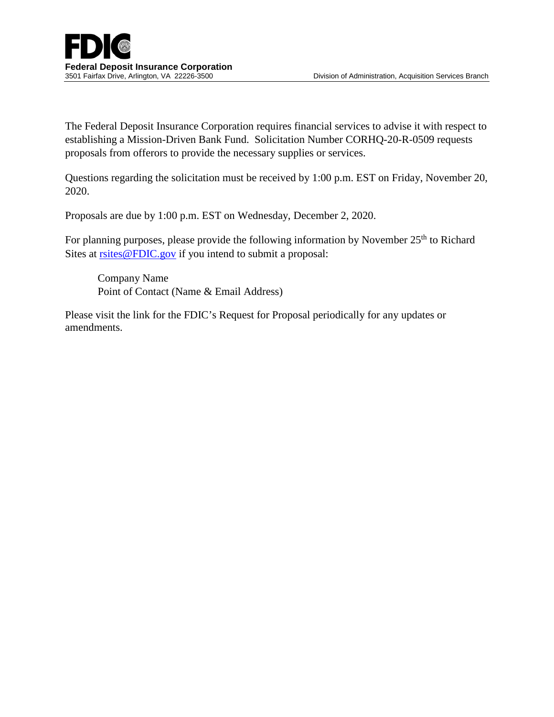The Federal Deposit Insurance Corporation requires financial services to advise it with respect to establishing a Mission-Driven Bank Fund. Solicitation Number CORHQ-20-R-0509 requests proposals from offerors to provide the necessary supplies or services.

Questions regarding the solicitation must be received by 1:00 p.m. EST on Friday, November 20, 2020.

Proposals are due by 1:00 p.m. EST on Wednesday, December 2, 2020.

For planning purposes, please provide the following information by November 25<sup>th</sup> to Richard Sites at [rsites@FDIC.gov](mailto:rsites@FDIC.gov) if you intend to submit a proposal:

Company Name Point of Contact (Name & Email Address)

Please visit the link for the FDIC's Request for Proposal periodically for any updates or amendments.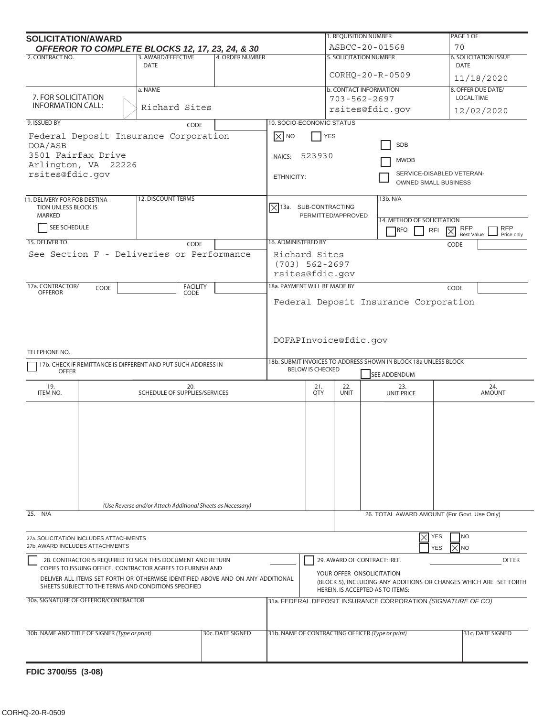| <b>SOLICITATION/AWARD</b>                                                                                                               |                                               |                                                                                                                           |                        |                                                                                                                                    |                         | 1. REQUISITION NUMBER                                        | PAGE 1 OF                                                                       |                                                           |
|-----------------------------------------------------------------------------------------------------------------------------------------|-----------------------------------------------|---------------------------------------------------------------------------------------------------------------------------|------------------------|------------------------------------------------------------------------------------------------------------------------------------|-------------------------|--------------------------------------------------------------|---------------------------------------------------------------------------------|-----------------------------------------------------------|
| 2. CONTRACT NO.                                                                                                                         |                                               | OFFEROR TO COMPLETE BLOCKS 12, 17, 23, 24, & 30<br>3. AWARD/EFFECTIVE                                                     | <b>4. ORDER NUMBER</b> |                                                                                                                                    |                         | ASBCC-20-01568<br><b>5. SOLICITATION NUMBER</b>              |                                                                                 | 70<br><b>6. SOLICITATION ISSUE</b>                        |
|                                                                                                                                         | <b>DATE</b>                                   |                                                                                                                           |                        |                                                                                                                                    |                         | CORHQ-20-R-0509                                              | DATE                                                                            |                                                           |
|                                                                                                                                         |                                               | a. NAME                                                                                                                   |                        |                                                                                                                                    |                         |                                                              |                                                                                 | 11/18/2020<br>8. OFFER DUE DATE/                          |
| 7. FOR SOLICITATION                                                                                                                     |                                               |                                                                                                                           |                        |                                                                                                                                    |                         |                                                              | <b>b. CONTACT INFORMATION</b><br>$703 - 562 - 2697$                             | <b>LOCAL TIME</b>                                         |
| <b>INFORMATION CALL:</b>                                                                                                                |                                               | Richard Sites                                                                                                             |                        |                                                                                                                                    |                         |                                                              | rsites@fdic.gov                                                                 | 12/02/2020                                                |
| 9. ISSUED BY                                                                                                                            |                                               | CODE                                                                                                                      |                        | <b>10. SOCIO-ECONOMIC STATUS</b>                                                                                                   |                         |                                                              |                                                                                 |                                                           |
|                                                                                                                                         |                                               | Federal Deposit Insurance Corporation                                                                                     |                        | $\boxed{\times}$ NO                                                                                                                | <b>YES</b>              |                                                              |                                                                                 |                                                           |
| DOA/ASB                                                                                                                                 |                                               |                                                                                                                           |                        | <b>SDB</b>                                                                                                                         |                         |                                                              |                                                                                 |                                                           |
| 3501 Fairfax Drive                                                                                                                      | Arlington, VA 22226                           |                                                                                                                           |                        | 523930<br>NAICS:<br><b>MWOB</b>                                                                                                    |                         |                                                              |                                                                                 |                                                           |
| rsites@fdic.gov                                                                                                                         |                                               |                                                                                                                           |                        | SERVICE-DISABLED VETERAN-<br>ETHNICITY:                                                                                            |                         |                                                              |                                                                                 |                                                           |
|                                                                                                                                         |                                               |                                                                                                                           |                        |                                                                                                                                    |                         |                                                              | OWNED SMALL BUSINESS                                                            |                                                           |
| 11. DELIVERY FOR FOB DESTINA-                                                                                                           |                                               | <b>12. DISCOUNT TERMS</b>                                                                                                 |                        |                                                                                                                                    |                         |                                                              | 13b. N/A                                                                        |                                                           |
| <b>TION UNLESS BLOCK IS</b><br>MARKED                                                                                                   |                                               |                                                                                                                           |                        | $\vert \times \vert$ 13a. SUB-CONTRACTING                                                                                          |                         | PERMITTED/APPROVED                                           |                                                                                 |                                                           |
| SEE SCHEDULE                                                                                                                            |                                               |                                                                                                                           |                        |                                                                                                                                    |                         |                                                              | 14. METHOD OF SOLICITATION                                                      | <b>RFP</b>                                                |
|                                                                                                                                         |                                               |                                                                                                                           |                        |                                                                                                                                    |                         |                                                              | RFQ<br><b>RFI</b>                                                               | <b>RFP</b><br>$\times$<br><b>Best Value</b><br>Price only |
| 15. DELIVER TO                                                                                                                          |                                               | CODE                                                                                                                      |                        | <b>16. ADMINISTERED BY</b>                                                                                                         |                         |                                                              |                                                                                 | CODE                                                      |
|                                                                                                                                         |                                               | See Section F - Deliveries or Performance                                                                                 |                        | Richard Sites<br>$(703) 562 - 2697$<br>rsites@fdic.gov                                                                             |                         |                                                              |                                                                                 |                                                           |
| 17a. CONTRACTOR/<br><b>OFFEROR</b>                                                                                                      | CODE                                          | <b>FACILITY</b>                                                                                                           |                        | 18a. PAYMENT WILL BE MADE BY                                                                                                       |                         |                                                              |                                                                                 | CODE                                                      |
|                                                                                                                                         |                                               | CODE                                                                                                                      |                        |                                                                                                                                    |                         |                                                              | Federal Deposit Insurance Corporation                                           |                                                           |
|                                                                                                                                         |                                               |                                                                                                                           |                        |                                                                                                                                    |                         |                                                              |                                                                                 |                                                           |
|                                                                                                                                         |                                               |                                                                                                                           |                        |                                                                                                                                    |                         |                                                              |                                                                                 |                                                           |
|                                                                                                                                         |                                               |                                                                                                                           |                        | DOFAPInvoice@fdic.gov                                                                                                              |                         |                                                              |                                                                                 |                                                           |
| TELEPHONE NO.                                                                                                                           |                                               |                                                                                                                           |                        |                                                                                                                                    |                         |                                                              |                                                                                 |                                                           |
| <b>OFFER</b>                                                                                                                            |                                               | 17b. CHECK IF REMITTANCE IS DIFFERENT AND PUT SUCH ADDRESS IN                                                             |                        |                                                                                                                                    | <b>BELOW IS CHECKED</b> |                                                              | 18b. SUBMIT INVOICES TO ADDRESS SHOWN IN BLOCK 18a UNLESS BLOCK<br>SEE ADDENDUM |                                                           |
| 19.<br>ITEM NO.                                                                                                                         |                                               | 20.<br>SCHEDULE OF SUPPLIES/SERVICES                                                                                      |                        |                                                                                                                                    | 21.<br>QTY              | 22.<br><b>UNIT</b>                                           | 23.<br>UNIT PRICE                                                               | 24.<br><b>AMOUNT</b>                                      |
|                                                                                                                                         |                                               |                                                                                                                           |                        |                                                                                                                                    |                         |                                                              |                                                                                 |                                                           |
|                                                                                                                                         |                                               |                                                                                                                           |                        |                                                                                                                                    |                         |                                                              |                                                                                 |                                                           |
|                                                                                                                                         |                                               |                                                                                                                           |                        |                                                                                                                                    |                         |                                                              |                                                                                 |                                                           |
|                                                                                                                                         |                                               |                                                                                                                           |                        |                                                                                                                                    |                         |                                                              |                                                                                 |                                                           |
|                                                                                                                                         |                                               |                                                                                                                           |                        |                                                                                                                                    |                         |                                                              |                                                                                 |                                                           |
|                                                                                                                                         |                                               |                                                                                                                           |                        |                                                                                                                                    |                         |                                                              |                                                                                 |                                                           |
|                                                                                                                                         |                                               |                                                                                                                           |                        |                                                                                                                                    |                         |                                                              |                                                                                 |                                                           |
|                                                                                                                                         |                                               |                                                                                                                           |                        |                                                                                                                                    |                         |                                                              |                                                                                 |                                                           |
|                                                                                                                                         |                                               | (Use Reverse and/or Attach Additional Sheets as Necessary)                                                                |                        |                                                                                                                                    |                         |                                                              |                                                                                 |                                                           |
| 25. N/A                                                                                                                                 |                                               |                                                                                                                           |                        |                                                                                                                                    |                         |                                                              | 26. TOTAL AWARD AMOUNT (For Govt. Use Only)                                     |                                                           |
|                                                                                                                                         | 27a. SOLICITATION INCLUDES ATTACHMENTS        |                                                                                                                           |                        |                                                                                                                                    |                         |                                                              | YES<br>×                                                                        | NO                                                        |
|                                                                                                                                         | 27b. AWARD INCLUDES ATTACHMENTS               |                                                                                                                           |                        |                                                                                                                                    |                         |                                                              | <b>YES</b>                                                                      | IXINO                                                     |
|                                                                                                                                         |                                               | 28. CONTRACTOR IS REQUIRED TO SIGN THIS DOCUMENT AND RETURN<br>COPIES TO ISSUING OFFICE. CONTRACTOR AGREES TO FURNISH AND |                        |                                                                                                                                    |                         |                                                              | 29. AWARD OF CONTRACT: REF.                                                     | OFFER                                                     |
| DELIVER ALL ITEMS SET FORTH OR OTHERWISE IDENTIFIED ABOVE AND ON ANY ADDITIONAL<br>SHEETS SUBJECT TO THE TERMS AND CONDITIONS SPECIFIED |                                               |                                                                                                                           |                        | YOUR OFFER ONSOLICITATION<br>(BLOCK 5), INCLUDING ANY ADDITIONS OR CHANGES WHICH ARE SET FORTH<br>HEREIN, IS ACCEPTED AS TO ITEMS: |                         |                                                              |                                                                                 |                                                           |
| 30a. SIGNATURE OF OFFEROR/CONTRACTOR                                                                                                    |                                               |                                                                                                                           |                        |                                                                                                                                    |                         | 31a. FEDERAL DEPOSIT INSURANCE CORPORATION (SIGNATURE OF CO) |                                                                                 |                                                           |
|                                                                                                                                         |                                               |                                                                                                                           |                        |                                                                                                                                    |                         |                                                              |                                                                                 |                                                           |
|                                                                                                                                         | 30b. NAME AND TITLE OF SIGNER (Type or print) |                                                                                                                           | 30c. DATE SIGNED       |                                                                                                                                    |                         |                                                              | 31b. NAME OF CONTRACTING OFFICER (Type or print)                                | 31c. DATE SIGNED                                          |
|                                                                                                                                         |                                               |                                                                                                                           |                        |                                                                                                                                    |                         |                                                              |                                                                                 |                                                           |
|                                                                                                                                         |                                               |                                                                                                                           |                        |                                                                                                                                    |                         |                                                              |                                                                                 |                                                           |
|                                                                                                                                         |                                               |                                                                                                                           |                        |                                                                                                                                    |                         |                                                              |                                                                                 |                                                           |

**FDIC 3700/55 (3-08)**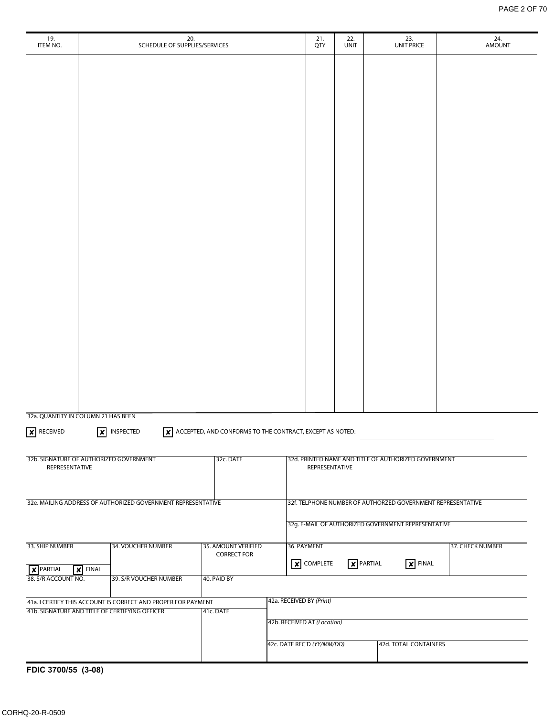| 19.<br>ITEM NO.                                |                            | 20.<br>SCHEDULE OF SUPPLIES/SERVICES                          |                                                                           |                                                     | 21.<br>QTY                                                  |  | 22.<br><b>UNIT</b>          | 23.<br><b>UNIT PRICE</b>                             | 24.<br><b>AMOUNT</b> |
|------------------------------------------------|----------------------------|---------------------------------------------------------------|---------------------------------------------------------------------------|-----------------------------------------------------|-------------------------------------------------------------|--|-----------------------------|------------------------------------------------------|----------------------|
|                                                |                            |                                                               |                                                                           |                                                     |                                                             |  |                             |                                                      |                      |
|                                                |                            |                                                               |                                                                           |                                                     |                                                             |  |                             |                                                      |                      |
|                                                |                            |                                                               |                                                                           |                                                     |                                                             |  |                             |                                                      |                      |
|                                                |                            |                                                               |                                                                           |                                                     |                                                             |  |                             |                                                      |                      |
|                                                |                            |                                                               |                                                                           |                                                     |                                                             |  |                             |                                                      |                      |
|                                                |                            |                                                               |                                                                           |                                                     |                                                             |  |                             |                                                      |                      |
|                                                |                            |                                                               |                                                                           |                                                     |                                                             |  |                             |                                                      |                      |
|                                                |                            |                                                               |                                                                           |                                                     |                                                             |  |                             |                                                      |                      |
|                                                |                            |                                                               |                                                                           |                                                     |                                                             |  |                             |                                                      |                      |
|                                                |                            |                                                               |                                                                           |                                                     |                                                             |  |                             |                                                      |                      |
|                                                |                            |                                                               |                                                                           |                                                     |                                                             |  |                             |                                                      |                      |
|                                                |                            |                                                               |                                                                           |                                                     |                                                             |  |                             |                                                      |                      |
|                                                |                            |                                                               |                                                                           |                                                     |                                                             |  |                             |                                                      |                      |
|                                                |                            |                                                               |                                                                           |                                                     |                                                             |  |                             |                                                      |                      |
|                                                |                            |                                                               |                                                                           |                                                     |                                                             |  |                             |                                                      |                      |
|                                                |                            |                                                               |                                                                           |                                                     |                                                             |  |                             |                                                      |                      |
|                                                |                            |                                                               |                                                                           |                                                     |                                                             |  |                             |                                                      |                      |
|                                                |                            |                                                               |                                                                           |                                                     |                                                             |  |                             |                                                      |                      |
|                                                |                            |                                                               |                                                                           |                                                     |                                                             |  |                             |                                                      |                      |
|                                                |                            |                                                               |                                                                           |                                                     |                                                             |  |                             |                                                      |                      |
| 32a. QUANTITY IN COLUMN 21 HAS BEEN            |                            |                                                               |                                                                           |                                                     |                                                             |  |                             |                                                      |                      |
| $\times$ RECEIVED                              | $\mathsf{X}$               | INSPECTED                                                     | $\boxed{\times}$ ACCEPTED, AND CONFORMS TO THE CONTRACT, EXCEPT AS NOTED: |                                                     |                                                             |  |                             |                                                      |                      |
| 32b. SIGNATURE OF AUTHORIZED GOVERNMENT        |                            |                                                               | 32c. DATE                                                                 |                                                     |                                                             |  |                             | 32d. PRINTED NAME AND TITLE OF AUTHORIZED GOVERNMENT |                      |
| REPRESENTATIVE                                 |                            |                                                               |                                                                           |                                                     | REPRESENTATIVE                                              |  |                             |                                                      |                      |
|                                                |                            |                                                               |                                                                           |                                                     |                                                             |  |                             |                                                      |                      |
|                                                |                            | 32e. MAILING ADDRESS OF AUTHORIZED GOVERNMENT REPRESENTATIVE  |                                                                           |                                                     | 32f. TELPHONE NUMBER OF AUTHORZED GOVERNMENT REPRESENTATIVE |  |                             |                                                      |                      |
|                                                |                            |                                                               |                                                                           | 32g. E-MAIL OF AUTHORIZED GOVERNMENT REPRESENTATIVE |                                                             |  |                             |                                                      |                      |
| 33. SHIP NUMBER<br>34. VOUCHER NUMBER          |                            | 35. AMOUNT VERIFIED<br><b>CORRECT FOR</b>                     |                                                                           | 36. PAYMENT<br>37. CHECK NUMBER                     |                                                             |  |                             |                                                      |                      |
| $\chi$ PARTIAL                                 | $\vert \times \vert$ FINAL |                                                               |                                                                           |                                                     | $\times$ COMPLETE                                           |  | $\overline{\times}$ PARTIAL | $\overline{X}$ FINAL                                 |                      |
| 38. S/R ACCOUNT NO.                            |                            | 39. S/R VOUCHER NUMBER                                        | 40. PAID BY                                                               |                                                     |                                                             |  |                             |                                                      |                      |
|                                                |                            | 41a. I CERTIFY THIS ACCOUNT IS CORRECT AND PROPER FOR PAYMENT |                                                                           |                                                     | 42a. RECEIVED BY (Print)                                    |  |                             |                                                      |                      |
| 41b. SIGNATURE AND TITLE OF CERTIFYING OFFICER |                            |                                                               | 41c. DATE                                                                 |                                                     | 42b. RECEIVED AT (Location)                                 |  |                             |                                                      |                      |
|                                                |                            |                                                               |                                                                           |                                                     | 42c. DATE REC'D (YY/MM/DD)                                  |  |                             | 42d. TOTAL CONTAINERS                                |                      |
|                                                |                            |                                                               |                                                                           |                                                     |                                                             |  |                             |                                                      |                      |

**FDIC 3700/55 (3-08)**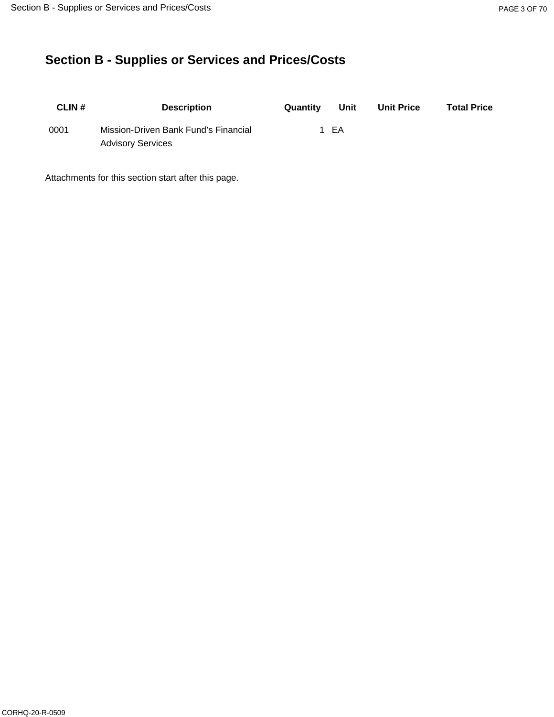# **Section B - Supplies or Services and Prices/Costs**

| <b>CLIN#</b> | <b>Description</b>                   | Quantity | Unit | <b>Unit Price</b> | <b>Total Price</b> |
|--------------|--------------------------------------|----------|------|-------------------|--------------------|
| 0001         | Mission-Driven Bank Fund's Financial |          | - EA |                   |                    |
|              | <b>Advisory Services</b>             |          |      |                   |                    |

Attachments for this section start after this page.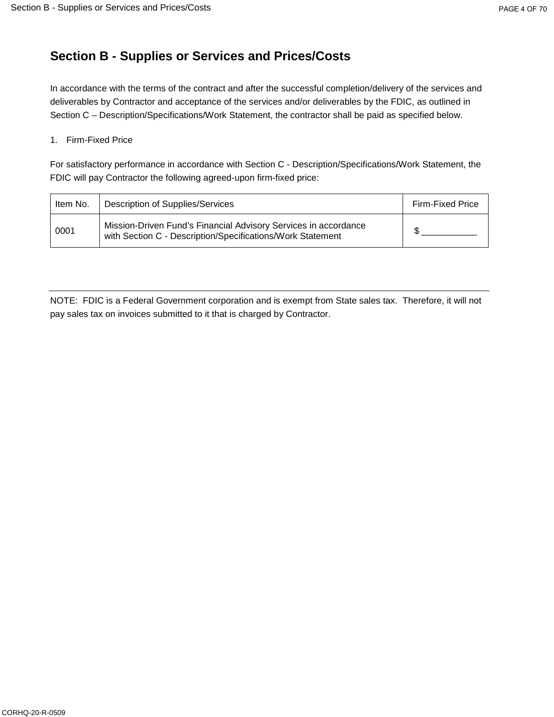# **Section B - Supplies or Services and Prices/Costs**

In accordance with the terms of the contract and after the successful completion/delivery of the services and deliverables by Contractor and acceptance of the services and/or deliverables by the FDIC, as outlined in Section C – Description/Specifications/Work Statement, the contractor shall be paid as specified below.

#### 1. Firm-Fixed Price

For satisfactory performance in accordance with Section C - Description/Specifications/Work Statement, the FDIC will pay Contractor the following agreed-upon firm-fixed price:

| Item No. | Description of Supplies/Services                                                                                              | Firm-Fixed Price |
|----------|-------------------------------------------------------------------------------------------------------------------------------|------------------|
| 0001     | Mission-Driven Fund's Financial Advisory Services in accordance<br>with Section C - Description/Specifications/Work Statement |                  |

NOTE: FDIC is a Federal Government corporation and is exempt from State sales tax. Therefore, it will not pay sales tax on invoices submitted to it that is charged by Contractor.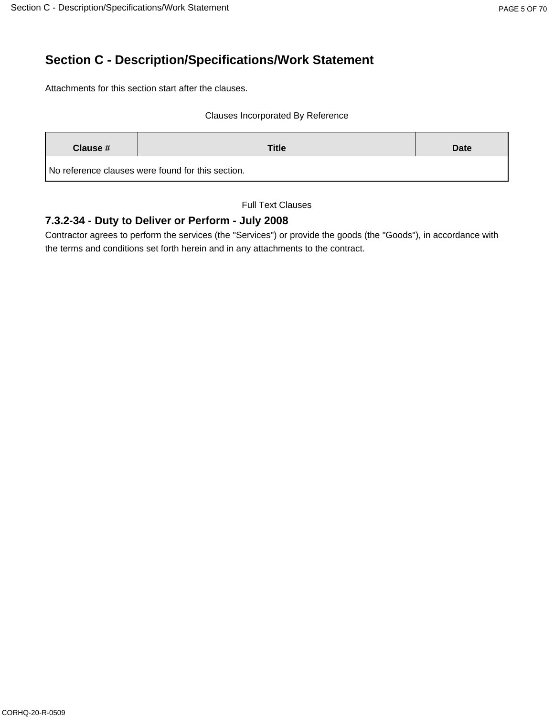# **Section C - Description/Specifications/Work Statement**

Attachments for this section start after the clauses.

#### Clauses Incorporated By Reference

| Clause # | <b>Title</b>                                      |  |
|----------|---------------------------------------------------|--|
|          | No reference clauses were found for this section. |  |

Full Text Clauses

## **7.3.2-34 - Duty to Deliver or Perform - July 2008**

Contractor agrees to perform the services (the "Services") or provide the goods (the "Goods"), in accordance with the terms and conditions set forth herein and in any attachments to the contract.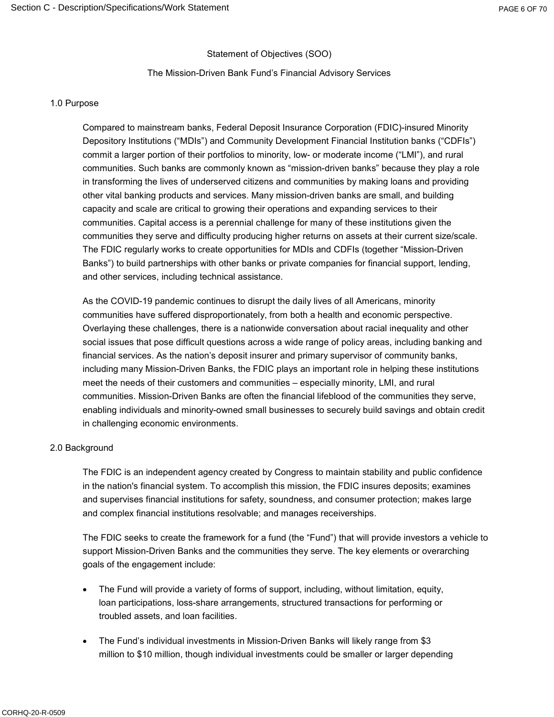#### Statement of Objectives (SOO)

#### The Mission-Driven Bank Fund's Financial Advisory Services

#### 1.0 Purpose

Compared to mainstream banks, Federal Deposit Insurance Corporation (FDIC)-insured Minority Depository Institutions ("MDIs") and Community Development Financial Institution banks ("CDFIs") commit a larger portion of their portfolios to minority, low- or moderate income ("LMI"), and rural communities. Such banks are commonly known as "mission-driven banks" because they play a role in transforming the lives of underserved citizens and communities by making loans and providing other vital banking products and services. Many mission-driven banks are small, and building capacity and scale are critical to growing their operations and expanding services to their communities. Capital access is a perennial challenge for many of these institutions given the communities they serve and difficulty producing higher returns on assets at their current size/scale. The FDIC regularly works to create opportunities for MDIs and CDFIs (together "Mission-Driven Banks") to build partnerships with other banks or private companies for financial support, lending, and other services, including technical assistance.

As the COVID-19 pandemic continues to disrupt the daily lives of all Americans, minority communities have suffered disproportionately, from both a health and economic perspective. Overlaying these challenges, there is a nationwide conversation about racial inequality and other social issues that pose difficult questions across a wide range of policy areas, including banking and financial services. As the nation's deposit insurer and primary supervisor of community banks, including many Mission-Driven Banks, the FDIC plays an important role in helping these institutions meet the needs of their customers and communities – especially minority, LMI, and rural communities. Mission-Driven Banks are often the financial lifeblood of the communities they serve, enabling individuals and minority-owned small businesses to securely build savings and obtain credit in challenging economic environments.

#### 2.0 Background

The FDIC is an independent agency created by Congress to maintain stability and public confidence in the nation's financial system. To accomplish this mission, the FDIC insures deposits; examines and supervises financial institutions for safety, soundness, and consumer protection; makes large and complex financial institutions resolvable; and manages receiverships.

The FDIC seeks to create the framework for a fund (the "Fund") that will provide investors a vehicle to support Mission-Driven Banks and the communities they serve. The key elements or overarching goals of the engagement include:

- The Fund will provide a variety of forms of support, including, without limitation, equity, loan participations, loss-share arrangements, structured transactions for performing or troubled assets, and loan facilities.
- The Fund's individual investments in Mission-Driven Banks will likely range from \$3 million to \$10 million, though individual investments could be smaller or larger depending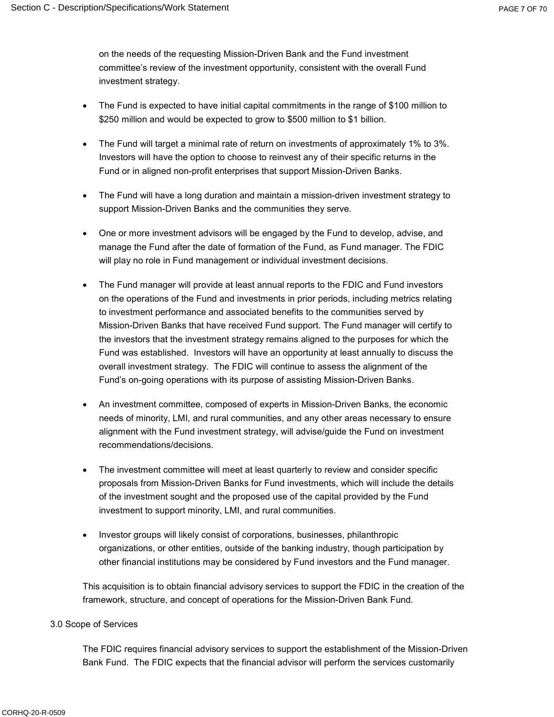on the needs of the requesting Mission-Driven Bank and the Fund investment committee's review of the investment opportunity, consistent with the overall Fund investment strategy.

- The Fund is expected to have initial capital commitments in the range of \$100 million to \$250 million and would be expected to grow to \$500 million to \$1 billion.
- The Fund will target a minimal rate of return on investments of approximately 1% to 3%. Investors will have the option to choose to reinvest any of their specific returns in the Fund or in aligned non-profit enterprises that support Mission-Driven Banks.
- The Fund will have a long duration and maintain a mission-driven investment strategy to support Mission-Driven Banks and the communities they serve.
- One or more investment advisors will be engaged by the Fund to develop, advise, and manage the Fund after the date of formation of the Fund, as Fund manager. The FDIC will play no role in Fund management or individual investment decisions.
- The Fund manager will provide at least annual reports to the FDIC and Fund investors on the operations of the Fund and investments in prior periods, including metrics relating to investment performance and associated benefits to the communities served by Mission-Driven Banks that have received Fund support. The Fund manager will certify to the investors that the investment strategy remains aligned to the purposes for which the Fund was established. Investors will have an opportunity at least annually to discuss the overall investment strategy. The FDIC will continue to assess the alignment of the Fund's on-going operations with its purpose of assisting Mission-Driven Banks.
- An investment committee, composed of experts in Mission-Driven Banks, the economic needs of minority, LMI, and rural communities, and any other areas necessary to ensure alignment with the Fund investment strategy, will advise/guide the Fund on investment recommendations/decisions.
- The investment committee will meet at least quarterly to review and consider specific proposals from Mission-Driven Banks for Fund investments, which will include the details of the investment sought and the proposed use of the capital provided by the Fund investment to support minority, LMI, and rural communities.
- Investor groups will likely consist of corporations, businesses, philanthropic organizations, or other entities, outside of the banking industry, though participation by other financial institutions may be considered by Fund investors and the Fund manager.

This acquisition is to obtain financial advisory services to support the FDIC in the creation of the framework, structure, and concept of operations for the Mission-Driven Bank Fund.

#### 3.0 Scope of Services

The FDIC requires financial advisory services to support the establishment of the Mission-Driven Bank Fund. The FDIC expects that the financial advisor will perform the services customarily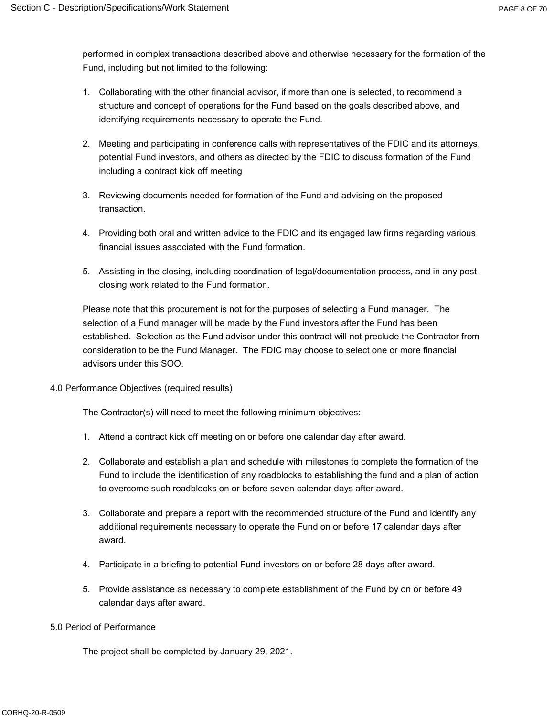performed in complex transactions described above and otherwise necessary for the formation of the Fund, including but not limited to the following:

- 1. Collaborating with the other financial advisor, if more than one is selected, to recommend a structure and concept of operations for the Fund based on the goals described above, and identifying requirements necessary to operate the Fund.
- 2. Meeting and participating in conference calls with representatives of the FDIC and its attorneys, potential Fund investors, and others as directed by the FDIC to discuss formation of the Fund including a contract kick off meeting
- 3. Reviewing documents needed for formation of the Fund and advising on the proposed transaction.
- 4. Providing both oral and written advice to the FDIC and its engaged law firms regarding various financial issues associated with the Fund formation.
- 5. Assisting in the closing, including coordination of legal/documentation process, and in any postclosing work related to the Fund formation.

Please note that this procurement is not for the purposes of selecting a Fund manager. The selection of a Fund manager will be made by the Fund investors after the Fund has been established. Selection as the Fund advisor under this contract will not preclude the Contractor from consideration to be the Fund Manager. The FDIC may choose to select one or more financial advisors under this SOO.

4.0 Performance Objectives (required results)

The Contractor(s) will need to meet the following minimum objectives:

- 1. Attend a contract kick off meeting on or before one calendar day after award.
- 2. Collaborate and establish a plan and schedule with milestones to complete the formation of the Fund to include the identification of any roadblocks to establishing the fund and a plan of action to overcome such roadblocks on or before seven calendar days after award.
- 3. Collaborate and prepare a report with the recommended structure of the Fund and identify any additional requirements necessary to operate the Fund on or before 17 calendar days after award.
- 4. Participate in a briefing to potential Fund investors on or before 28 days after award.
- 5. Provide assistance as necessary to complete establishment of the Fund by on or before 49 calendar days after award.
- 5.0 Period of Performance

The project shall be completed by January 29, 2021.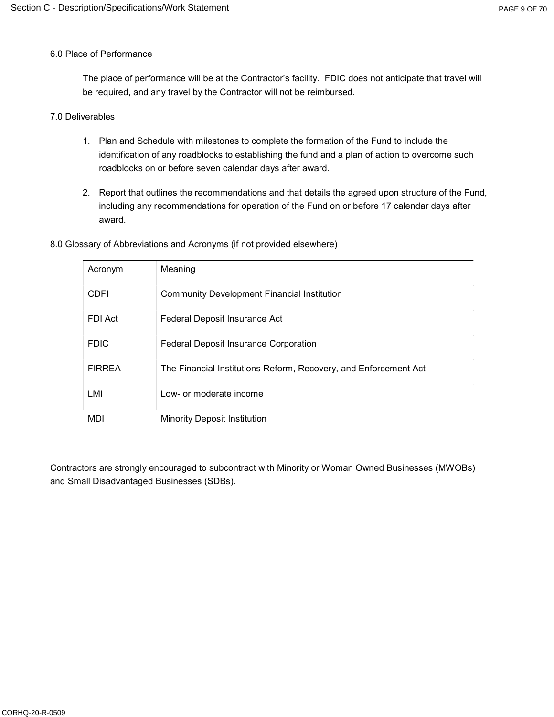#### 6.0 Place of Performance

The place of performance will be at the Contractor's facility. FDIC does not anticipate that travel will be required, and any travel by the Contractor will not be reimbursed.

#### 7.0 Deliverables

- 1. Plan and Schedule with milestones to complete the formation of the Fund to include the identification of any roadblocks to establishing the fund and a plan of action to overcome such roadblocks on or before seven calendar days after award.
- 2. Report that outlines the recommendations and that details the agreed upon structure of the Fund, including any recommendations for operation of the Fund on or before 17 calendar days after award.

| Acronym       | Meaning                                                          |
|---------------|------------------------------------------------------------------|
| <b>CDFI</b>   | <b>Community Development Financial Institution</b>               |
| FDI Act       | Federal Deposit Insurance Act                                    |
| <b>FDIC</b>   | <b>Federal Deposit Insurance Corporation</b>                     |
| <b>FIRREA</b> | The Financial Institutions Reform, Recovery, and Enforcement Act |
| LMI           | Low- or moderate income                                          |
| MDI           | <b>Minority Deposit Institution</b>                              |

8.0 Glossary of Abbreviations and Acronyms (if not provided elsewhere)

Contractors are strongly encouraged to subcontract with Minority or Woman Owned Businesses (MWOBs) and Small Disadvantaged Businesses (SDBs).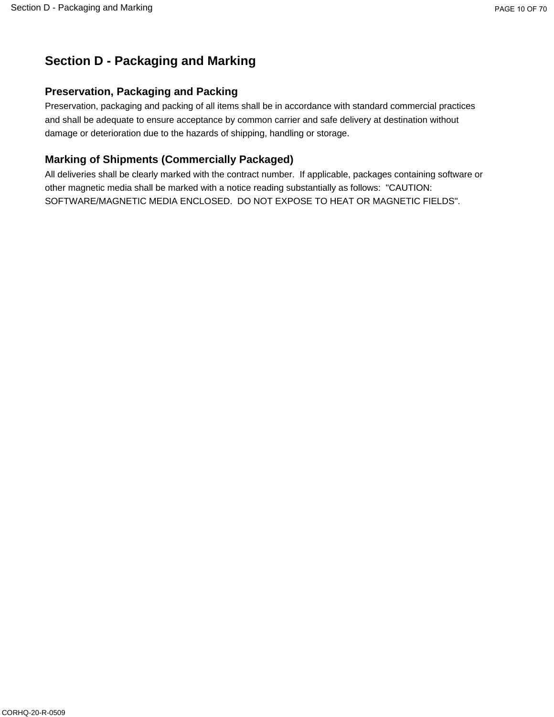# **Section D - Packaging and Marking**

## **Preservation, Packaging and Packing**

Preservation, packaging and packing of all items shall be in accordance with standard commercial practices and shall be adequate to ensure acceptance by common carrier and safe delivery at destination without damage or deterioration due to the hazards of shipping, handling or storage.

## **Marking of Shipments (Commercially Packaged)**

All deliveries shall be clearly marked with the contract number. If applicable, packages containing software or other magnetic media shall be marked with a notice reading substantially as follows: "CAUTION: SOFTWARE/MAGNETIC MEDIA ENCLOSED. DO NOT EXPOSE TO HEAT OR MAGNETIC FIELDS".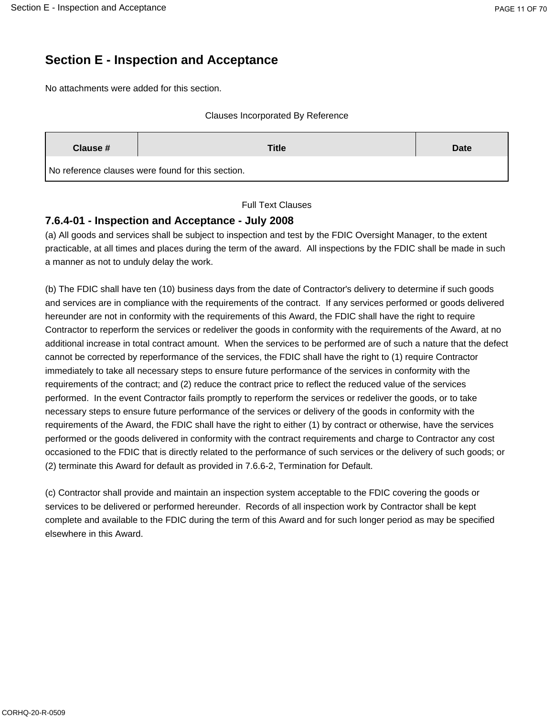# **Section E - Inspection and Acceptance**

No attachments were added for this section.

#### Clauses Incorporated By Reference

| Clause #<br><b>Title</b> |                                                   | Date |
|--------------------------|---------------------------------------------------|------|
|                          | No reference clauses were found for this section. |      |

Full Text Clauses

### **7.6.4-01 - Inspection and Acceptance - July 2008**

(a) All goods and services shall be subject to inspection and test by the FDIC Oversight Manager, to the extent practicable, at all times and places during the term of the award. All inspections by the FDIC shall be made in such a manner as not to unduly delay the work.

(b) The FDIC shall have ten (10) business days from the date of Contractor's delivery to determine if such goods and services are in compliance with the requirements of the contract. If any services performed or goods delivered hereunder are not in conformity with the requirements of this Award, the FDIC shall have the right to require Contractor to reperform the services or redeliver the goods in conformity with the requirements of the Award, at no additional increase in total contract amount. When the services to be performed are of such a nature that the defect cannot be corrected by reperformance of the services, the FDIC shall have the right to (1) require Contractor immediately to take all necessary steps to ensure future performance of the services in conformity with the requirements of the contract; and (2) reduce the contract price to reflect the reduced value of the services performed. In the event Contractor fails promptly to reperform the services or redeliver the goods, or to take necessary steps to ensure future performance of the services or delivery of the goods in conformity with the requirements of the Award, the FDIC shall have the right to either (1) by contract or otherwise, have the services performed or the goods delivered in conformity with the contract requirements and charge to Contractor any cost occasioned to the FDIC that is directly related to the performance of such services or the delivery of such goods; or (2) terminate this Award for default as provided in 7.6.6-2, Termination for Default.

(c) Contractor shall provide and maintain an inspection system acceptable to the FDIC covering the goods or services to be delivered or performed hereunder. Records of all inspection work by Contractor shall be kept complete and available to the FDIC during the term of this Award and for such longer period as may be specified elsewhere in this Award.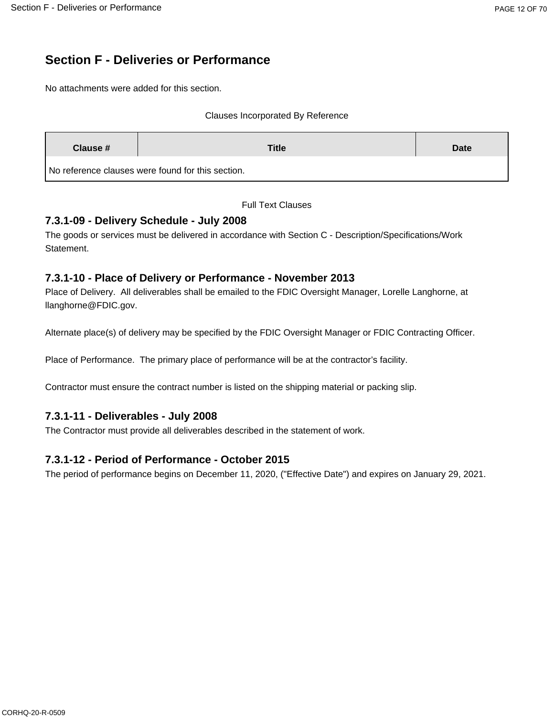# **Section F - Deliveries or Performance**

No attachments were added for this section.

#### Clauses Incorporated By Reference

| Clause # | <b>Title</b>                                      | <b>Date</b> |
|----------|---------------------------------------------------|-------------|
|          | No reference clauses were found for this section. |             |

Full Text Clauses

## **7.3.1-09 - Delivery Schedule - July 2008**

The goods or services must be delivered in accordance with Section C - Description/Specifications/Work Statement.

## **7.3.1-10 - Place of Delivery or Performance - November 2013**

Place of Delivery. All deliverables shall be emailed to the FDIC Oversight Manager, Lorelle Langhorne, at llanghorne@FDIC.gov.

Alternate place(s) of delivery may be specified by the FDIC Oversight Manager or FDIC Contracting Officer.

Place of Performance. The primary place of performance will be at the contractor's facility.

Contractor must ensure the contract number is listed on the shipping material or packing slip.

## **7.3.1-11 - Deliverables - July 2008**

The Contractor must provide all deliverables described in the statement of work.

## **7.3.1-12 - Period of Performance - October 2015**

The period of performance begins on December 11, 2020, ("Effective Date") and expires on January 29, 2021.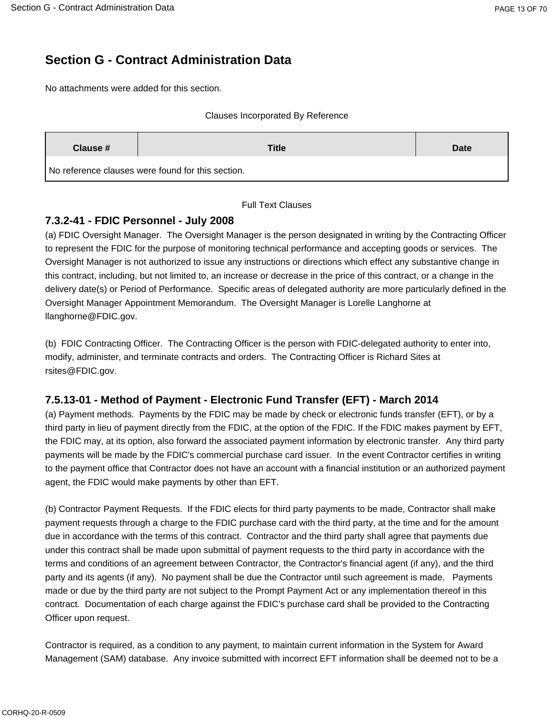# **Section G - Contract Administration Data**

No attachments were added for this section.

#### Clauses Incorporated By Reference

| Clause # | <b>Title</b>                                      | Date |
|----------|---------------------------------------------------|------|
|          | No reference clauses were found for this section. |      |

Full Text Clauses

### **7.3.2-41 - FDIC Personnel - July 2008**

(a) FDIC Oversight Manager. The Oversight Manager is the person designated in writing by the Contracting Officer to represent the FDIC for the purpose of monitoring technical performance and accepting goods or services. The Oversight Manager is not authorized to issue any instructions or directions which effect any substantive change in this contract, including, but not limited to, an increase or decrease in the price of this contract, or a change in the delivery date(s) or Period of Performance. Specific areas of delegated authority are more particularly defined in the Oversight Manager Appointment Memorandum. The Oversight Manager is Lorelle Langhorne at llanghorne@FDIC.gov.

(b) FDIC Contracting Officer. The Contracting Officer is the person with FDIC-delegated authority to enter into, modify, administer, and terminate contracts and orders. The Contracting Officer is Richard Sites at rsites@FDIC.gov.

### **7.5.13-01 - Method of Payment - Electronic Fund Transfer (EFT) - March 2014**

(a) Payment methods. Payments by the FDIC may be made by check or electronic funds transfer (EFT), or by a third party in lieu of payment directly from the FDIC, at the option of the FDIC. If the FDIC makes payment by EFT, the FDIC may, at its option, also forward the associated payment information by electronic transfer. Any third party payments will be made by the FDIC's commercial purchase card issuer. In the event Contractor certifies in writing to the payment office that Contractor does not have an account with a financial institution or an authorized payment agent, the FDIC would make payments by other than EFT.

(b) Contractor Payment Requests. If the FDIC elects for third party payments to be made, Contractor shall make payment requests through a charge to the FDIC purchase card with the third party, at the time and for the amount due in accordance with the terms of this contract. Contractor and the third party shall agree that payments due under this contract shall be made upon submittal of payment requests to the third party in accordance with the terms and conditions of an agreement between Contractor, the Contractor's financial agent (if any), and the third party and its agents (if any). No payment shall be due the Contractor until such agreement is made. Payments made or due by the third party are not subject to the Prompt Payment Act or any implementation thereof in this contract. Documentation of each charge against the FDIC's purchase card shall be provided to the Contracting Officer upon request.

Contractor is required, as a condition to any payment, to maintain current information in the System for Award Management (SAM) database. Any invoice submitted with incorrect EFT information shall be deemed not to be a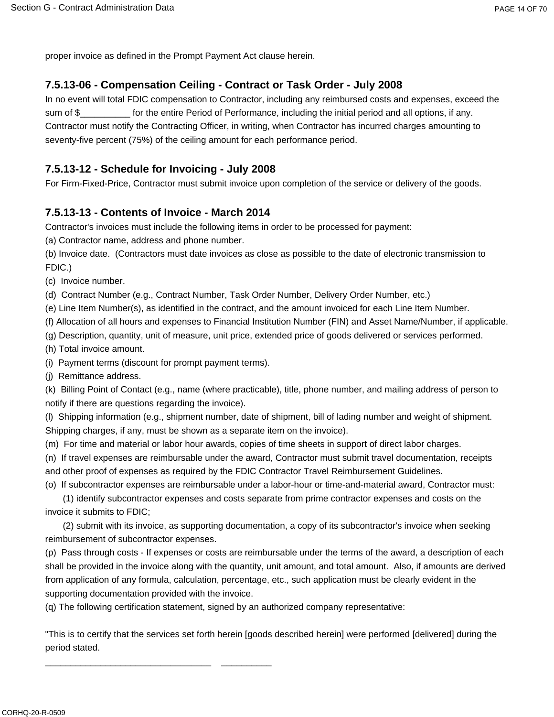proper invoice as defined in the Prompt Payment Act clause herein.

## **7.5.13-06 - Compensation Ceiling - Contract or Task Order - July 2008**

In no event will total FDIC compensation to Contractor, including any reimbursed costs and expenses, exceed the sum of \$\_\_\_\_\_\_\_\_\_\_\_\_ for the entire Period of Performance, including the initial period and all options, if any. Contractor must notify the Contracting Officer, in writing, when Contractor has incurred charges amounting to seventy-five percent (75%) of the ceiling amount for each performance period.

## **7.5.13-12 - Schedule for Invoicing - July 2008**

For Firm-Fixed-Price, Contractor must submit invoice upon completion of the service or delivery of the goods.

## **7.5.13-13 - Contents of Invoice - March 2014**

Contractor's invoices must include the following items in order to be processed for payment:

(a) Contractor name, address and phone number.

(b) Invoice date. (Contractors must date invoices as close as possible to the date of electronic transmission to FDIC.)

(c) Invoice number.

(d) Contract Number (e.g., Contract Number, Task Order Number, Delivery Order Number, etc.)

(e) Line Item Number(s), as identified in the contract, and the amount invoiced for each Line Item Number.

(f) Allocation of all hours and expenses to Financial Institution Number (FIN) and Asset Name/Number, if applicable.

(g) Description, quantity, unit of measure, unit price, extended price of goods delivered or services performed.

(h) Total invoice amount.

(i) Payment terms (discount for prompt payment terms).

\_\_\_\_\_\_\_\_\_\_\_\_\_\_\_\_\_\_\_\_\_\_\_\_\_\_\_\_\_\_\_\_\_ \_\_\_\_\_\_\_\_\_\_

(j) Remittance address.

(k) Billing Point of Contact (e.g., name (where practicable), title, phone number, and mailing address of person to notify if there are questions regarding the invoice).

(l) Shipping information (e.g., shipment number, date of shipment, bill of lading number and weight of shipment. Shipping charges, if any, must be shown as a separate item on the invoice).

(m) For time and material or labor hour awards, copies of time sheets in support of direct labor charges.

(n) If travel expenses are reimbursable under the award, Contractor must submit travel documentation, receipts and other proof of expenses as required by the FDIC Contractor Travel Reimbursement Guidelines.

(o) If subcontractor expenses are reimbursable under a labor-hour or time-and-material award, Contractor must:

(1) identify subcontractor expenses and costs separate from prime contractor expenses and costs on the invoice it submits to FDIC;

(2) submit with its invoice, as supporting documentation, a copy of its subcontractor's invoice when seeking reimbursement of subcontractor expenses.

(p) Pass through costs - If expenses or costs are reimbursable under the terms of the award, a description of each shall be provided in the invoice along with the quantity, unit amount, and total amount. Also, if amounts are derived from application of any formula, calculation, percentage, etc., such application must be clearly evident in the supporting documentation provided with the invoice.

(q) The following certification statement, signed by an authorized company representative:

"This is to certify that the services set forth herein [goods described herein] were performed [delivered] during the period stated.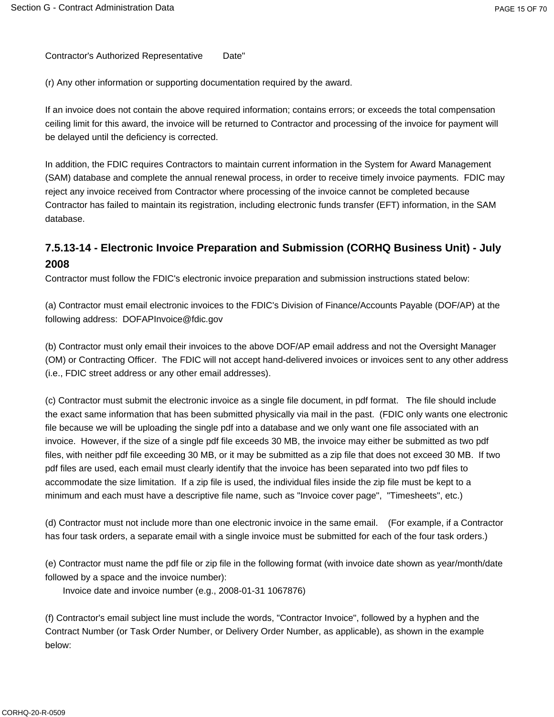Contractor's Authorized Representative Date"

(r) Any other information or supporting documentation required by the award.

If an invoice does not contain the above required information; contains errors; or exceeds the total compensation ceiling limit for this award, the invoice will be returned to Contractor and processing of the invoice for payment will be delayed until the deficiency is corrected.

In addition, the FDIC requires Contractors to maintain current information in the System for Award Management (SAM) database and complete the annual renewal process, in order to receive timely invoice payments. FDIC may reject any invoice received from Contractor where processing of the invoice cannot be completed because Contractor has failed to maintain its registration, including electronic funds transfer (EFT) information, in the SAM database.

## **7.5.13-14 - Electronic Invoice Preparation and Submission (CORHQ Business Unit) - July 2008**

Contractor must follow the FDIC's electronic invoice preparation and submission instructions stated below:

(a) Contractor must email electronic invoices to the FDIC's Division of Finance/Accounts Payable (DOF/AP) at the following address: DOFAPInvoice@fdic.gov

(b) Contractor must only email their invoices to the above DOF/AP email address and not the Oversight Manager (OM) or Contracting Officer. The FDIC will not accept hand-delivered invoices or invoices sent to any other address (i.e., FDIC street address or any other email addresses).

(c) Contractor must submit the electronic invoice as a single file document, in pdf format. The file should include the exact same information that has been submitted physically via mail in the past. (FDIC only wants one electronic file because we will be uploading the single pdf into a database and we only want one file associated with an invoice. However, if the size of a single pdf file exceeds 30 MB, the invoice may either be submitted as two pdf files, with neither pdf file exceeding 30 MB, or it may be submitted as a zip file that does not exceed 30 MB. If two pdf files are used, each email must clearly identify that the invoice has been separated into two pdf files to accommodate the size limitation. If a zip file is used, the individual files inside the zip file must be kept to a minimum and each must have a descriptive file name, such as "Invoice cover page", "Timesheets", etc.)

(d) Contractor must not include more than one electronic invoice in the same email. (For example, if a Contractor has four task orders, a separate email with a single invoice must be submitted for each of the four task orders.)

(e) Contractor must name the pdf file or zip file in the following format (with invoice date shown as year/month/date followed by a space and the invoice number):

Invoice date and invoice number (e.g., 2008-01-31 1067876)

(f) Contractor's email subject line must include the words, "Contractor Invoice", followed by a hyphen and the Contract Number (or Task Order Number, or Delivery Order Number, as applicable), as shown in the example below: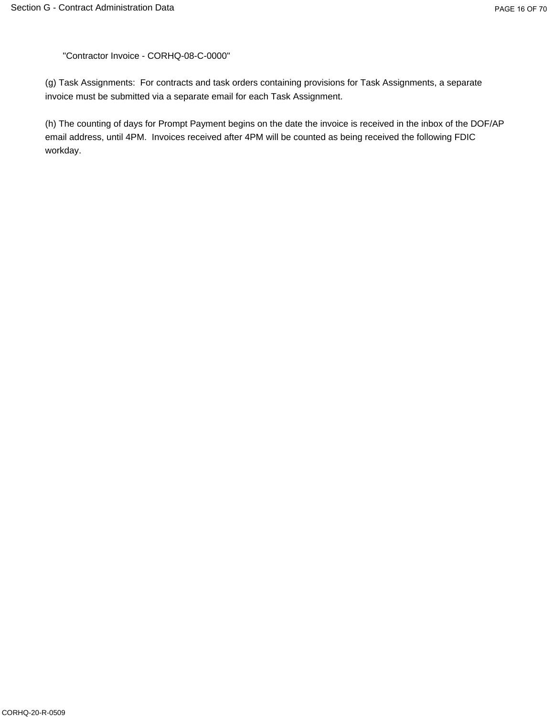"Contractor Invoice - CORHQ-08-C-0000"

(g) Task Assignments: For contracts and task orders containing provisions for Task Assignments, a separate invoice must be submitted via a separate email for each Task Assignment.

(h) The counting of days for Prompt Payment begins on the date the invoice is received in the inbox of the DOF/AP email address, until 4PM. Invoices received after 4PM will be counted as being received the following FDIC workday.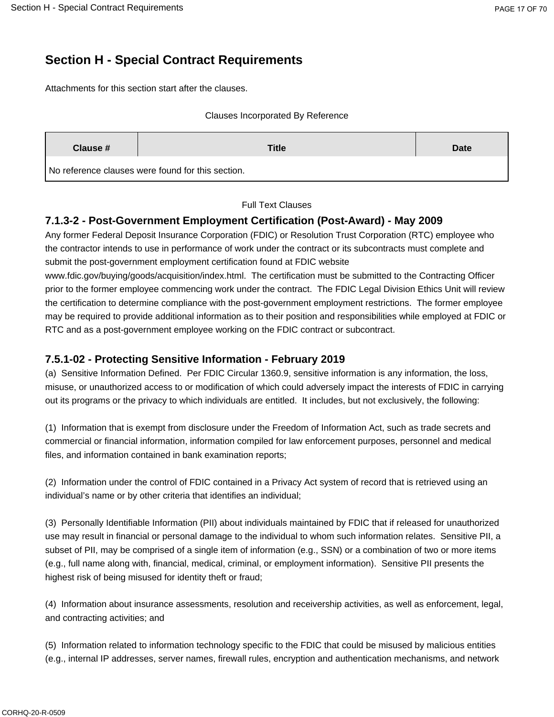# **Section H - Special Contract Requirements**

Attachments for this section start after the clauses.

#### Clauses Incorporated By Reference

| Clause # | Title                                             | Date |
|----------|---------------------------------------------------|------|
|          | No reference clauses were found for this section. |      |

#### Full Text Clauses

### **7.1.3-2 - Post-Government Employment Certification (Post-Award) - May 2009**

Any former Federal Deposit Insurance Corporation (FDIC) or Resolution Trust Corporation (RTC) employee who the contractor intends to use in performance of work under the contract or its subcontracts must complete and submit the post-government employment certification found at FDIC website

www.fdic.gov/buying/goods/acquisition/index.html. The certification must be submitted to the Contracting Officer prior to the former employee commencing work under the contract. The FDIC Legal Division Ethics Unit will review the certification to determine compliance with the post-government employment restrictions. The former employee may be required to provide additional information as to their position and responsibilities while employed at FDIC or RTC and as a post-government employee working on the FDIC contract or subcontract.

### **7.5.1-02 - Protecting Sensitive Information - February 2019**

(a) Sensitive Information Defined. Per FDIC Circular 1360.9, sensitive information is any information, the loss, misuse, or unauthorized access to or modification of which could adversely impact the interests of FDIC in carrying out its programs or the privacy to which individuals are entitled. It includes, but not exclusively, the following:

(1) Information that is exempt from disclosure under the Freedom of Information Act, such as trade secrets and commercial or financial information, information compiled for law enforcement purposes, personnel and medical files, and information contained in bank examination reports;

(2) Information under the control of FDIC contained in a Privacy Act system of record that is retrieved using an individual's name or by other criteria that identifies an individual;

(3) Personally Identifiable Information (PII) about individuals maintained by FDIC that if released for unauthorized use may result in financial or personal damage to the individual to whom such information relates. Sensitive PII, a subset of PII, may be comprised of a single item of information (e.g., SSN) or a combination of two or more items (e.g., full name along with, financial, medical, criminal, or employment information). Sensitive PII presents the highest risk of being misused for identity theft or fraud;

(4) Information about insurance assessments, resolution and receivership activities, as well as enforcement, legal, and contracting activities; and

(5) Information related to information technology specific to the FDIC that could be misused by malicious entities (e.g., internal IP addresses, server names, firewall rules, encryption and authentication mechanisms, and network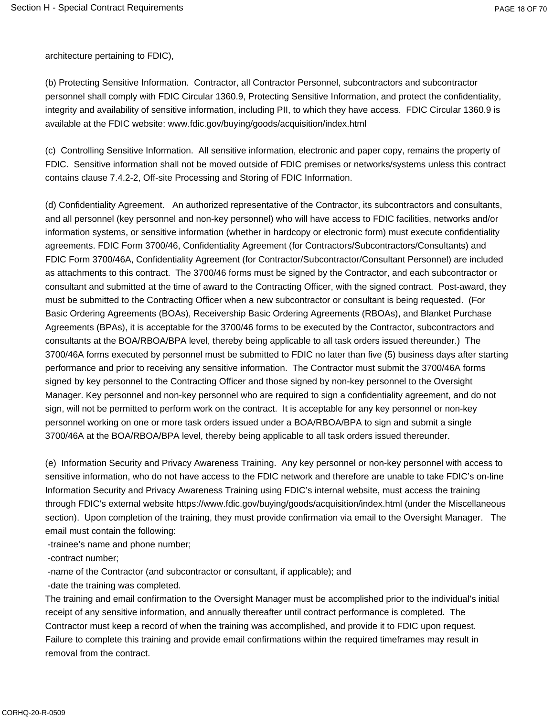architecture pertaining to FDIC),

(b) Protecting Sensitive Information. Contractor, all Contractor Personnel, subcontractors and subcontractor personnel shall comply with FDIC Circular 1360.9, Protecting Sensitive Information, and protect the confidentiality, integrity and availability of sensitive information, including PII, to which they have access. FDIC Circular 1360.9 is available at the FDIC website: www.fdic.gov/buying/goods/acquisition/index.html

(c) Controlling Sensitive Information. All sensitive information, electronic and paper copy, remains the property of FDIC. Sensitive information shall not be moved outside of FDIC premises or networks/systems unless this contract contains clause 7.4.2-2, Off-site Processing and Storing of FDIC Information.

(d) Confidentiality Agreement. An authorized representative of the Contractor, its subcontractors and consultants, and all personnel (key personnel and non-key personnel) who will have access to FDIC facilities, networks and/or information systems, or sensitive information (whether in hardcopy or electronic form) must execute confidentiality agreements. FDIC Form 3700/46, Confidentiality Agreement (for Contractors/Subcontractors/Consultants) and FDIC Form 3700/46A, Confidentiality Agreement (for Contractor/Subcontractor/Consultant Personnel) are included as attachments to this contract. The 3700/46 forms must be signed by the Contractor, and each subcontractor or consultant and submitted at the time of award to the Contracting Officer, with the signed contract. Post-award, they must be submitted to the Contracting Officer when a new subcontractor or consultant is being requested. (For Basic Ordering Agreements (BOAs), Receivership Basic Ordering Agreements (RBOAs), and Blanket Purchase Agreements (BPAs), it is acceptable for the 3700/46 forms to be executed by the Contractor, subcontractors and consultants at the BOA/RBOA/BPA level, thereby being applicable to all task orders issued thereunder.) The 3700/46A forms executed by personnel must be submitted to FDIC no later than five (5) business days after starting performance and prior to receiving any sensitive information. The Contractor must submit the 3700/46A forms signed by key personnel to the Contracting Officer and those signed by non-key personnel to the Oversight Manager. Key personnel and non-key personnel who are required to sign a confidentiality agreement, and do not sign, will not be permitted to perform work on the contract. It is acceptable for any key personnel or non-key personnel working on one or more task orders issued under a BOA/RBOA/BPA to sign and submit a single 3700/46A at the BOA/RBOA/BPA level, thereby being applicable to all task orders issued thereunder.

(e) Information Security and Privacy Awareness Training. Any key personnel or non-key personnel with access to sensitive information, who do not have access to the FDIC network and therefore are unable to take FDIC's on-line Information Security and Privacy Awareness Training using FDIC's internal website, must access the training through FDIC's external website https://www.fdic.gov/buying/goods/acquisition/index.html (under the Miscellaneous section). Upon completion of the training, they must provide confirmation via email to the Oversight Manager. The email must contain the following:

-trainee's name and phone number;

-contract number;

-name of the Contractor (and subcontractor or consultant, if applicable); and

-date the training was completed.

The training and email confirmation to the Oversight Manager must be accomplished prior to the individual's initial receipt of any sensitive information, and annually thereafter until contract performance is completed. The Contractor must keep a record of when the training was accomplished, and provide it to FDIC upon request. Failure to complete this training and provide email confirmations within the required timeframes may result in removal from the contract.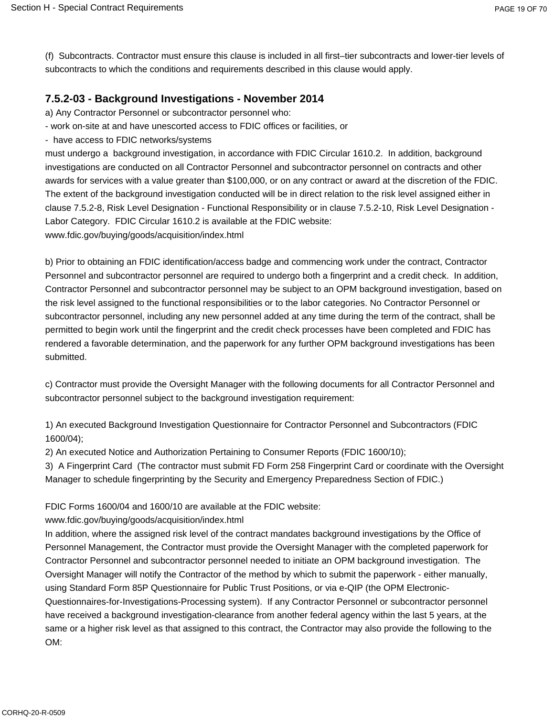(f) Subcontracts. Contractor must ensure this clause is included in all first–tier subcontracts and lower-tier levels of subcontracts to which the conditions and requirements described in this clause would apply.

## **7.5.2-03 - Background Investigations - November 2014**

a) Any Contractor Personnel or subcontractor personnel who:

- work on-site at and have unescorted access to FDIC offices or facilities, or
- have access to FDIC networks/systems

must undergo a background investigation, in accordance with FDIC Circular 1610.2. In addition, background investigations are conducted on all Contractor Personnel and subcontractor personnel on contracts and other awards for services with a value greater than \$100,000, or on any contract or award at the discretion of the FDIC. The extent of the background investigation conducted will be in direct relation to the risk level assigned either in clause 7.5.2-8, Risk Level Designation - Functional Responsibility or in clause 7.5.2-10, Risk Level Designation - Labor Category. FDIC Circular 1610.2 is available at the FDIC website: www.fdic.gov/buying/goods/acquisition/index.html

b) Prior to obtaining an FDIC identification/access badge and commencing work under the contract, Contractor Personnel and subcontractor personnel are required to undergo both a fingerprint and a credit check. In addition, Contractor Personnel and subcontractor personnel may be subject to an OPM background investigation, based on the risk level assigned to the functional responsibilities or to the labor categories. No Contractor Personnel or subcontractor personnel, including any new personnel added at any time during the term of the contract, shall be permitted to begin work until the fingerprint and the credit check processes have been completed and FDIC has rendered a favorable determination, and the paperwork for any further OPM background investigations has been submitted.

c) Contractor must provide the Oversight Manager with the following documents for all Contractor Personnel and subcontractor personnel subject to the background investigation requirement:

1) An executed Background Investigation Questionnaire for Contractor Personnel and Subcontractors (FDIC 1600/04);

2) An executed Notice and Authorization Pertaining to Consumer Reports (FDIC 1600/10);

3) A Fingerprint Card (The contractor must submit FD Form 258 Fingerprint Card or coordinate with the Oversight Manager to schedule fingerprinting by the Security and Emergency Preparedness Section of FDIC.)

FDIC Forms 1600/04 and 1600/10 are available at the FDIC website:

www.fdic.gov/buying/goods/acquisition/index.html

In addition, where the assigned risk level of the contract mandates background investigations by the Office of Personnel Management, the Contractor must provide the Oversight Manager with the completed paperwork for Contractor Personnel and subcontractor personnel needed to initiate an OPM background investigation. The Oversight Manager will notify the Contractor of the method by which to submit the paperwork - either manually, using Standard Form 85P Questionnaire for Public Trust Positions, or via e-QIP (the OPM Electronic-Questionnaires-for-Investigations-Processing system). If any Contractor Personnel or subcontractor personnel have received a background investigation-clearance from another federal agency within the last 5 years, at the same or a higher risk level as that assigned to this contract, the Contractor may also provide the following to the OM: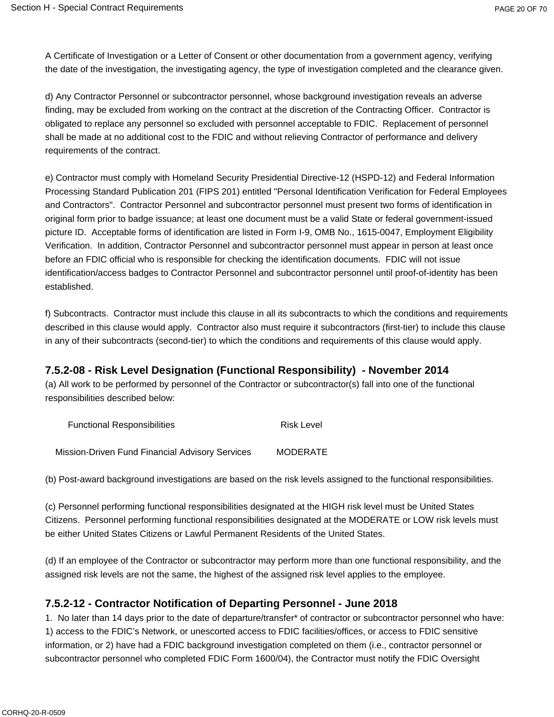A Certificate of Investigation or a Letter of Consent or other documentation from a government agency, verifying the date of the investigation, the investigating agency, the type of investigation completed and the clearance given.

d) Any Contractor Personnel or subcontractor personnel, whose background investigation reveals an adverse finding, may be excluded from working on the contract at the discretion of the Contracting Officer. Contractor is obligated to replace any personnel so excluded with personnel acceptable to FDIC. Replacement of personnel shall be made at no additional cost to the FDIC and without relieving Contractor of performance and delivery requirements of the contract.

e) Contractor must comply with Homeland Security Presidential Directive-12 (HSPD-12) and Federal Information Processing Standard Publication 201 (FIPS 201) entitled "Personal Identification Verification for Federal Employees and Contractors". Contractor Personnel and subcontractor personnel must present two forms of identification in original form prior to badge issuance; at least one document must be a valid State or federal government-issued picture ID. Acceptable forms of identification are listed in Form I-9, OMB No., 1615-0047, Employment Eligibility Verification. In addition, Contractor Personnel and subcontractor personnel must appear in person at least once before an FDIC official who is responsible for checking the identification documents. FDIC will not issue identification/access badges to Contractor Personnel and subcontractor personnel until proof-of-identity has been established.

f) Subcontracts. Contractor must include this clause in all its subcontracts to which the conditions and requirements described in this clause would apply. Contractor also must require it subcontractors (first-tier) to include this clause in any of their subcontracts (second-tier) to which the conditions and requirements of this clause would apply.

### **7.5.2-08 - Risk Level Designation (Functional Responsibility) - November 2014**

(a) All work to be performed by personnel of the Contractor or subcontractor(s) fall into one of the functional responsibilities described below:

| <b>Functional Responsibilities</b>              | Risk Level      |
|-------------------------------------------------|-----------------|
| Mission-Driven Fund Financial Advisory Services | <b>MODERATE</b> |

(b) Post-award background investigations are based on the risk levels assigned to the functional responsibilities.

(c) Personnel performing functional responsibilities designated at the HIGH risk level must be United States Citizens. Personnel performing functional responsibilities designated at the MODERATE or LOW risk levels must be either United States Citizens or Lawful Permanent Residents of the United States.

(d) If an employee of the Contractor or subcontractor may perform more than one functional responsibility, and the assigned risk levels are not the same, the highest of the assigned risk level applies to the employee.

### **7.5.2-12 - Contractor Notification of Departing Personnel - June 2018**

1. No later than 14 days prior to the date of departure/transfer\* of contractor or subcontractor personnel who have: 1) access to the FDIC's Network, or unescorted access to FDIC facilities/offices, or access to FDIC sensitive information, or 2) have had a FDIC background investigation completed on them (i.e., contractor personnel or subcontractor personnel who completed FDIC Form 1600/04), the Contractor must notify the FDIC Oversight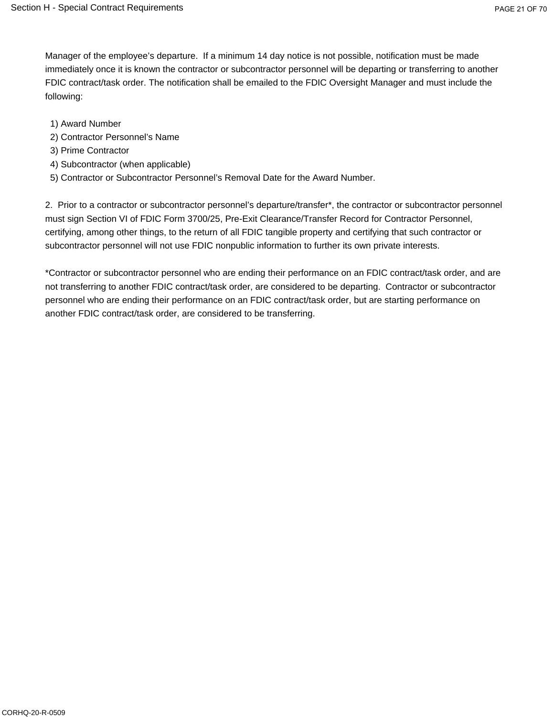Manager of the employee's departure. If a minimum 14 day notice is not possible, notification must be made immediately once it is known the contractor or subcontractor personnel will be departing or transferring to another FDIC contract/task order. The notification shall be emailed to the FDIC Oversight Manager and must include the following:

- 1) Award Number
- 2) Contractor Personnel's Name
- 3) Prime Contractor
- 4) Subcontractor (when applicable)
- 5) Contractor or Subcontractor Personnel's Removal Date for the Award Number.

2. Prior to a contractor or subcontractor personnel's departure/transfer\*, the contractor or subcontractor personnel must sign Section VI of FDIC Form 3700/25, Pre-Exit Clearance/Transfer Record for Contractor Personnel, certifying, among other things, to the return of all FDIC tangible property and certifying that such contractor or subcontractor personnel will not use FDIC nonpublic information to further its own private interests.

\*Contractor or subcontractor personnel who are ending their performance on an FDIC contract/task order, and are not transferring to another FDIC contract/task order, are considered to be departing. Contractor or subcontractor personnel who are ending their performance on an FDIC contract/task order, but are starting performance on another FDIC contract/task order, are considered to be transferring.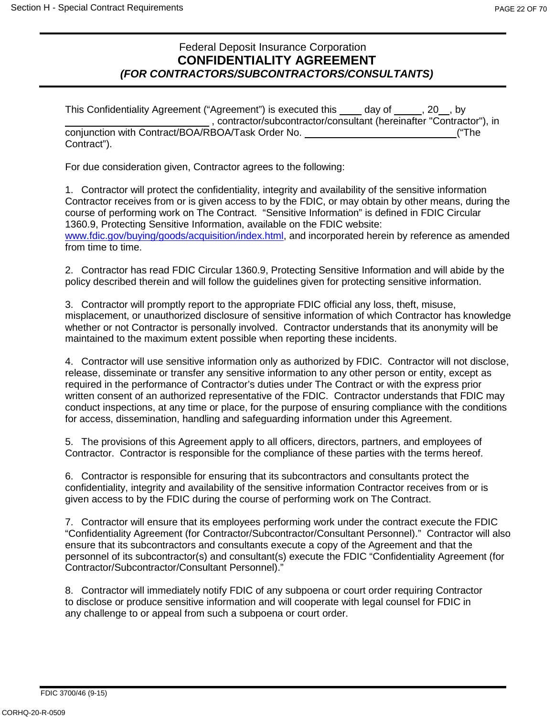## Federal Deposit Insurance Corporation **CONFIDENTIALITY AGREEMENT** *(FOR CONTRACTORS/SUBCONTRACTORS/CONSULTANTS)*

| This Confidentiality Agreement ("Agreement") is executed this day of , 20, by |       |
|-------------------------------------------------------------------------------|-------|
| contractor/subcontractor/consultant (hereinafter "Contractor"), in            |       |
| conjunction with Contract/BOA/RBOA/Task Order No.                             | ("The |
| Contract").                                                                   |       |

For due consideration given, Contractor agrees to the following:

1. Contractor will protect the confidentiality, integrity and availability of the sensitive information Contractor receives from or is given access to by the FDIC, or may obtain by other means, during the course of performing work on The Contract. "Sensitive Information" is defined in FDIC Circular 1360.9, Protecting Sensitive Information, available on the FDIC website: [www.fdic.gov/buying/goods/acquisition/index.html,](http://www.fdic.gov/buying/goods/acquisition/index.html) and incorporated herein by reference as amended from time to time.

2. Contractor has read FDIC Circular 1360.9, Protecting Sensitive Information and will abide by the policy described therein and will follow the guidelines given for protecting sensitive information.

3. Contractor will promptly report to the appropriate FDIC official any loss, theft, misuse, misplacement, or unauthorized disclosure of sensitive information of which Contractor has knowledge whether or not Contractor is personally involved. Contractor understands that its anonymity will be maintained to the maximum extent possible when reporting these incidents.

4. Contractor will use sensitive information only as authorized by FDIC. Contractor will not disclose, release, disseminate or transfer any sensitive information to any other person or entity, except as required in the performance of Contractor's duties under The Contract or with the express prior written consent of an authorized representative of the FDIC. Contractor understands that FDIC may conduct inspections, at any time or place, for the purpose of ensuring compliance with the conditions for access, dissemination, handling and safeguarding information under this Agreement.

5. The provisions of this Agreement apply to all officers, directors, partners, and employees of Contractor. Contractor is responsible for the compliance of these parties with the terms hereof.

6. Contractor is responsible for ensuring that its subcontractors and consultants protect the confidentiality, integrity and availability of the sensitive information Contractor receives from or is given access to by the FDIC during the course of performing work on The Contract.

7. Contractor will ensure that its employees performing work under the contract execute the FDIC "Confidentiality Agreement (for Contractor/Subcontractor/Consultant Personnel)." Contractor will also ensure that its subcontractors and consultants execute a copy of the Agreement and that the personnel of its subcontractor(s) and consultant(s) execute the FDIC "Confidentiality Agreement (for Contractor/Subcontractor/Consultant Personnel)."

8. Contractor will immediately notify FDIC of any subpoena or court order requiring Contractor to disclose or produce sensitive information and will cooperate with legal counsel for FDIC in any challenge to or appeal from such a subpoena or court order.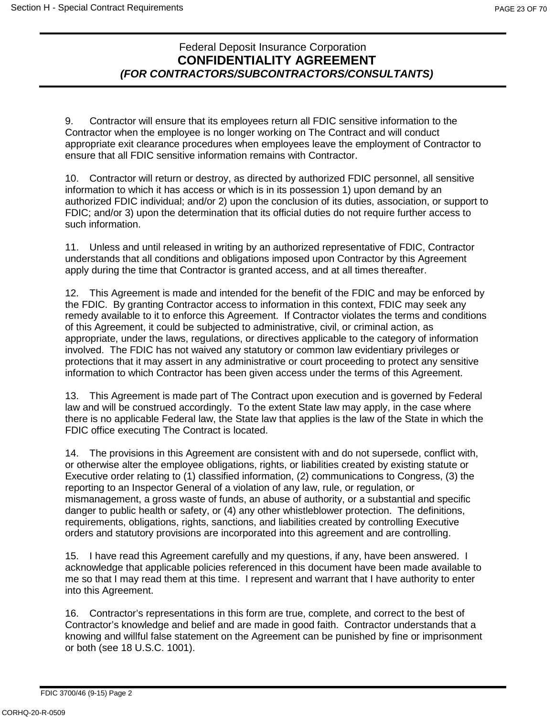## Federal Deposit Insurance Corporation **CONFIDENTIALITY AGREEMENT** *(FOR CONTRACTORS/SUBCONTRACTORS/CONSULTANTS)*

9. Contractor will ensure that its employees return all FDIC sensitive information to the Contractor when the employee is no longer working on The Contract and will conduct appropriate exit clearance procedures when employees leave the employment of Contractor to ensure that all FDIC sensitive information remains with Contractor.

10. Contractor will return or destroy, as directed by authorized FDIC personnel, all sensitive information to which it has access or which is in its possession 1) upon demand by an authorized FDIC individual; and/or 2) upon the conclusion of its duties, association, or support to FDIC; and/or 3) upon the determination that its official duties do not require further access to such information.

11. Unless and until released in writing by an authorized representative of FDIC, Contractor understands that all conditions and obligations imposed upon Contractor by this Agreement apply during the time that Contractor is granted access, and at all times thereafter.

12. This Agreement is made and intended for the benefit of the FDIC and may be enforced by the FDIC. By granting Contractor access to information in this context, FDIC may seek any remedy available to it to enforce this Agreement. If Contractor violates the terms and conditions of this Agreement, it could be subjected to administrative, civil, or criminal action, as appropriate, under the laws, regulations, or directives applicable to the category of information involved. The FDIC has not waived any statutory or common law evidentiary privileges or protections that it may assert in any administrative or court proceeding to protect any sensitive information to which Contractor has been given access under the terms of this Agreement.

13. This Agreement is made part of The Contract upon execution and is governed by Federal law and will be construed accordingly. To the extent State law may apply, in the case where there is no applicable Federal law, the State law that applies is the law of the State in which the FDIC office executing The Contract is located.

14. The provisions in this Agreement are consistent with and do not supersede, conflict with, or otherwise alter the employee obligations, rights, or liabilities created by existing statute or Executive order relating to (1) classified information, (2) communications to Congress, (3) the reporting to an Inspector General of a violation of any law, rule, or regulation, or mismanagement, a gross waste of funds, an abuse of authority, or a substantial and specific danger to public health or safety, or (4) any other whistleblower protection. The definitions, requirements, obligations, rights, sanctions, and liabilities created by controlling Executive orders and statutory provisions are incorporated into this agreement and are controlling.

15. I have read this Agreement carefully and my questions, if any, have been answered. I acknowledge that applicable policies referenced in this document have been made available to me so that I may read them at this time. I represent and warrant that I have authority to enter into this Agreement.

16. Contractor's representations in this form are true, complete, and correct to the best of Contractor's knowledge and belief and are made in good faith. Contractor understands that a knowing and willful false statement on the Agreement can be punished by fine or imprisonment or both (see 18 U.S.C. 1001).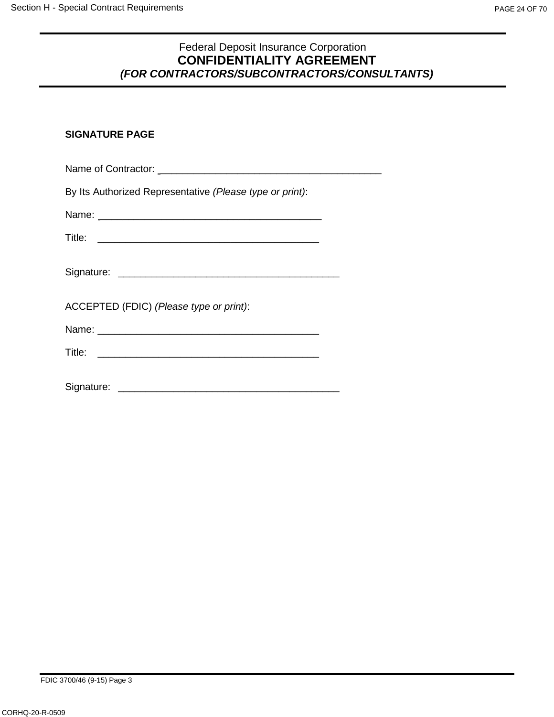### Federal Deposit Insurance Corporation **CONFIDENTIALITY AGREEMENT** *(FOR CONTRACTORS/SUBCONTRACTORS/CONSULTANTS)*

## **SIGNATURE PAGE**

| By Its Authorized Representative (Please type or print):                                                                                                                                                                      |  |
|-------------------------------------------------------------------------------------------------------------------------------------------------------------------------------------------------------------------------------|--|
| Name: Name: Name: Name: Name: Name: Name: Name: Name: Name: Name: Name: Name: Name: Name: Name: Name: Name: Name: Name: Name: Name: Name: Name: Name: Name: Name: Name: Name: Name: Name: Name: Name: Name: Name: Name: Name: |  |
|                                                                                                                                                                                                                               |  |
|                                                                                                                                                                                                                               |  |
| ACCEPTED (FDIC) (Please type or print):                                                                                                                                                                                       |  |
|                                                                                                                                                                                                                               |  |
|                                                                                                                                                                                                                               |  |
|                                                                                                                                                                                                                               |  |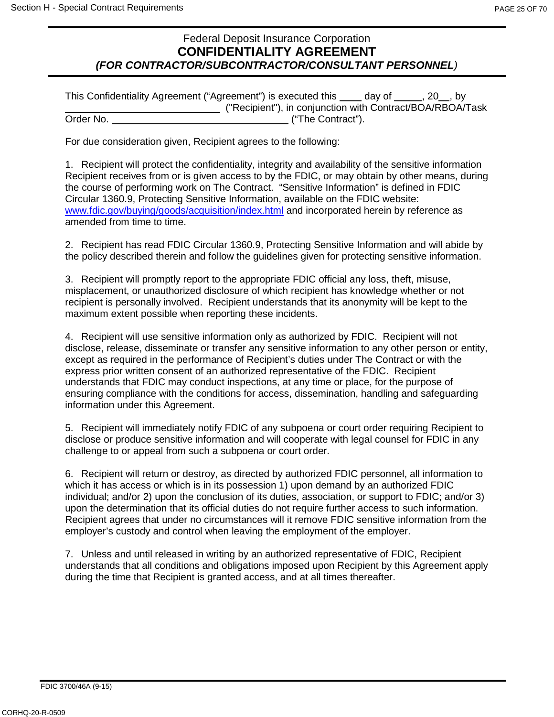### Federal Deposit Insurance Corporation **CONFIDENTIALITY AGREEMENT** *(FOR CONTRACTOR/SUBCONTRACTOR/CONSULTANT PERSONNEL)*

| This Confidentiality Agreement ("Agreement") is executed this |                                                           | day of | $, 20$ , by |
|---------------------------------------------------------------|-----------------------------------------------------------|--------|-------------|
|                                                               | ("Recipient"), in conjunction with Contract/BOA/RBOA/Task |        |             |
| Order No.                                                     | ("The Contract").                                         |        |             |

For due consideration given, Recipient agrees to the following:

1. Recipient will protect the confidentiality, integrity and availability of the sensitive information Recipient receives from or is given access to by the FDIC, or may obtain by other means, during the course of performing work on The Contract. "Sensitive Information" is defined in FDIC Circular 1360.9, Protecting Sensitive Information, available on the FDIC website: [www.fdic.gov/buying/goods/acquisition/index.html](http://www.fdic.gov/buying/goods/acquisition/index.html) and incorporated herein by reference as amended from time to time.

2. Recipient has read FDIC Circular 1360.9, Protecting Sensitive Information and will abide by the policy described therein and follow the guidelines given for protecting sensitive information.

3. Recipient will promptly report to the appropriate FDIC official any loss, theft, misuse, misplacement, or unauthorized disclosure of which recipient has knowledge whether or not recipient is personally involved. Recipient understands that its anonymity will be kept to the maximum extent possible when reporting these incidents.

4. Recipient will use sensitive information only as authorized by FDIC. Recipient will not disclose, release, disseminate or transfer any sensitive information to any other person or entity, except as required in the performance of Recipient's duties under The Contract or with the express prior written consent of an authorized representative of the FDIC. Recipient understands that FDIC may conduct inspections, at any time or place, for the purpose of ensuring compliance with the conditions for access, dissemination, handling and safeguarding information under this Agreement.

5. Recipient will immediately notify FDIC of any subpoena or court order requiring Recipient to disclose or produce sensitive information and will cooperate with legal counsel for FDIC in any challenge to or appeal from such a subpoena or court order.

6. Recipient will return or destroy, as directed by authorized FDIC personnel, all information to which it has access or which is in its possession 1) upon demand by an authorized FDIC individual; and/or 2) upon the conclusion of its duties, association, or support to FDIC; and/or 3) upon the determination that its official duties do not require further access to such information. Recipient agrees that under no circumstances will it remove FDIC sensitive information from the employer's custody and control when leaving the employment of the employer.

7. Unless and until released in writing by an authorized representative of FDIC, Recipient understands that all conditions and obligations imposed upon Recipient by this Agreement apply during the time that Recipient is granted access, and at all times thereafter.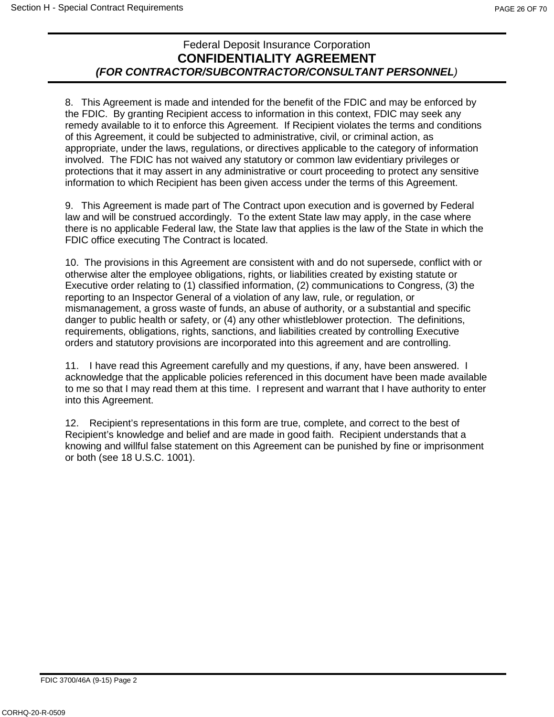## Federal Deposit Insurance Corporation **CONFIDENTIALITY AGREEMENT** *(FOR CONTRACTOR/SUBCONTRACTOR/CONSULTANT PERSONNEL)*

8. This Agreement is made and intended for the benefit of the FDIC and may be enforced by the FDIC. By granting Recipient access to information in this context, FDIC may seek any remedy available to it to enforce this Agreement. If Recipient violates the terms and conditions of this Agreement, it could be subjected to administrative, civil, or criminal action, as appropriate, under the laws, regulations, or directives applicable to the category of information involved. The FDIC has not waived any statutory or common law evidentiary privileges or protections that it may assert in any administrative or court proceeding to protect any sensitive information to which Recipient has been given access under the terms of this Agreement.

9. This Agreement is made part of The Contract upon execution and is governed by Federal law and will be construed accordingly. To the extent State law may apply, in the case where there is no applicable Federal law, the State law that applies is the law of the State in which the FDIC office executing The Contract is located.

10. The provisions in this Agreement are consistent with and do not supersede, conflict with or otherwise alter the employee obligations, rights, or liabilities created by existing statute or Executive order relating to (1) classified information, (2) communications to Congress, (3) the reporting to an Inspector General of a violation of any law, rule, or regulation, or mismanagement, a gross waste of funds, an abuse of authority, or a substantial and specific danger to public health or safety, or (4) any other whistleblower protection. The definitions, requirements, obligations, rights, sanctions, and liabilities created by controlling Executive orders and statutory provisions are incorporated into this agreement and are controlling.

11. I have read this Agreement carefully and my questions, if any, have been answered. I acknowledge that the applicable policies referenced in this document have been made available to me so that I may read them at this time. I represent and warrant that I have authority to enter into this Agreement.

12. Recipient's representations in this form are true, complete, and correct to the best of Recipient's knowledge and belief and are made in good faith. Recipient understands that a knowing and willful false statement on this Agreement can be punished by fine or imprisonment or both (see 18 U.S.C. 1001).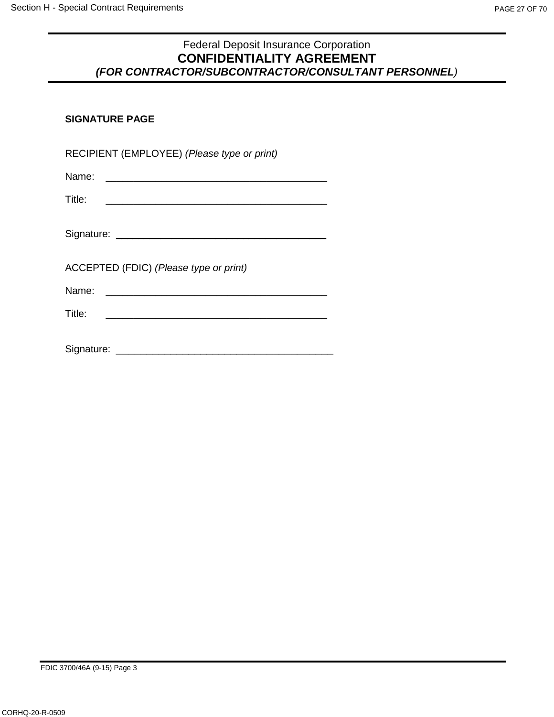### Federal Deposit Insurance Corporation **CONFIDENTIALITY AGREEMENT** *(FOR CONTRACTOR/SUBCONTRACTOR/CONSULTANT PERSONNEL)*

### **SIGNATURE PAGE**

| RECIPIENT (EMPLOYEE) (Please type or print)                                                                                       |
|-----------------------------------------------------------------------------------------------------------------------------------|
|                                                                                                                                   |
| Title:<br><u> The Communication of the Communication of the Communication of the Communication of the Communication of the Co</u> |
|                                                                                                                                   |
| ACCEPTED (FDIC) (Please type or print)                                                                                            |
| Name:                                                                                                                             |
| Title:                                                                                                                            |
| Signature: _______________                                                                                                        |

FDIC 3700/46A (9-15) Page 3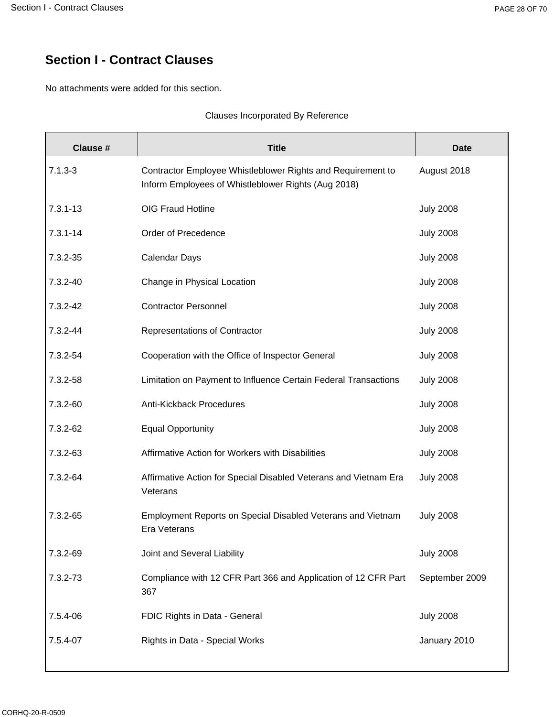# **Section I - Contract Clauses**

No attachments were added for this section.

#### Clauses Incorporated By Reference

| Clause #     | <b>Title</b>                                                                                                       | <b>Date</b>      |
|--------------|--------------------------------------------------------------------------------------------------------------------|------------------|
| $7.1.3 - 3$  | Contractor Employee Whistleblower Rights and Requirement to<br>Inform Employees of Whistleblower Rights (Aug 2018) | August 2018      |
| $7.3.1 - 13$ | OIG Fraud Hotline                                                                                                  | <b>July 2008</b> |
| $7.3.1 - 14$ | Order of Precedence                                                                                                | <b>July 2008</b> |
| 7.3.2-35     | <b>Calendar Days</b>                                                                                               | <b>July 2008</b> |
| 7.3.2-40     | Change in Physical Location                                                                                        | <b>July 2008</b> |
| 7.3.2-42     | <b>Contractor Personnel</b>                                                                                        | <b>July 2008</b> |
| 7.3.2-44     | Representations of Contractor                                                                                      | <b>July 2008</b> |
| 7.3.2-54     | Cooperation with the Office of Inspector General                                                                   | <b>July 2008</b> |
| 7.3.2-58     | Limitation on Payment to Influence Certain Federal Transactions                                                    | <b>July 2008</b> |
| 7.3.2-60     | Anti-Kickback Procedures                                                                                           | <b>July 2008</b> |
| 7.3.2-62     | <b>Equal Opportunity</b>                                                                                           | <b>July 2008</b> |
| 7.3.2-63     | Affirmative Action for Workers with Disabilities                                                                   | <b>July 2008</b> |
| 7.3.2-64     | Affirmative Action for Special Disabled Veterans and Vietnam Era<br>Veterans                                       | <b>July 2008</b> |
| 7.3.2-65     | Employment Reports on Special Disabled Veterans and Vietnam<br>Era Veterans                                        | <b>July 2008</b> |
| 7.3.2-69     | Joint and Several Liability                                                                                        | <b>July 2008</b> |
| 7.3.2-73     | Compliance with 12 CFR Part 366 and Application of 12 CFR Part<br>367                                              | September 2009   |
| 7.5.4-06     | FDIC Rights in Data - General                                                                                      | <b>July 2008</b> |
| 7.5.4-07     | Rights in Data - Special Works                                                                                     | January 2010     |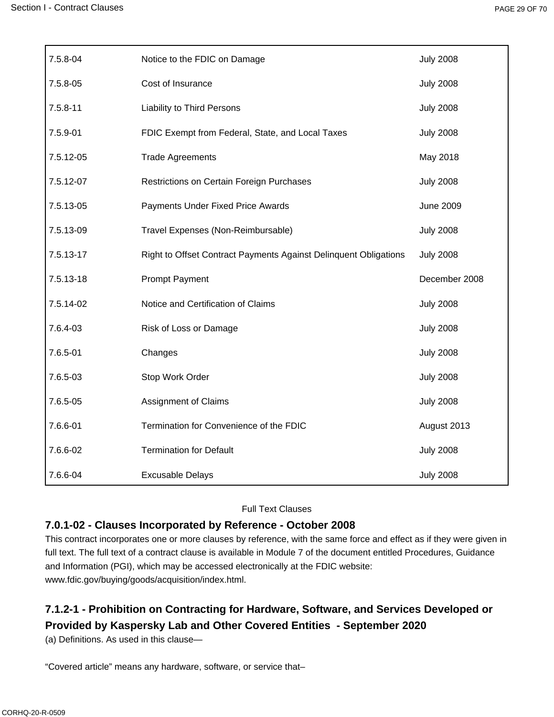| 7.5.8-04     | Notice to the FDIC on Damage                                     | <b>July 2008</b> |
|--------------|------------------------------------------------------------------|------------------|
| 7.5.8-05     | Cost of Insurance                                                | <b>July 2008</b> |
| $7.5.8 - 11$ | Liability to Third Persons                                       | <b>July 2008</b> |
| 7.5.9-01     | FDIC Exempt from Federal, State, and Local Taxes                 | <b>July 2008</b> |
| 7.5.12-05    | <b>Trade Agreements</b>                                          | May 2018         |
| 7.5.12-07    | Restrictions on Certain Foreign Purchases                        | <b>July 2008</b> |
| 7.5.13-05    | Payments Under Fixed Price Awards                                | <b>June 2009</b> |
| 7.5.13-09    | Travel Expenses (Non-Reimbursable)                               | <b>July 2008</b> |
| 7.5.13-17    | Right to Offset Contract Payments Against Delinquent Obligations | <b>July 2008</b> |
|              |                                                                  |                  |
| 7.5.13-18    | <b>Prompt Payment</b>                                            | December 2008    |
| 7.5.14-02    | Notice and Certification of Claims                               | <b>July 2008</b> |
| 7.6.4-03     | Risk of Loss or Damage                                           | <b>July 2008</b> |
| 7.6.5-01     | Changes                                                          | <b>July 2008</b> |
| 7.6.5-03     | Stop Work Order                                                  | <b>July 2008</b> |
| 7.6.5-05     | Assignment of Claims                                             | <b>July 2008</b> |
| 7.6.6-01     | Termination for Convenience of the FDIC                          | August 2013      |
| 7.6.6-02     | <b>Termination for Default</b>                                   | <b>July 2008</b> |

#### Full Text Clauses

#### **7.0.1-02 - Clauses Incorporated by Reference - October 2008**

This contract incorporates one or more clauses by reference, with the same force and effect as if they were given in full text. The full text of a contract clause is available in Module 7 of the document entitled Procedures, Guidance and Information (PGI), which may be accessed electronically at the FDIC website: www.fdic.gov/buying/goods/acquisition/index.html.

## **7.1.2-1 - Prohibition on Contracting for Hardware, Software, and Services Developed or Provided by Kaspersky Lab and Other Covered Entities - September 2020**

(a) Definitions. As used in this clause—

"Covered article" means any hardware, software, or service that–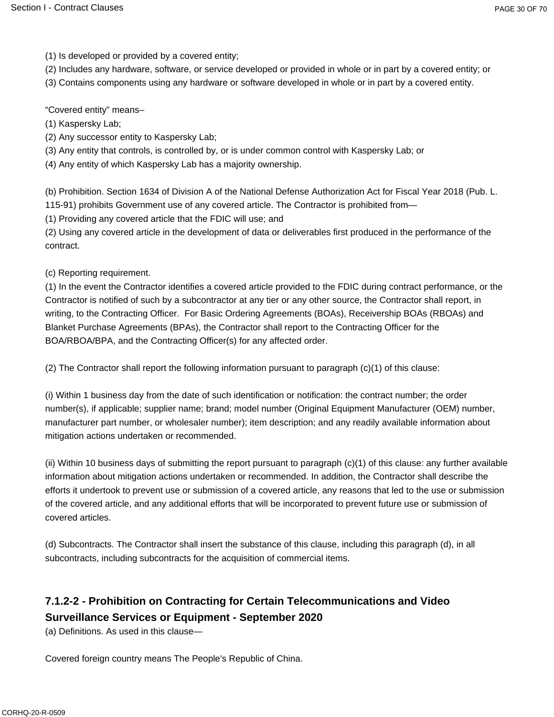(1) Is developed or provided by a covered entity;

- (2) Includes any hardware, software, or service developed or provided in whole or in part by a covered entity; or
- (3) Contains components using any hardware or software developed in whole or in part by a covered entity.

"Covered entity" means–

(1) Kaspersky Lab;

- (2) Any successor entity to Kaspersky Lab;
- (3) Any entity that controls, is controlled by, or is under common control with Kaspersky Lab; or

(4) Any entity of which Kaspersky Lab has a majority ownership.

(b) Prohibition. Section 1634 of Division A of the National Defense Authorization Act for Fiscal Year 2018 (Pub. L. 115-91) prohibits Government use of any covered article. The Contractor is prohibited from—

(1) Providing any covered article that the FDIC will use; and

(2) Using any covered article in the development of data or deliverables first produced in the performance of the contract.

(c) Reporting requirement.

(1) In the event the Contractor identifies a covered article provided to the FDIC during contract performance, or the Contractor is notified of such by a subcontractor at any tier or any other source, the Contractor shall report, in writing, to the Contracting Officer. For Basic Ordering Agreements (BOAs), Receivership BOAs (RBOAs) and Blanket Purchase Agreements (BPAs), the Contractor shall report to the Contracting Officer for the BOA/RBOA/BPA, and the Contracting Officer(s) for any affected order.

(2) The Contractor shall report the following information pursuant to paragraph (c)(1) of this clause:

(i) Within 1 business day from the date of such identification or notification: the contract number; the order number(s), if applicable; supplier name; brand; model number (Original Equipment Manufacturer (OEM) number, manufacturer part number, or wholesaler number); item description; and any readily available information about mitigation actions undertaken or recommended.

(ii) Within 10 business days of submitting the report pursuant to paragraph (c)(1) of this clause: any further available information about mitigation actions undertaken or recommended. In addition, the Contractor shall describe the efforts it undertook to prevent use or submission of a covered article, any reasons that led to the use or submission of the covered article, and any additional efforts that will be incorporated to prevent future use or submission of covered articles.

(d) Subcontracts. The Contractor shall insert the substance of this clause, including this paragraph (d), in all subcontracts, including subcontracts for the acquisition of commercial items.

## **7.1.2-2 - Prohibition on Contracting for Certain Telecommunications and Video Surveillance Services or Equipment - September 2020**

(a) Definitions. As used in this clause—

Covered foreign country means The People's Republic of China.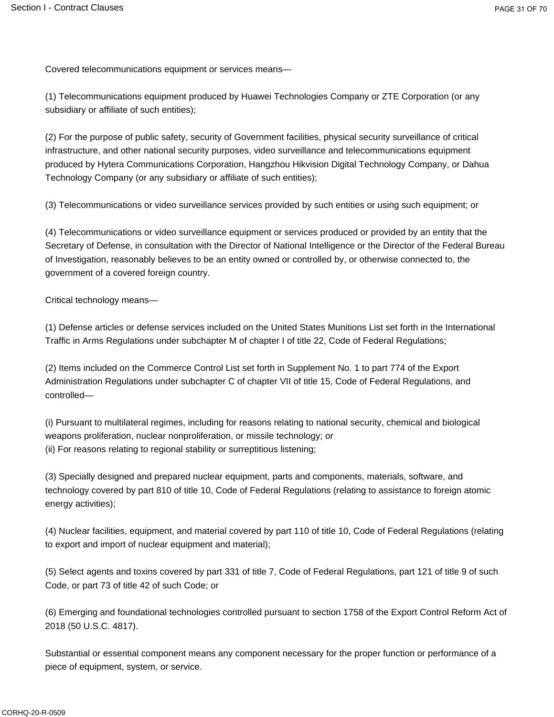Covered telecommunications equipment or services means—

(1) Telecommunications equipment produced by Huawei Technologies Company or ZTE Corporation (or any subsidiary or affiliate of such entities);

(2) For the purpose of public safety, security of Government facilities, physical security surveillance of critical infrastructure, and other national security purposes, video surveillance and telecommunications equipment produced by Hytera Communications Corporation, Hangzhou Hikvision Digital Technology Company, or Dahua Technology Company (or any subsidiary or affiliate of such entities);

(3) Telecommunications or video surveillance services provided by such entities or using such equipment; or

(4) Telecommunications or video surveillance equipment or services produced or provided by an entity that the Secretary of Defense, in consultation with the Director of National Intelligence or the Director of the Federal Bureau of Investigation, reasonably believes to be an entity owned or controlled by, or otherwise connected to, the government of a covered foreign country.

Critical technology means—

(1) Defense articles or defense services included on the United States Munitions List set forth in the International Traffic in Arms Regulations under subchapter M of chapter I of title 22, Code of Federal Regulations;

(2) Items included on the Commerce Control List set forth in Supplement No. 1 to part 774 of the Export Administration Regulations under subchapter C of chapter VII of title 15, Code of Federal Regulations, and controlled—

(i) Pursuant to multilateral regimes, including for reasons relating to national security, chemical and biological weapons proliferation, nuclear nonproliferation, or missile technology; or (ii) For reasons relating to regional stability or surreptitious listening;

(3) Specially designed and prepared nuclear equipment, parts and components, materials, software, and technology covered by part 810 of title 10, Code of Federal Regulations (relating to assistance to foreign atomic energy activities);

(4) Nuclear facilities, equipment, and material covered by part 110 of title 10, Code of Federal Regulations (relating to export and import of nuclear equipment and material);

(5) Select agents and toxins covered by part 331 of title 7, Code of Federal Regulations, part 121 of title 9 of such Code, or part 73 of title 42 of such Code; or

(6) Emerging and foundational technologies controlled pursuant to section 1758 of the Export Control Reform Act of 2018 (50 U.S.C. 4817).

Substantial or essential component means any component necessary for the proper function or performance of a piece of equipment, system, or service.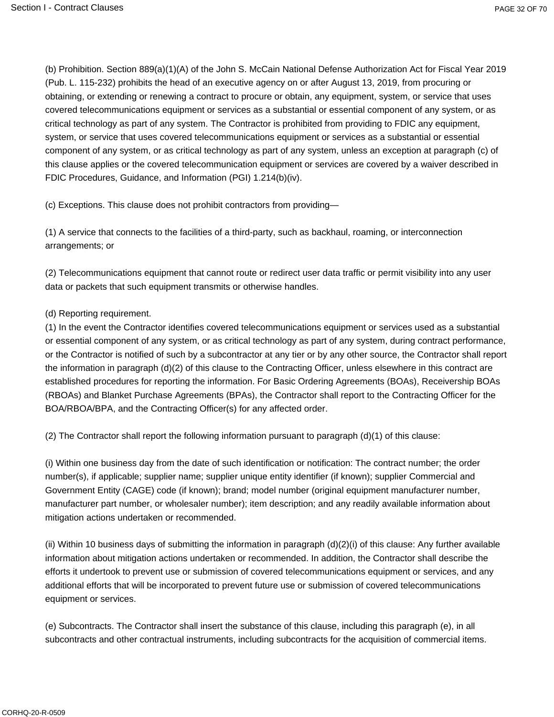(b) Prohibition. Section 889(a)(1)(A) of the John S. McCain National Defense Authorization Act for Fiscal Year 2019 (Pub. L. 115-232) prohibits the head of an executive agency on or after August 13, 2019, from procuring or obtaining, or extending or renewing a contract to procure or obtain, any equipment, system, or service that uses covered telecommunications equipment or services as a substantial or essential component of any system, or as critical technology as part of any system. The Contractor is prohibited from providing to FDIC any equipment, system, or service that uses covered telecommunications equipment or services as a substantial or essential component of any system, or as critical technology as part of any system, unless an exception at paragraph (c) of this clause applies or the covered telecommunication equipment or services are covered by a waiver described in FDIC Procedures, Guidance, and Information (PGI) 1.214(b)(iv).

(c) Exceptions. This clause does not prohibit contractors from providing—

(1) A service that connects to the facilities of a third-party, such as backhaul, roaming, or interconnection arrangements; or

(2) Telecommunications equipment that cannot route or redirect user data traffic or permit visibility into any user data or packets that such equipment transmits or otherwise handles.

#### (d) Reporting requirement.

(1) In the event the Contractor identifies covered telecommunications equipment or services used as a substantial or essential component of any system, or as critical technology as part of any system, during contract performance, or the Contractor is notified of such by a subcontractor at any tier or by any other source, the Contractor shall report the information in paragraph (d)(2) of this clause to the Contracting Officer, unless elsewhere in this contract are established procedures for reporting the information. For Basic Ordering Agreements (BOAs), Receivership BOAs (RBOAs) and Blanket Purchase Agreements (BPAs), the Contractor shall report to the Contracting Officer for the BOA/RBOA/BPA, and the Contracting Officer(s) for any affected order.

(2) The Contractor shall report the following information pursuant to paragraph  $(d)(1)$  of this clause:

(i) Within one business day from the date of such identification or notification: The contract number; the order number(s), if applicable; supplier name; supplier unique entity identifier (if known); supplier Commercial and Government Entity (CAGE) code (if known); brand; model number (original equipment manufacturer number, manufacturer part number, or wholesaler number); item description; and any readily available information about mitigation actions undertaken or recommended.

(ii) Within 10 business days of submitting the information in paragraph (d)(2)(i) of this clause: Any further available information about mitigation actions undertaken or recommended. In addition, the Contractor shall describe the efforts it undertook to prevent use or submission of covered telecommunications equipment or services, and any additional efforts that will be incorporated to prevent future use or submission of covered telecommunications equipment or services.

(e) Subcontracts. The Contractor shall insert the substance of this clause, including this paragraph (e), in all subcontracts and other contractual instruments, including subcontracts for the acquisition of commercial items.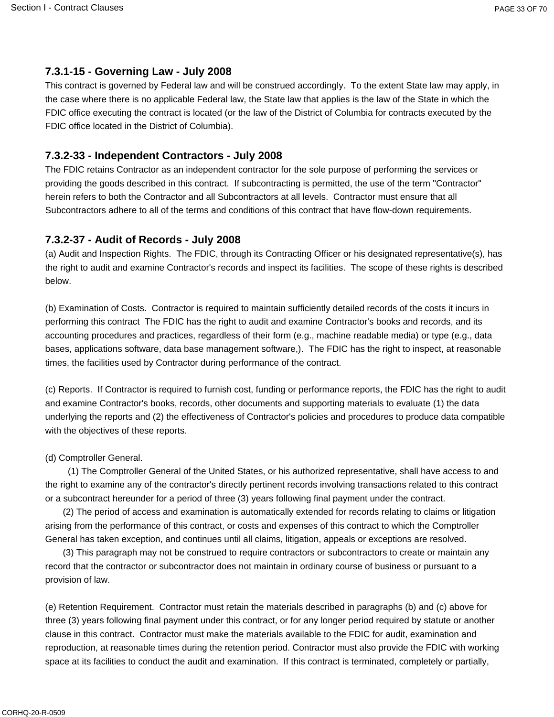### **7.3.1-15 - Governing Law - July 2008**

This contract is governed by Federal law and will be construed accordingly. To the extent State law may apply, in the case where there is no applicable Federal law, the State law that applies is the law of the State in which the FDIC office executing the contract is located (or the law of the District of Columbia for contracts executed by the FDIC office located in the District of Columbia).

## **7.3.2-33 - Independent Contractors - July 2008**

The FDIC retains Contractor as an independent contractor for the sole purpose of performing the services or providing the goods described in this contract. If subcontracting is permitted, the use of the term "Contractor" herein refers to both the Contractor and all Subcontractors at all levels. Contractor must ensure that all Subcontractors adhere to all of the terms and conditions of this contract that have flow-down requirements.

### **7.3.2-37 - Audit of Records - July 2008**

(a) Audit and Inspection Rights. The FDIC, through its Contracting Officer or his designated representative(s), has the right to audit and examine Contractor's records and inspect its facilities. The scope of these rights is described below.

(b) Examination of Costs. Contractor is required to maintain sufficiently detailed records of the costs it incurs in performing this contract The FDIC has the right to audit and examine Contractor's books and records, and its accounting procedures and practices, regardless of their form (e.g., machine readable media) or type (e.g., data bases, applications software, data base management software,). The FDIC has the right to inspect, at reasonable times, the facilities used by Contractor during performance of the contract.

(c) Reports. If Contractor is required to furnish cost, funding or performance reports, the FDIC has the right to audit and examine Contractor's books, records, other documents and supporting materials to evaluate (1) the data underlying the reports and (2) the effectiveness of Contractor's policies and procedures to produce data compatible with the objectives of these reports.

### (d) Comptroller General.

(1) The Comptroller General of the United States, or his authorized representative, shall have access to and the right to examine any of the contractor's directly pertinent records involving transactions related to this contract or a subcontract hereunder for a period of three (3) years following final payment under the contract.

(2) The period of access and examination is automatically extended for records relating to claims or litigation arising from the performance of this contract, or costs and expenses of this contract to which the Comptroller General has taken exception, and continues until all claims, litigation, appeals or exceptions are resolved.

(3) This paragraph may not be construed to require contractors or subcontractors to create or maintain any record that the contractor or subcontractor does not maintain in ordinary course of business or pursuant to a provision of law.

(e) Retention Requirement. Contractor must retain the materials described in paragraphs (b) and (c) above for three (3) years following final payment under this contract, or for any longer period required by statute or another clause in this contract. Contractor must make the materials available to the FDIC for audit, examination and reproduction, at reasonable times during the retention period. Contractor must also provide the FDIC with working space at its facilities to conduct the audit and examination. If this contract is terminated, completely or partially,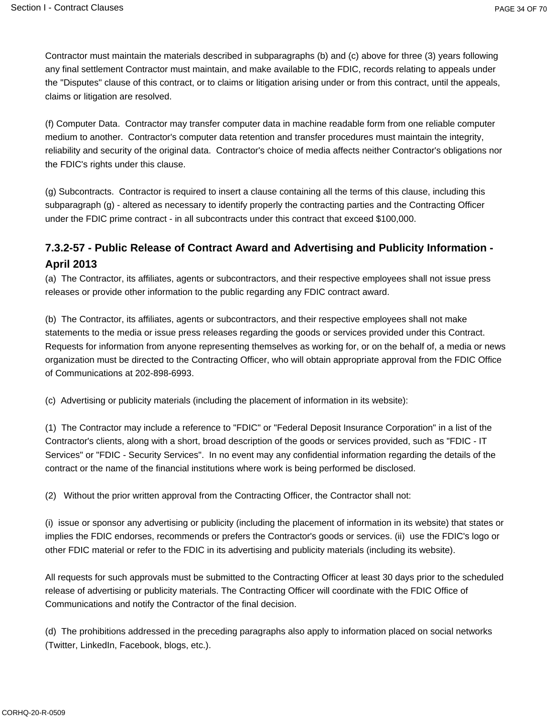Contractor must maintain the materials described in subparagraphs (b) and (c) above for three (3) years following any final settlement Contractor must maintain, and make available to the FDIC, records relating to appeals under the "Disputes" clause of this contract, or to claims or litigation arising under or from this contract, until the appeals, claims or litigation are resolved.

(f) Computer Data. Contractor may transfer computer data in machine readable form from one reliable computer medium to another. Contractor's computer data retention and transfer procedures must maintain the integrity, reliability and security of the original data. Contractor's choice of media affects neither Contractor's obligations nor the FDIC's rights under this clause.

(g) Subcontracts. Contractor is required to insert a clause containing all the terms of this clause, including this subparagraph (g) - altered as necessary to identify properly the contracting parties and the Contracting Officer under the FDIC prime contract - in all subcontracts under this contract that exceed \$100,000.

## **7.3.2-57 - Public Release of Contract Award and Advertising and Publicity Information - April 2013**

(a) The Contractor, its affiliates, agents or subcontractors, and their respective employees shall not issue press releases or provide other information to the public regarding any FDIC contract award.

(b) The Contractor, its affiliates, agents or subcontractors, and their respective employees shall not make statements to the media or issue press releases regarding the goods or services provided under this Contract. Requests for information from anyone representing themselves as working for, or on the behalf of, a media or news organization must be directed to the Contracting Officer, who will obtain appropriate approval from the FDIC Office of Communications at 202-898-6993.

(c) Advertising or publicity materials (including the placement of information in its website):

(1) The Contractor may include a reference to "FDIC" or "Federal Deposit Insurance Corporation" in a list of the Contractor's clients, along with a short, broad description of the goods or services provided, such as "FDIC - IT Services" or "FDIC - Security Services". In no event may any confidential information regarding the details of the contract or the name of the financial institutions where work is being performed be disclosed.

(2) Without the prior written approval from the Contracting Officer, the Contractor shall not:

(i) issue or sponsor any advertising or publicity (including the placement of information in its website) that states or implies the FDIC endorses, recommends or prefers the Contractor's goods or services. (ii) use the FDIC's logo or other FDIC material or refer to the FDIC in its advertising and publicity materials (including its website).

All requests for such approvals must be submitted to the Contracting Officer at least 30 days prior to the scheduled release of advertising or publicity materials. The Contracting Officer will coordinate with the FDIC Office of Communications and notify the Contractor of the final decision.

(d) The prohibitions addressed in the preceding paragraphs also apply to information placed on social networks (Twitter, LinkedIn, Facebook, blogs, etc.).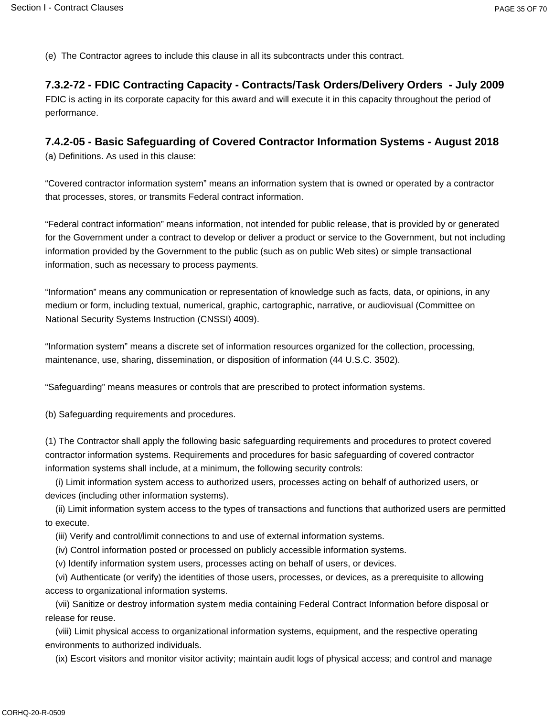(e) The Contractor agrees to include this clause in all its subcontracts under this contract.

### **7.3.2-72 - FDIC Contracting Capacity - Contracts/Task Orders/Delivery Orders - July 2009**

FDIC is acting in its corporate capacity for this award and will execute it in this capacity throughout the period of performance.

## **7.4.2-05 - Basic Safeguarding of Covered Contractor Information Systems - August 2018**

(a) Definitions. As used in this clause:

"Covered contractor information system" means an information system that is owned or operated by a contractor that processes, stores, or transmits Federal contract information.

"Federal contract information" means information, not intended for public release, that is provided by or generated for the Government under a contract to develop or deliver a product or service to the Government, but not including information provided by the Government to the public (such as on public Web sites) or simple transactional information, such as necessary to process payments.

"Information" means any communication or representation of knowledge such as facts, data, or opinions, in any medium or form, including textual, numerical, graphic, cartographic, narrative, or audiovisual (Committee on National Security Systems Instruction (CNSSI) 4009).

"Information system" means a discrete set of information resources organized for the collection, processing, maintenance, use, sharing, dissemination, or disposition of information (44 U.S.C. 3502).

"Safeguarding" means measures or controls that are prescribed to protect information systems.

(b) Safeguarding requirements and procedures.

(1) The Contractor shall apply the following basic safeguarding requirements and procedures to protect covered contractor information systems. Requirements and procedures for basic safeguarding of covered contractor information systems shall include, at a minimum, the following security controls:

(i) Limit information system access to authorized users, processes acting on behalf of authorized users, or devices (including other information systems).

(ii) Limit information system access to the types of transactions and functions that authorized users are permitted to execute.

(iii) Verify and control/limit connections to and use of external information systems.

(iv) Control information posted or processed on publicly accessible information systems.

(v) Identify information system users, processes acting on behalf of users, or devices.

(vi) Authenticate (or verify) the identities of those users, processes, or devices, as a prerequisite to allowing access to organizational information systems.

(vii) Sanitize or destroy information system media containing Federal Contract Information before disposal or release for reuse.

(viii) Limit physical access to organizational information systems, equipment, and the respective operating environments to authorized individuals.

(ix) Escort visitors and monitor visitor activity; maintain audit logs of physical access; and control and manage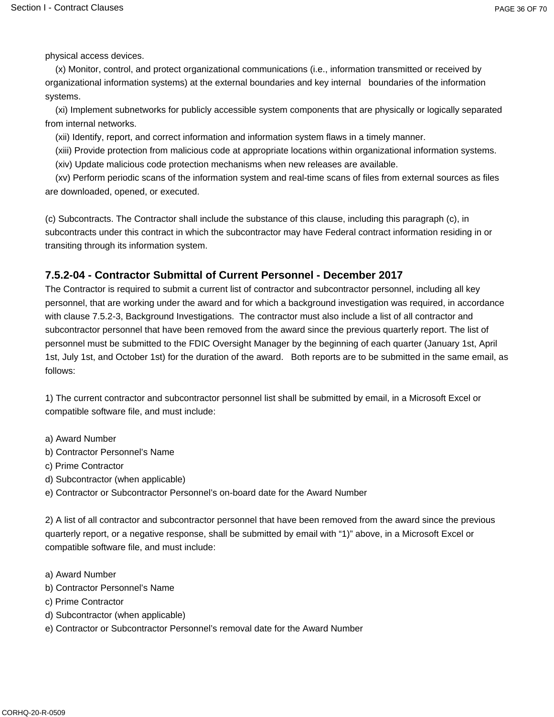physical access devices.

(x) Monitor, control, and protect organizational communications (i.e., information transmitted or received by organizational information systems) at the external boundaries and key internal boundaries of the information systems.

(xi) Implement subnetworks for publicly accessible system components that are physically or logically separated from internal networks.

(xii) Identify, report, and correct information and information system flaws in a timely manner.

(xiii) Provide protection from malicious code at appropriate locations within organizational information systems.

(xiv) Update malicious code protection mechanisms when new releases are available.

(xv) Perform periodic scans of the information system and real-time scans of files from external sources as files are downloaded, opened, or executed.

(c) Subcontracts. The Contractor shall include the substance of this clause, including this paragraph (c), in subcontracts under this contract in which the subcontractor may have Federal contract information residing in or transiting through its information system.

#### **7.5.2-04 - Contractor Submittal of Current Personnel - December 2017**

The Contractor is required to submit a current list of contractor and subcontractor personnel, including all key personnel, that are working under the award and for which a background investigation was required, in accordance with clause 7.5.2-3, Background Investigations. The contractor must also include a list of all contractor and subcontractor personnel that have been removed from the award since the previous quarterly report. The list of personnel must be submitted to the FDIC Oversight Manager by the beginning of each quarter (January 1st, April 1st, July 1st, and October 1st) for the duration of the award. Both reports are to be submitted in the same email, as follows:

1) The current contractor and subcontractor personnel list shall be submitted by email, in a Microsoft Excel or compatible software file, and must include:

- a) Award Number
- b) Contractor Personnel's Name
- c) Prime Contractor
- d) Subcontractor (when applicable)
- e) Contractor or Subcontractor Personnel's on-board date for the Award Number

2) A list of all contractor and subcontractor personnel that have been removed from the award since the previous quarterly report, or a negative response, shall be submitted by email with "1)" above, in a Microsoft Excel or compatible software file, and must include:

- a) Award Number
- b) Contractor Personnel's Name
- c) Prime Contractor
- d) Subcontractor (when applicable)
- e) Contractor or Subcontractor Personnel's removal date for the Award Number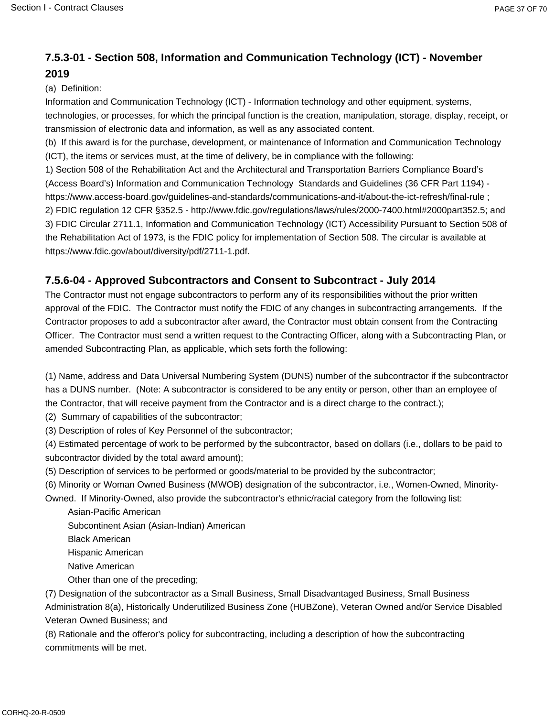## **7.5.3-01 - Section 508, Information and Communication Technology (ICT) - November 2019**

(a) Definition:

Information and Communication Technology (ICT) - Information technology and other equipment, systems, technologies, or processes, for which the principal function is the creation, manipulation, storage, display, receipt, or transmission of electronic data and information, as well as any associated content.

(b) If this award is for the purchase, development, or maintenance of Information and Communication Technology (ICT), the items or services must, at the time of delivery, be in compliance with the following:

1) Section 508 of the Rehabilitation Act and the Architectural and Transportation Barriers Compliance Board's (Access Board's) Information and Communication Technology Standards and Guidelines (36 CFR Part 1194) https://www.access-board.gov/guidelines-and-standards/communications-and-it/about-the-ict-refresh/final-rule ; 2) FDIC regulation 12 CFR §352.5 - http://www.fdic.gov/regulations/laws/rules/2000-7400.html#2000part352.5; and 3) FDIC Circular 2711.1, Information and Communication Technology (ICT) Accessibility Pursuant to Section 508 of the Rehabilitation Act of 1973, is the FDIC policy for implementation of Section 508. The circular is available at https://www.fdic.gov/about/diversity/pdf/2711-1.pdf.

#### **7.5.6-04 - Approved Subcontractors and Consent to Subcontract - July 2014**

The Contractor must not engage subcontractors to perform any of its responsibilities without the prior written approval of the FDIC. The Contractor must notify the FDIC of any changes in subcontracting arrangements. If the Contractor proposes to add a subcontractor after award, the Contractor must obtain consent from the Contracting Officer. The Contractor must send a written request to the Contracting Officer, along with a Subcontracting Plan, or amended Subcontracting Plan, as applicable, which sets forth the following:

(1) Name, address and Data Universal Numbering System (DUNS) number of the subcontractor if the subcontractor has a DUNS number. (Note: A subcontractor is considered to be any entity or person, other than an employee of the Contractor, that will receive payment from the Contractor and is a direct charge to the contract.);

(2) Summary of capabilities of the subcontractor;

(3) Description of roles of Key Personnel of the subcontractor;

(4) Estimated percentage of work to be performed by the subcontractor, based on dollars (i.e., dollars to be paid to subcontractor divided by the total award amount);

(5) Description of services to be performed or goods/material to be provided by the subcontractor;

(6) Minority or Woman Owned Business (MWOB) designation of the subcontractor, i.e., Women-Owned, Minority-

Owned. If Minority-Owned, also provide the subcontractor's ethnic/racial category from the following list:

 Asian-Pacific American Subcontinent Asian (Asian-Indian) American

Black American

Hispanic American

Native American

Other than one of the preceding;

(7) Designation of the subcontractor as a Small Business, Small Disadvantaged Business, Small Business Administration 8(a), Historically Underutilized Business Zone (HUBZone), Veteran Owned and/or Service Disabled Veteran Owned Business; and

(8) Rationale and the offeror's policy for subcontracting, including a description of how the subcontracting commitments will be met.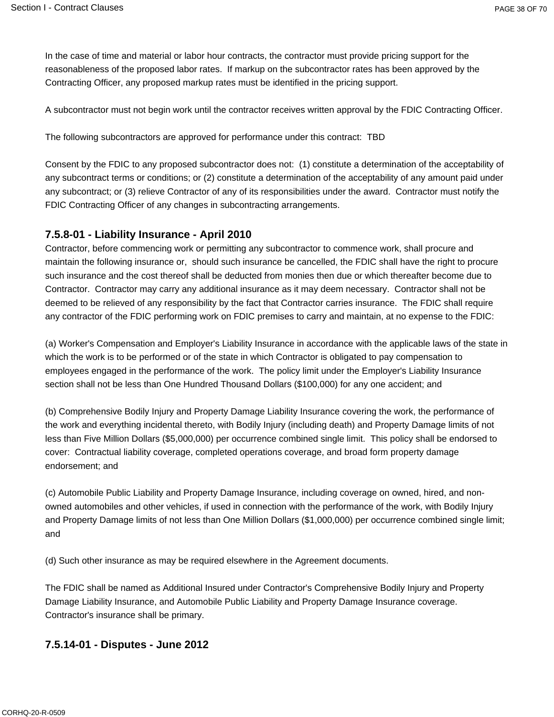In the case of time and material or labor hour contracts, the contractor must provide pricing support for the reasonableness of the proposed labor rates. If markup on the subcontractor rates has been approved by the Contracting Officer, any proposed markup rates must be identified in the pricing support.

A subcontractor must not begin work until the contractor receives written approval by the FDIC Contracting Officer.

The following subcontractors are approved for performance under this contract: TBD

Consent by the FDIC to any proposed subcontractor does not: (1) constitute a determination of the acceptability of any subcontract terms or conditions; or (2) constitute a determination of the acceptability of any amount paid under any subcontract; or (3) relieve Contractor of any of its responsibilities under the award. Contractor must notify the FDIC Contracting Officer of any changes in subcontracting arrangements.

#### **7.5.8-01 - Liability Insurance - April 2010**

Contractor, before commencing work or permitting any subcontractor to commence work, shall procure and maintain the following insurance or, should such insurance be cancelled, the FDIC shall have the right to procure such insurance and the cost thereof shall be deducted from monies then due or which thereafter become due to Contractor. Contractor may carry any additional insurance as it may deem necessary. Contractor shall not be deemed to be relieved of any responsibility by the fact that Contractor carries insurance. The FDIC shall require any contractor of the FDIC performing work on FDIC premises to carry and maintain, at no expense to the FDIC:

(a) Worker's Compensation and Employer's Liability Insurance in accordance with the applicable laws of the state in which the work is to be performed or of the state in which Contractor is obligated to pay compensation to employees engaged in the performance of the work. The policy limit under the Employer's Liability Insurance section shall not be less than One Hundred Thousand Dollars (\$100,000) for any one accident; and

(b) Comprehensive Bodily Injury and Property Damage Liability Insurance covering the work, the performance of the work and everything incidental thereto, with Bodily Injury (including death) and Property Damage limits of not less than Five Million Dollars (\$5,000,000) per occurrence combined single limit. This policy shall be endorsed to cover: Contractual liability coverage, completed operations coverage, and broad form property damage endorsement; and

(c) Automobile Public Liability and Property Damage Insurance, including coverage on owned, hired, and nonowned automobiles and other vehicles, if used in connection with the performance of the work, with Bodily Injury and Property Damage limits of not less than One Million Dollars (\$1,000,000) per occurrence combined single limit; and

(d) Such other insurance as may be required elsewhere in the Agreement documents.

The FDIC shall be named as Additional Insured under Contractor's Comprehensive Bodily Injury and Property Damage Liability Insurance, and Automobile Public Liability and Property Damage Insurance coverage. Contractor's insurance shall be primary.

#### **7.5.14-01 - Disputes - June 2012**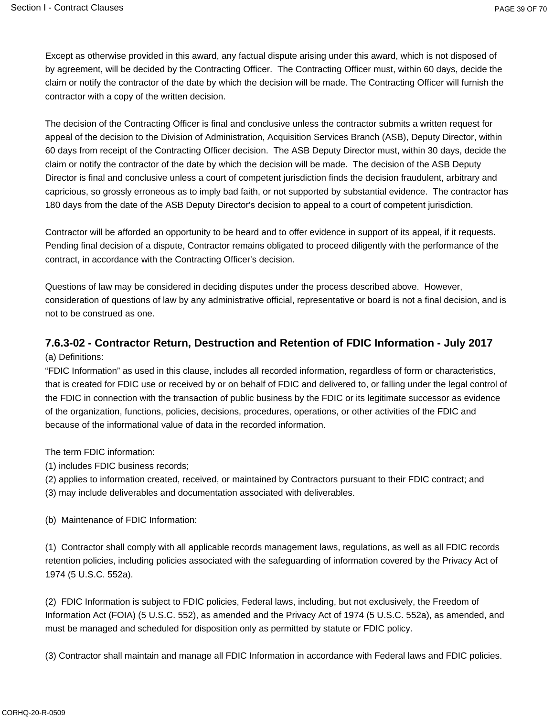Except as otherwise provided in this award, any factual dispute arising under this award, which is not disposed of by agreement, will be decided by the Contracting Officer. The Contracting Officer must, within 60 days, decide the claim or notify the contractor of the date by which the decision will be made. The Contracting Officer will furnish the contractor with a copy of the written decision.

The decision of the Contracting Officer is final and conclusive unless the contractor submits a written request for appeal of the decision to the Division of Administration, Acquisition Services Branch (ASB), Deputy Director, within 60 days from receipt of the Contracting Officer decision. The ASB Deputy Director must, within 30 days, decide the claim or notify the contractor of the date by which the decision will be made. The decision of the ASB Deputy Director is final and conclusive unless a court of competent jurisdiction finds the decision fraudulent, arbitrary and capricious, so grossly erroneous as to imply bad faith, or not supported by substantial evidence. The contractor has 180 days from the date of the ASB Deputy Director's decision to appeal to a court of competent jurisdiction.

Contractor will be afforded an opportunity to be heard and to offer evidence in support of its appeal, if it requests. Pending final decision of a dispute, Contractor remains obligated to proceed diligently with the performance of the contract, in accordance with the Contracting Officer's decision.

Questions of law may be considered in deciding disputes under the process described above. However, consideration of questions of law by any administrative official, representative or board is not a final decision, and is not to be construed as one.

# **7.6.3-02 - Contractor Return, Destruction and Retention of FDIC Information - July 2017**

(a) Definitions:

"FDIC Information" as used in this clause, includes all recorded information, regardless of form or characteristics, that is created for FDIC use or received by or on behalf of FDIC and delivered to, or falling under the legal control of the FDIC in connection with the transaction of public business by the FDIC or its legitimate successor as evidence of the organization, functions, policies, decisions, procedures, operations, or other activities of the FDIC and because of the informational value of data in the recorded information.

The term FDIC information:

(1) includes FDIC business records;

(2) applies to information created, received, or maintained by Contractors pursuant to their FDIC contract; and

(3) may include deliverables and documentation associated with deliverables.

(b) Maintenance of FDIC Information:

(1) Contractor shall comply with all applicable records management laws, regulations, as well as all FDIC records retention policies, including policies associated with the safeguarding of information covered by the Privacy Act of 1974 (5 U.S.C. 552a).

(2) FDIC Information is subject to FDIC policies, Federal laws, including, but not exclusively, the Freedom of Information Act (FOIA) (5 U.S.C. 552), as amended and the Privacy Act of 1974 (5 U.S.C. 552a), as amended, and must be managed and scheduled for disposition only as permitted by statute or FDIC policy.

(3) Contractor shall maintain and manage all FDIC Information in accordance with Federal laws and FDIC policies.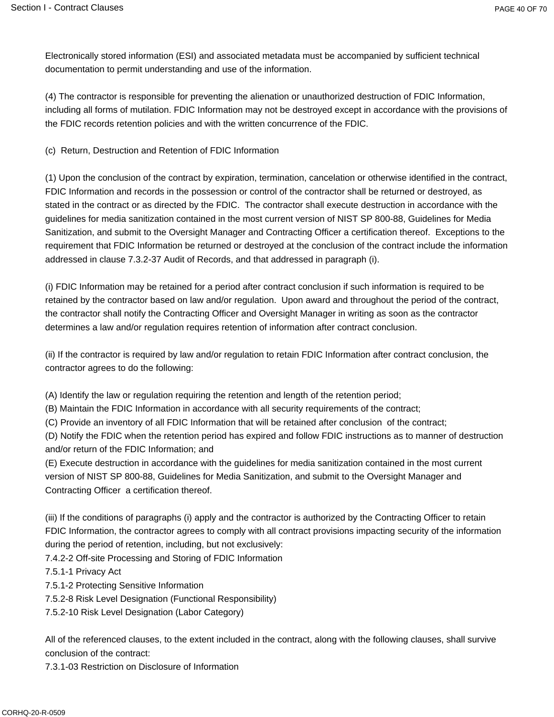Electronically stored information (ESI) and associated metadata must be accompanied by sufficient technical documentation to permit understanding and use of the information.

(4) The contractor is responsible for preventing the alienation or unauthorized destruction of FDIC Information, including all forms of mutilation. FDIC Information may not be destroyed except in accordance with the provisions of the FDIC records retention policies and with the written concurrence of the FDIC.

(c) Return, Destruction and Retention of FDIC Information

(1) Upon the conclusion of the contract by expiration, termination, cancelation or otherwise identified in the contract, FDIC Information and records in the possession or control of the contractor shall be returned or destroyed, as stated in the contract or as directed by the FDIC. The contractor shall execute destruction in accordance with the guidelines for media sanitization contained in the most current version of NIST SP 800-88, Guidelines for Media Sanitization, and submit to the Oversight Manager and Contracting Officer a certification thereof. Exceptions to the requirement that FDIC Information be returned or destroyed at the conclusion of the contract include the information addressed in clause 7.3.2-37 Audit of Records, and that addressed in paragraph (i).

(i) FDIC Information may be retained for a period after contract conclusion if such information is required to be retained by the contractor based on law and/or regulation. Upon award and throughout the period of the contract, the contractor shall notify the Contracting Officer and Oversight Manager in writing as soon as the contractor determines a law and/or regulation requires retention of information after contract conclusion.

(ii) If the contractor is required by law and/or regulation to retain FDIC Information after contract conclusion, the contractor agrees to do the following:

(A) Identify the law or regulation requiring the retention and length of the retention period;

(B) Maintain the FDIC Information in accordance with all security requirements of the contract;

(C) Provide an inventory of all FDIC Information that will be retained after conclusion of the contract;

(D) Notify the FDIC when the retention period has expired and follow FDIC instructions as to manner of destruction and/or return of the FDIC Information; and

(E) Execute destruction in accordance with the guidelines for media sanitization contained in the most current version of NIST SP 800-88, Guidelines for Media Sanitization, and submit to the Oversight Manager and Contracting Officer a certification thereof.

(iii) If the conditions of paragraphs (i) apply and the contractor is authorized by the Contracting Officer to retain FDIC Information, the contractor agrees to comply with all contract provisions impacting security of the information during the period of retention, including, but not exclusively:

7.4.2-2 Off-site Processing and Storing of FDIC Information

7.5.1-1 Privacy Act

7.5.1-2 Protecting Sensitive Information

7.5.2-8 Risk Level Designation (Functional Responsibility)

7.5.2-10 Risk Level Designation (Labor Category)

All of the referenced clauses, to the extent included in the contract, along with the following clauses, shall survive conclusion of the contract:

7.3.1-03 Restriction on Disclosure of Information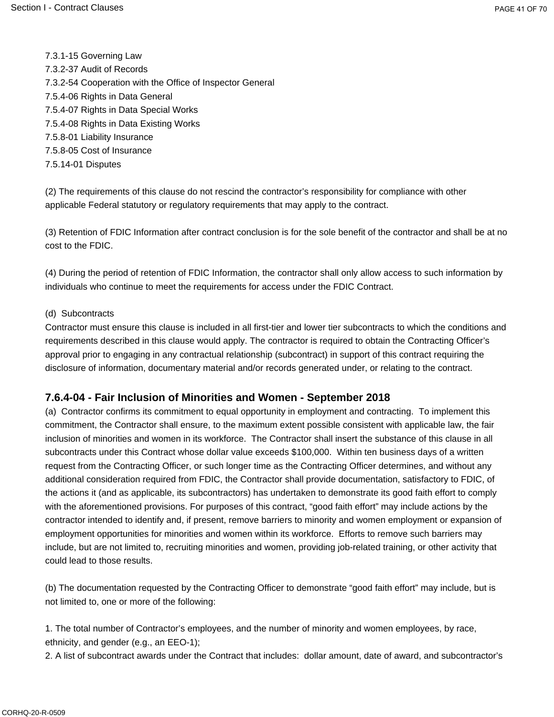7.3.1-15 Governing Law 7.3.2-37 Audit of Records 7.3.2-54 Cooperation with the Office of Inspector General 7.5.4-06 Rights in Data General 7.5.4-07 Rights in Data Special Works 7.5.4-08 Rights in Data Existing Works 7.5.8-01 Liability Insurance 7.5.8-05 Cost of Insurance 7.5.14-01 Disputes

(2) The requirements of this clause do not rescind the contractor's responsibility for compliance with other applicable Federal statutory or regulatory requirements that may apply to the contract.

(3) Retention of FDIC Information after contract conclusion is for the sole benefit of the contractor and shall be at no cost to the FDIC.

(4) During the period of retention of FDIC Information, the contractor shall only allow access to such information by individuals who continue to meet the requirements for access under the FDIC Contract.

#### (d) Subcontracts

Contractor must ensure this clause is included in all first-tier and lower tier subcontracts to which the conditions and requirements described in this clause would apply. The contractor is required to obtain the Contracting Officer's approval prior to engaging in any contractual relationship (subcontract) in support of this contract requiring the disclosure of information, documentary material and/or records generated under, or relating to the contract.

#### **7.6.4-04 - Fair Inclusion of Minorities and Women - September 2018**

(a) Contractor confirms its commitment to equal opportunity in employment and contracting. To implement this commitment, the Contractor shall ensure, to the maximum extent possible consistent with applicable law, the fair inclusion of minorities and women in its workforce. The Contractor shall insert the substance of this clause in all subcontracts under this Contract whose dollar value exceeds \$100,000. Within ten business days of a written request from the Contracting Officer, or such longer time as the Contracting Officer determines, and without any additional consideration required from FDIC, the Contractor shall provide documentation, satisfactory to FDIC, of the actions it (and as applicable, its subcontractors) has undertaken to demonstrate its good faith effort to comply with the aforementioned provisions. For purposes of this contract, "good faith effort" may include actions by the contractor intended to identify and, if present, remove barriers to minority and women employment or expansion of employment opportunities for minorities and women within its workforce. Efforts to remove such barriers may include, but are not limited to, recruiting minorities and women, providing job-related training, or other activity that could lead to those results.

(b) The documentation requested by the Contracting Officer to demonstrate "good faith effort" may include, but is not limited to, one or more of the following:

1. The total number of Contractor's employees, and the number of minority and women employees, by race, ethnicity, and gender (e.g., an EEO-1);

2. A list of subcontract awards under the Contract that includes: dollar amount, date of award, and subcontractor's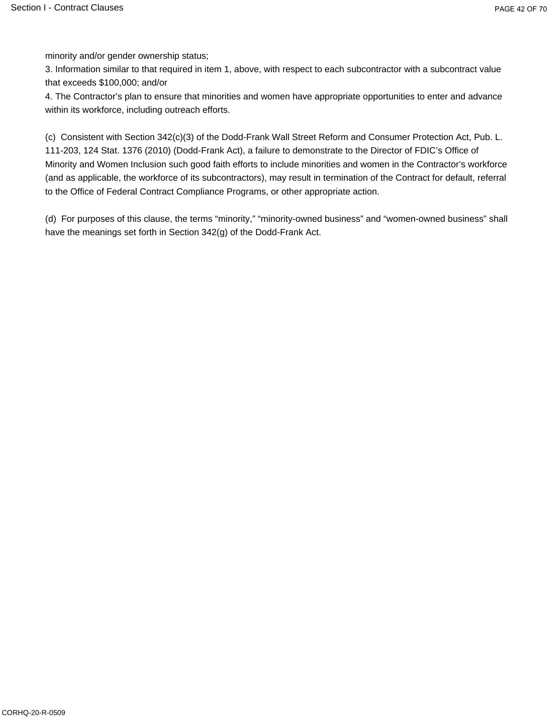minority and/or gender ownership status;

3. Information similar to that required in item 1, above, with respect to each subcontractor with a subcontract value that exceeds \$100,000; and/or

4. The Contractor's plan to ensure that minorities and women have appropriate opportunities to enter and advance within its workforce, including outreach efforts.

(c) Consistent with Section 342(c)(3) of the Dodd-Frank Wall Street Reform and Consumer Protection Act, Pub. L. 111-203, 124 Stat. 1376 (2010) (Dodd-Frank Act), a failure to demonstrate to the Director of FDIC's Office of Minority and Women Inclusion such good faith efforts to include minorities and women in the Contractor's workforce (and as applicable, the workforce of its subcontractors), may result in termination of the Contract for default, referral to the Office of Federal Contract Compliance Programs, or other appropriate action.

(d) For purposes of this clause, the terms "minority," "minority-owned business" and "women-owned business" shall have the meanings set forth in Section 342(g) of the Dodd-Frank Act.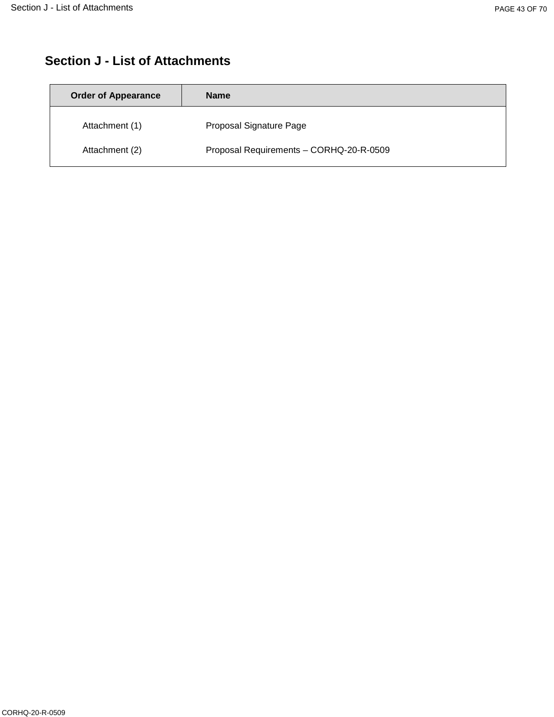# **Section J - List of Attachments**

| <b>Order of Appearance</b> | <b>Name</b>                             |
|----------------------------|-----------------------------------------|
| Attachment (1)             | Proposal Signature Page                 |
| Attachment (2)             | Proposal Requirements - CORHQ-20-R-0509 |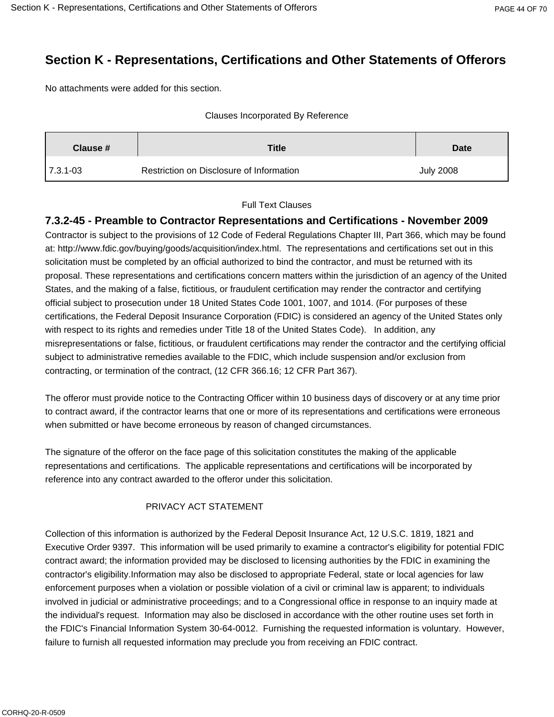# **Section K - Representations, Certifications and Other Statements of Offerors**

No attachments were added for this section.

#### Clauses Incorporated By Reference

| <b>Title</b><br>Clause # |                                          | <b>Date</b>      |
|--------------------------|------------------------------------------|------------------|
| $ 7.3.1 - 03 $           | Restriction on Disclosure of Information | <b>July 2008</b> |

#### Full Text Clauses

## **7.3.2-45 - Preamble to Contractor Representations and Certifications - November 2009**

Contractor is subject to the provisions of 12 Code of Federal Regulations Chapter III, Part 366, which may be found at: http://www.fdic.gov/buying/goods/acquisition/index.html. The representations and certifications set out in this solicitation must be completed by an official authorized to bind the contractor, and must be returned with its proposal. These representations and certifications concern matters within the jurisdiction of an agency of the United States, and the making of a false, fictitious, or fraudulent certification may render the contractor and certifying official subject to prosecution under 18 United States Code 1001, 1007, and 1014. (For purposes of these certifications, the Federal Deposit Insurance Corporation (FDIC) is considered an agency of the United States only with respect to its rights and remedies under Title 18 of the United States Code). In addition, any misrepresentations or false, fictitious, or fraudulent certifications may render the contractor and the certifying official subject to administrative remedies available to the FDIC, which include suspension and/or exclusion from contracting, or termination of the contract, (12 CFR 366.16; 12 CFR Part 367).

The offeror must provide notice to the Contracting Officer within 10 business days of discovery or at any time prior to contract award, if the contractor learns that one or more of its representations and certifications were erroneous when submitted or have become erroneous by reason of changed circumstances.

The signature of the offeror on the face page of this solicitation constitutes the making of the applicable representations and certifications. The applicable representations and certifications will be incorporated by reference into any contract awarded to the offeror under this solicitation.

### PRIVACY ACT STATEMENT

Collection of this information is authorized by the Federal Deposit Insurance Act, 12 U.S.C. 1819, 1821 and Executive Order 9397. This information will be used primarily to examine a contractor's eligibility for potential FDIC contract award; the information provided may be disclosed to licensing authorities by the FDIC in examining the contractor's eligibility.Information may also be disclosed to appropriate Federal, state or local agencies for law enforcement purposes when a violation or possible violation of a civil or criminal law is apparent; to individuals involved in judicial or administrative proceedings; and to a Congressional office in response to an inquiry made at the individual's request. Information may also be disclosed in accordance with the other routine uses set forth in the FDIC's Financial Information System 30-64-0012. Furnishing the requested information is voluntary. However, failure to furnish all requested information may preclude you from receiving an FDIC contract.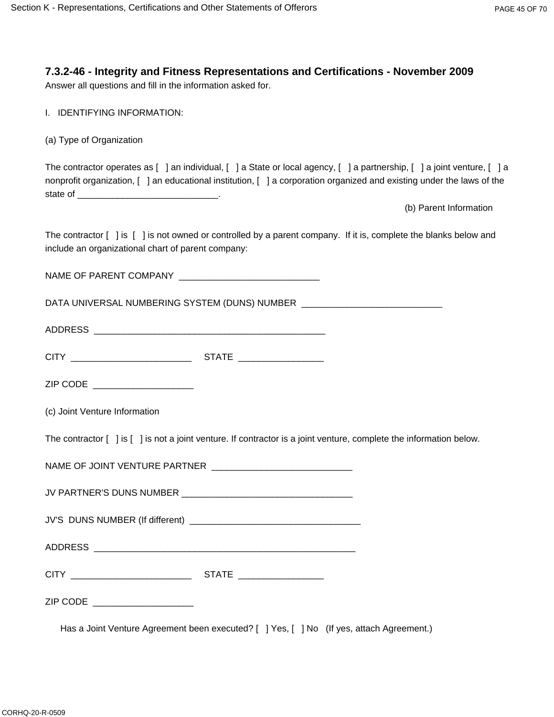## **7.3.2-46 - Integrity and Fitness Representations and Certifications - November 2009**

Answer all questions and fill in the information asked for.

|  |  | I. IDENTIFYING INFORMATION: |
|--|--|-----------------------------|
|--|--|-----------------------------|

(a) Type of Organization

The contractor operates as [ ] an individual, [ ] a State or local agency, [ ] a partnership, [ ] a joint venture, [ ] a nonprofit organization, [ ] an educational institution, [ ] a corporation organized and existing under the laws of the state of \_\_\_\_\_\_\_\_\_\_\_\_\_\_\_\_\_\_\_\_\_\_\_\_\_\_\_\_.

(b) Parent Information

The contractor [ ] is [ ] is not owned or controlled by a parent company. If it is, complete the blanks below and include an organizational chart of parent company:

NAME OF PARENT COMPANY \_\_\_\_\_\_\_\_\_\_\_\_\_\_\_\_\_\_\_\_\_\_\_\_\_\_\_\_

DATA UNIVERSAL NUMBERING SYSTEM (DUNS) NUMBER \_\_\_\_\_\_\_\_\_\_\_\_\_\_\_\_\_\_\_\_\_\_\_\_\_\_\_\_\_\_\_\_\_\_

ADDRESS \_\_\_\_\_\_\_\_\_\_\_\_\_\_\_\_\_\_\_\_\_\_\_\_\_\_\_\_\_\_\_\_\_\_\_\_\_\_\_\_\_\_\_\_\_\_

| $\sim$ $\sim$<br>. .<br>- | $\overline{\phantom{a}}$<br>. .<br>$  -$ |
|---------------------------|------------------------------------------|
|                           |                                          |

ZIP CODE \_\_\_\_\_\_\_\_\_\_\_\_\_\_\_\_\_\_\_\_\_\_

(c) Joint Venture Information

The contractor  $\lceil \ \rceil$  is  $\lceil \ \rceil$  is not a joint venture. If contractor is a joint venture, complete the information below.

| NAME OF JOINT VENTURE PARTNER |  |
|-------------------------------|--|
|-------------------------------|--|

| JV'S DUNS NUMBER (If different) |  |
|---------------------------------|--|
|                                 |  |

ADDRESS \_\_\_\_\_\_\_\_\_\_\_\_\_\_\_\_\_\_\_\_\_\_\_\_\_\_\_\_\_\_\_\_\_\_\_\_\_\_\_\_\_\_\_\_\_\_\_\_\_\_\_\_

|  | . . |  |
|--|-----|--|
|  |     |  |

ZIP CODE \_\_\_\_\_\_\_\_\_\_\_\_\_\_\_\_\_\_\_\_

Has a Joint Venture Agreement been executed? [ ] Yes, [ ] No (If yes, attach Agreement.)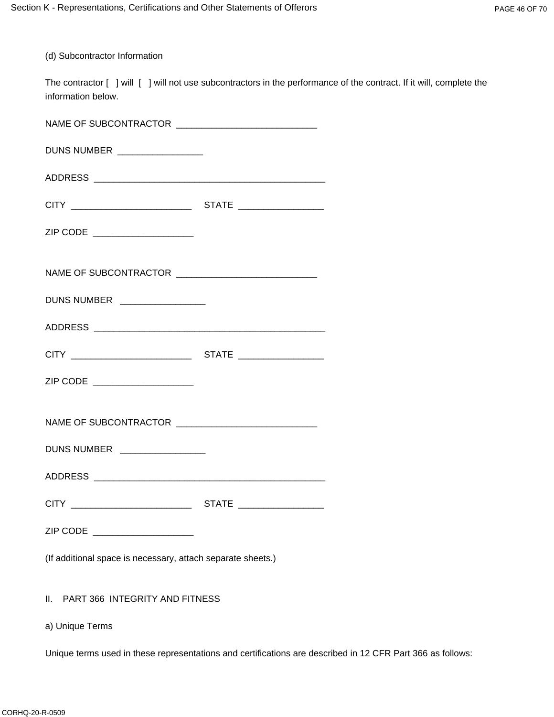(d) Subcontractor Information

The contractor [ ] will [ ] will not use subcontractors in the performance of the contract. If it will, complete the information below.

| DUNS NUMBER _________________                               |  |  |
|-------------------------------------------------------------|--|--|
|                                                             |  |  |
|                                                             |  |  |
| ZIP CODE ______________________                             |  |  |
|                                                             |  |  |
| DUNS NUMBER ________________                                |  |  |
|                                                             |  |  |
|                                                             |  |  |
| ZIP CODE ____________________                               |  |  |
|                                                             |  |  |
| DUNS NUMBER ________________                                |  |  |
|                                                             |  |  |
|                                                             |  |  |
| ZIP CODE ____________________                               |  |  |
| (If additional space is necessary, attach separate sheets.) |  |  |
| PART 366 INTEGRITY AND FITNESS<br>Ш.                        |  |  |

a) Unique Terms

Unique terms used in these representations and certifications are described in 12 CFR Part 366 as follows: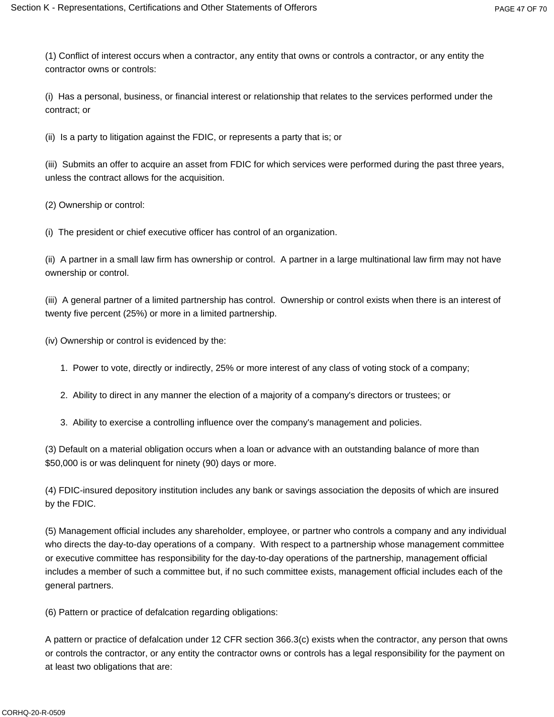(1) Conflict of interest occurs when a contractor, any entity that owns or controls a contractor, or any entity the contractor owns or controls:

(i) Has a personal, business, or financial interest or relationship that relates to the services performed under the contract; or

(ii) Is a party to litigation against the FDIC, or represents a party that is; or

(iii) Submits an offer to acquire an asset from FDIC for which services were performed during the past three years, unless the contract allows for the acquisition.

(2) Ownership or control:

(i) The president or chief executive officer has control of an organization.

(ii) A partner in a small law firm has ownership or control. A partner in a large multinational law firm may not have ownership or control.

(iii) A general partner of a limited partnership has control. Ownership or control exists when there is an interest of twenty five percent (25%) or more in a limited partnership.

(iv) Ownership or control is evidenced by the:

- 1. Power to vote, directly or indirectly, 25% or more interest of any class of voting stock of a company;
- 2. Ability to direct in any manner the election of a majority of a company's directors or trustees; or
- 3. Ability to exercise a controlling influence over the company's management and policies.

(3) Default on a material obligation occurs when a loan or advance with an outstanding balance of more than \$50,000 is or was delinquent for ninety (90) days or more.

(4) FDIC-insured depository institution includes any bank or savings association the deposits of which are insured by the FDIC.

(5) Management official includes any shareholder, employee, or partner who controls a company and any individual who directs the day-to-day operations of a company. With respect to a partnership whose management committee or executive committee has responsibility for the day-to-day operations of the partnership, management official includes a member of such a committee but, if no such committee exists, management official includes each of the general partners.

(6) Pattern or practice of defalcation regarding obligations:

A pattern or practice of defalcation under 12 CFR section 366.3(c) exists when the contractor, any person that owns or controls the contractor, or any entity the contractor owns or controls has a legal responsibility for the payment on at least two obligations that are: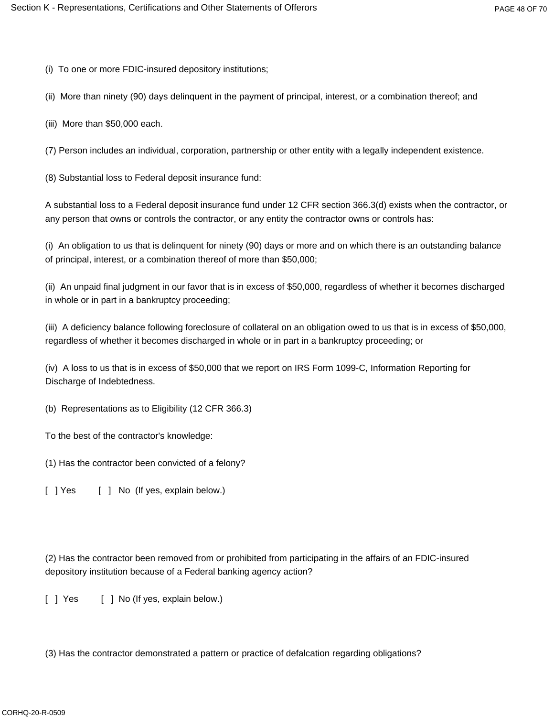(i) To one or more FDIC-insured depository institutions;

(ii) More than ninety (90) days delinquent in the payment of principal, interest, or a combination thereof; and

(iii) More than \$50,000 each.

(7) Person includes an individual, corporation, partnership or other entity with a legally independent existence.

(8) Substantial loss to Federal deposit insurance fund:

A substantial loss to a Federal deposit insurance fund under 12 CFR section 366.3(d) exists when the contractor, or any person that owns or controls the contractor, or any entity the contractor owns or controls has:

(i) An obligation to us that is delinquent for ninety (90) days or more and on which there is an outstanding balance of principal, interest, or a combination thereof of more than \$50,000;

(ii) An unpaid final judgment in our favor that is in excess of \$50,000, regardless of whether it becomes discharged in whole or in part in a bankruptcy proceeding;

(iii) A deficiency balance following foreclosure of collateral on an obligation owed to us that is in excess of \$50,000, regardless of whether it becomes discharged in whole or in part in a bankruptcy proceeding; or

(iv) A loss to us that is in excess of \$50,000 that we report on IRS Form 1099-C, Information Reporting for Discharge of Indebtedness.

(b) Representations as to Eligibility (12 CFR 366.3)

To the best of the contractor's knowledge:

(1) Has the contractor been convicted of a felony?

[ ] Yes [ ] No (If yes, explain below.)

(2) Has the contractor been removed from or prohibited from participating in the affairs of an FDIC-insured depository institution because of a Federal banking agency action?

[ ] Yes [ ] No (If yes, explain below.)

(3) Has the contractor demonstrated a pattern or practice of defalcation regarding obligations?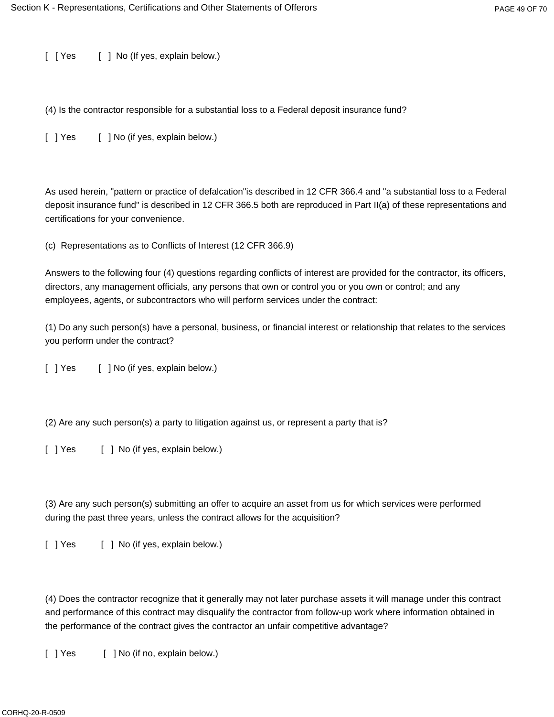[ [ Yes [ ] No (If yes, explain below.)

(4) Is the contractor responsible for a substantial loss to a Federal deposit insurance fund?

[ ] Yes [ ] No (if yes, explain below.)

As used herein, "pattern or practice of defalcation"is described in 12 CFR 366.4 and "a substantial loss to a Federal deposit insurance fund" is described in 12 CFR 366.5 both are reproduced in Part II(a) of these representations and certifications for your convenience.

(c) Representations as to Conflicts of Interest (12 CFR 366.9)

Answers to the following four (4) questions regarding conflicts of interest are provided for the contractor, its officers, directors, any management officials, any persons that own or control you or you own or control; and any employees, agents, or subcontractors who will perform services under the contract:

(1) Do any such person(s) have a personal, business, or financial interest or relationship that relates to the services you perform under the contract?

[ ] Yes [ ] No (if yes, explain below.)

(2) Are any such person(s) a party to litigation against us, or represent a party that is?

[ ] Yes [ ] No (if yes, explain below.)

(3) Are any such person(s) submitting an offer to acquire an asset from us for which services were performed during the past three years, unless the contract allows for the acquisition?

[ ] Yes [ ] No (if yes, explain below.)

(4) Does the contractor recognize that it generally may not later purchase assets it will manage under this contract and performance of this contract may disqualify the contractor from follow-up work where information obtained in the performance of the contract gives the contractor an unfair competitive advantage?

[ ] Yes [ ] No (if no, explain below.)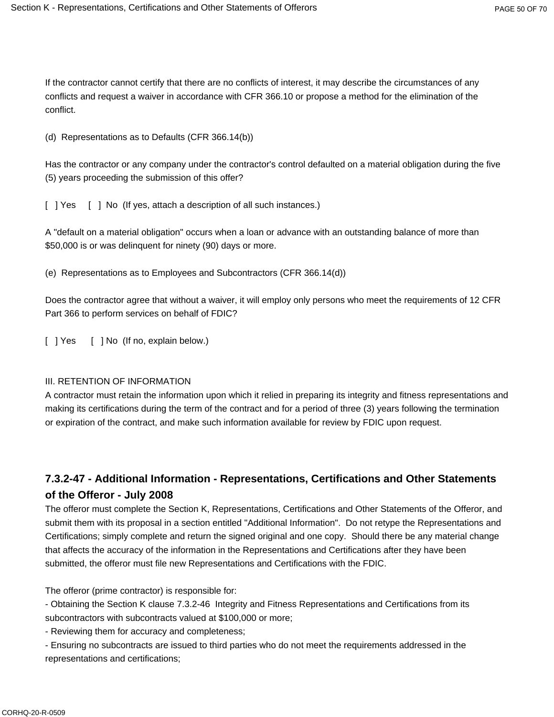If the contractor cannot certify that there are no conflicts of interest, it may describe the circumstances of any conflicts and request a waiver in accordance with CFR 366.10 or propose a method for the elimination of the conflict.

(d) Representations as to Defaults (CFR 366.14(b))

Has the contractor or any company under the contractor's control defaulted on a material obligation during the five (5) years proceeding the submission of this offer?

[ ] Yes [ ] No (If yes, attach a description of all such instances.)

A "default on a material obligation" occurs when a loan or advance with an outstanding balance of more than \$50,000 is or was delinquent for ninety (90) days or more.

(e) Representations as to Employees and Subcontractors (CFR 366.14(d))

Does the contractor agree that without a waiver, it will employ only persons who meet the requirements of 12 CFR Part 366 to perform services on behalf of FDIC?

[ ] Yes [ ] No (If no, explain below.)

### III. RETENTION OF INFORMATION

A contractor must retain the information upon which it relied in preparing its integrity and fitness representations and making its certifications during the term of the contract and for a period of three (3) years following the termination or expiration of the contract, and make such information available for review by FDIC upon request.

## **7.3.2-47 - Additional Information - Representations, Certifications and Other Statements of the Offeror - July 2008**

The offeror must complete the Section K, Representations, Certifications and Other Statements of the Offeror, and submit them with its proposal in a section entitled "Additional Information". Do not retype the Representations and Certifications; simply complete and return the signed original and one copy. Should there be any material change that affects the accuracy of the information in the Representations and Certifications after they have been submitted, the offeror must file new Representations and Certifications with the FDIC.

The offeror (prime contractor) is responsible for:

- Obtaining the Section K clause 7.3.2-46 Integrity and Fitness Representations and Certifications from its subcontractors with subcontracts valued at \$100,000 or more;

- Reviewing them for accuracy and completeness;

- Ensuring no subcontracts are issued to third parties who do not meet the requirements addressed in the representations and certifications;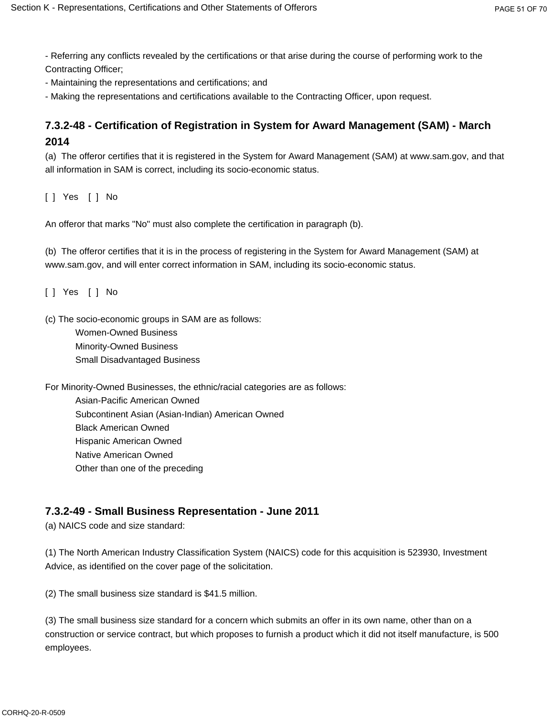- Referring any conflicts revealed by the certifications or that arise during the course of performing work to the Contracting Officer;

- Maintaining the representations and certifications; and

- Making the representations and certifications available to the Contracting Officer, upon request.

## **7.3.2-48 - Certification of Registration in System for Award Management (SAM) - March 2014**

(a) The offeror certifies that it is registered in the System for Award Management (SAM) at www.sam.gov, and that all information in SAM is correct, including its socio-economic status.

[ ] Yes [ ] No

An offeror that marks "No" must also complete the certification in paragraph (b).

(b) The offeror certifies that it is in the process of registering in the System for Award Management (SAM) at www.sam.gov, and will enter correct information in SAM, including its socio-economic status.

[ ] Yes [ ] No

(c) The socio-economic groups in SAM are as follows:

Women-Owned Business Minority-Owned Business Small Disadvantaged Business

For Minority-Owned Businesses, the ethnic/racial categories are as follows: Asian-Pacific American Owned Subcontinent Asian (Asian-Indian) American Owned Black American Owned Hispanic American Owned Native American Owned Other than one of the preceding

### **7.3.2-49 - Small Business Representation - June 2011**

(a) NAICS code and size standard:

(1) The North American Industry Classification System (NAICS) code for this acquisition is 523930, Investment Advice, as identified on the cover page of the solicitation.

(2) The small business size standard is \$41.5 million.

(3) The small business size standard for a concern which submits an offer in its own name, other than on a construction or service contract, but which proposes to furnish a product which it did not itself manufacture, is 500 employees.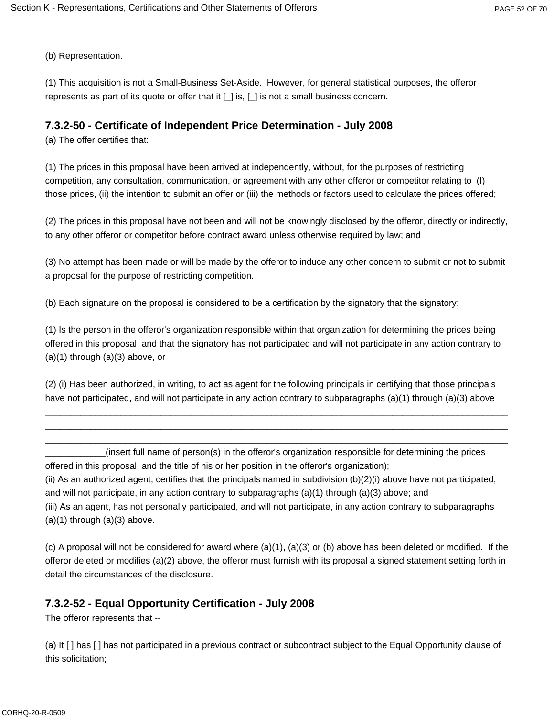(b) Representation.

(1) This acquisition is not a Small-Business Set-Aside. However, for general statistical purposes, the offeror represents as part of its quote or offer that it  $[\_]$  is,  $[\_]$  is not a small business concern.

## **7.3.2-50 - Certificate of Independent Price Determination - July 2008**

(a) The offer certifies that:

(1) The prices in this proposal have been arrived at independently, without, for the purposes of restricting competition, any consultation, communication, or agreement with any other offeror or competitor relating to (I) those prices, (ii) the intention to submit an offer or (iii) the methods or factors used to calculate the prices offered;

(2) The prices in this proposal have not been and will not be knowingly disclosed by the offeror, directly or indirectly, to any other offeror or competitor before contract award unless otherwise required by law; and

(3) No attempt has been made or will be made by the offeror to induce any other concern to submit or not to submit a proposal for the purpose of restricting competition.

(b) Each signature on the proposal is considered to be a certification by the signatory that the signatory:

(1) Is the person in the offeror's organization responsible within that organization for determining the prices being offered in this proposal, and that the signatory has not participated and will not participate in any action contrary to  $(a)(1)$  through  $(a)(3)$  above, or

(2) (i) Has been authorized, in writing, to act as agent for the following principals in certifying that those principals have not participated, and will not participate in any action contrary to subparagraphs (a)(1) through (a)(3) above

 $\_$  , and the set of the set of the set of the set of the set of the set of the set of the set of the set of the set of the set of the set of the set of the set of the set of the set of the set of the set of the set of th  $\_$  , and the set of the set of the set of the set of the set of the set of the set of the set of the set of the set of the set of the set of the set of the set of the set of the set of the set of the set of the set of th  $\_$  , and the set of the set of the set of the set of the set of the set of the set of the set of the set of the set of the set of the set of the set of the set of the set of the set of the set of the set of the set of th

\_\_\_\_\_\_\_\_\_\_\_\_(insert full name of person(s) in the offeror's organization responsible for determining the prices offered in this proposal, and the title of his or her position in the offeror's organization); (ii) As an authorized agent, certifies that the principals named in subdivision (b)(2)(i) above have not participated, and will not participate, in any action contrary to subparagraphs (a)(1) through (a)(3) above; and (iii) As an agent, has not personally participated, and will not participate, in any action contrary to subparagraphs  $(a)(1)$  through  $(a)(3)$  above.

(c) A proposal will not be considered for award where (a)(1), (a)(3) or (b) above has been deleted or modified. If the offeror deleted or modifies (a)(2) above, the offeror must furnish with its proposal a signed statement setting forth in detail the circumstances of the disclosure.

## **7.3.2-52 - Equal Opportunity Certification - July 2008**

The offeror represents that --

(a) It [ ] has [ ] has not participated in a previous contract or subcontract subject to the Equal Opportunity clause of this solicitation;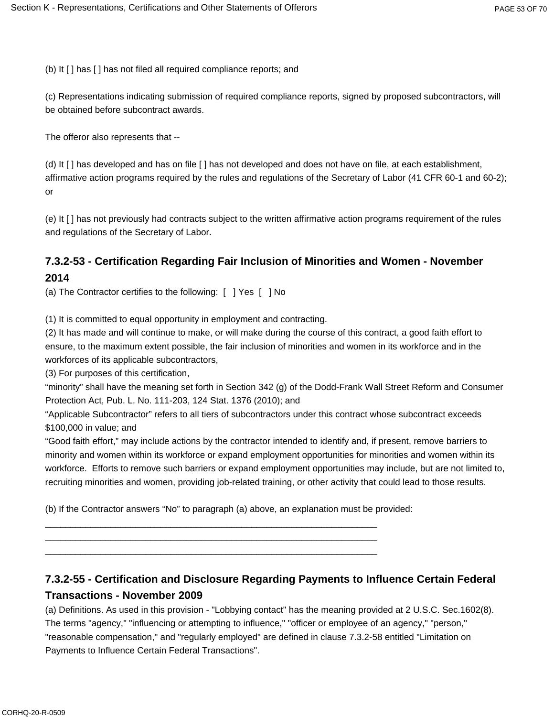(b) It [ ] has [ ] has not filed all required compliance reports; and

(c) Representations indicating submission of required compliance reports, signed by proposed subcontractors, will be obtained before subcontract awards.

The offeror also represents that --

(d) It [ ] has developed and has on file [ ] has not developed and does not have on file, at each establishment, affirmative action programs required by the rules and regulations of the Secretary of Labor (41 CFR 60-1 and 60-2); or

(e) It [ ] has not previously had contracts subject to the written affirmative action programs requirement of the rules and regulations of the Secretary of Labor.

## **7.3.2-53 - Certification Regarding Fair Inclusion of Minorities and Women - November 2014**

(a) The Contractor certifies to the following: [ ] Yes [ ] No

(1) It is committed to equal opportunity in employment and contracting.

(2) It has made and will continue to make, or will make during the course of this contract, a good faith effort to ensure, to the maximum extent possible, the fair inclusion of minorities and women in its workforce and in the workforces of its applicable subcontractors,

(3) For purposes of this certification,

"minority" shall have the meaning set forth in Section 342 (g) of the Dodd-Frank Wall Street Reform and Consumer Protection Act, Pub. L. No. 111-203, 124 Stat. 1376 (2010); and

"Applicable Subcontractor" refers to all tiers of subcontractors under this contract whose subcontract exceeds \$100,000 in value; and

"Good faith effort," may include actions by the contractor intended to identify and, if present, remove barriers to minority and women within its workforce or expand employment opportunities for minorities and women within its workforce. Efforts to remove such barriers or expand employment opportunities may include, but are not limited to, recruiting minorities and women, providing job-related training, or other activity that could lead to those results.

(b) If the Contractor answers "No" to paragraph (a) above, an explanation must be provided:

 $\_$  ,  $\_$  ,  $\_$  ,  $\_$  ,  $\_$  ,  $\_$  ,  $\_$  ,  $\_$  ,  $\_$  ,  $\_$  ,  $\_$  ,  $\_$  ,  $\_$  ,  $\_$  ,  $\_$  ,  $\_$  ,  $\_$  ,  $\_$  ,  $\_$  $\_$  ,  $\_$  ,  $\_$  ,  $\_$  ,  $\_$  ,  $\_$  ,  $\_$  ,  $\_$  ,  $\_$  ,  $\_$  ,  $\_$  ,  $\_$  ,  $\_$  ,  $\_$  ,  $\_$  ,  $\_$  ,  $\_$  ,  $\_$  ,  $\_$  $\_$  ,  $\_$  ,  $\_$  ,  $\_$  ,  $\_$  ,  $\_$  ,  $\_$  ,  $\_$  ,  $\_$  ,  $\_$  ,  $\_$  ,  $\_$  ,  $\_$  ,  $\_$  ,  $\_$  ,  $\_$  ,  $\_$  ,  $\_$  ,  $\_$ 

# **7.3.2-55 - Certification and Disclosure Regarding Payments to Influence Certain Federal Transactions - November 2009**

(a) Definitions. As used in this provision - "Lobbying contact" has the meaning provided at 2 U.S.C. Sec.1602(8). The terms "agency," "influencing or attempting to influence," "officer or employee of an agency," "person," "reasonable compensation," and "regularly employed" are defined in clause 7.3.2-58 entitled "Limitation on Payments to Influence Certain Federal Transactions".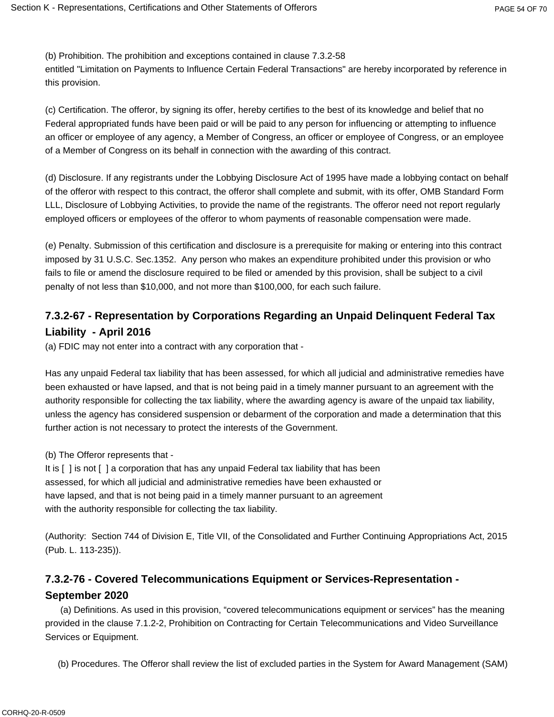(b) Prohibition. The prohibition and exceptions contained in clause 7.3.2-58

entitled "Limitation on Payments to Influence Certain Federal Transactions" are hereby incorporated by reference in this provision.

(c) Certification. The offeror, by signing its offer, hereby certifies to the best of its knowledge and belief that no Federal appropriated funds have been paid or will be paid to any person for influencing or attempting to influence an officer or employee of any agency, a Member of Congress, an officer or employee of Congress, or an employee of a Member of Congress on its behalf in connection with the awarding of this contract.

(d) Disclosure. If any registrants under the Lobbying Disclosure Act of 1995 have made a lobbying contact on behalf of the offeror with respect to this contract, the offeror shall complete and submit, with its offer, OMB Standard Form LLL, Disclosure of Lobbying Activities, to provide the name of the registrants. The offeror need not report regularly employed officers or employees of the offeror to whom payments of reasonable compensation were made.

(e) Penalty. Submission of this certification and disclosure is a prerequisite for making or entering into this contract imposed by 31 U.S.C. Sec.1352. Any person who makes an expenditure prohibited under this provision or who fails to file or amend the disclosure required to be filed or amended by this provision, shall be subject to a civil penalty of not less than \$10,000, and not more than \$100,000, for each such failure.

## **7.3.2-67 - Representation by Corporations Regarding an Unpaid Delinquent Federal Tax Liability - April 2016**

(a) FDIC may not enter into a contract with any corporation that -

Has any unpaid Federal tax liability that has been assessed, for which all judicial and administrative remedies have been exhausted or have lapsed, and that is not being paid in a timely manner pursuant to an agreement with the authority responsible for collecting the tax liability, where the awarding agency is aware of the unpaid tax liability, unless the agency has considered suspension or debarment of the corporation and made a determination that this further action is not necessary to protect the interests of the Government.

(b) The Offeror represents that -

It is [ ] is not [ ] a corporation that has any unpaid Federal tax liability that has been assessed, for which all judicial and administrative remedies have been exhausted or have lapsed, and that is not being paid in a timely manner pursuant to an agreement with the authority responsible for collecting the tax liability.

(Authority: Section 744 of Division E, Title VII, of the Consolidated and Further Continuing Appropriations Act, 2015 (Pub. L. 113-235)).

## **7.3.2-76 - Covered Telecommunications Equipment or Services-Representation - September 2020**

(a) Definitions. As used in this provision, "covered telecommunications equipment or services" has the meaning provided in the clause 7.1.2-2, Prohibition on Contracting for Certain Telecommunications and Video Surveillance Services or Equipment.

(b) Procedures. The Offeror shall review the list of excluded parties in the System for Award Management (SAM)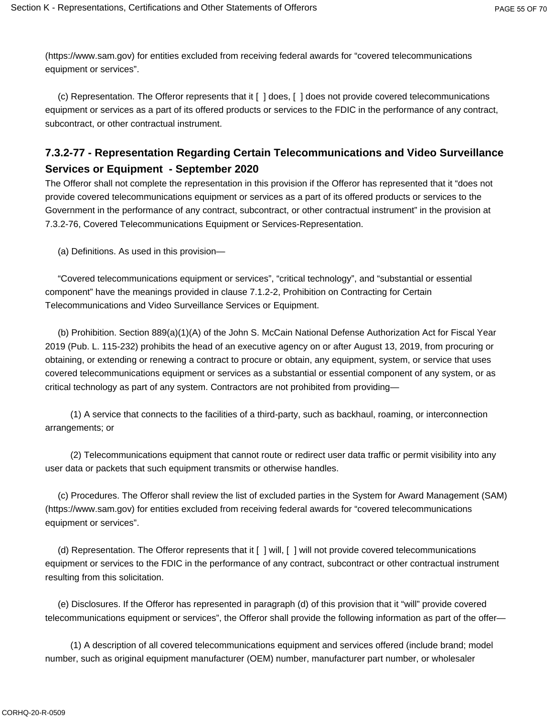(https://www.sam.gov) for entities excluded from receiving federal awards for "covered telecommunications equipment or services".

(c) Representation. The Offeror represents that it [ ] does, [ ] does not provide covered telecommunications equipment or services as a part of its offered products or services to the FDIC in the performance of any contract, subcontract, or other contractual instrument.

## **7.3.2-77 - Representation Regarding Certain Telecommunications and Video Surveillance Services or Equipment - September 2020**

The Offeror shall not complete the representation in this provision if the Offeror has represented that it "does not provide covered telecommunications equipment or services as a part of its offered products or services to the Government in the performance of any contract, subcontract, or other contractual instrument" in the provision at 7.3.2-76, Covered Telecommunications Equipment or Services-Representation.

(a) Definitions. As used in this provision—

 "Covered telecommunications equipment or services", "critical technology", and "substantial or essential component" have the meanings provided in clause 7.1.2-2, Prohibition on Contracting for Certain Telecommunications and Video Surveillance Services or Equipment.

(b) Prohibition. Section 889(a)(1)(A) of the John S. McCain National Defense Authorization Act for Fiscal Year 2019 (Pub. L. 115-232) prohibits the head of an executive agency on or after August 13, 2019, from procuring or obtaining, or extending or renewing a contract to procure or obtain, any equipment, system, or service that uses covered telecommunications equipment or services as a substantial or essential component of any system, or as critical technology as part of any system. Contractors are not prohibited from providing—

(1) A service that connects to the facilities of a third-party, such as backhaul, roaming, or interconnection arrangements; or

(2) Telecommunications equipment that cannot route or redirect user data traffic or permit visibility into any user data or packets that such equipment transmits or otherwise handles.

(c) Procedures. The Offeror shall review the list of excluded parties in the System for Award Management (SAM) (https://www.sam.gov) for entities excluded from receiving federal awards for "covered telecommunications equipment or services".

(d) Representation. The Offeror represents that it [ ] will, [ ] will not provide covered telecommunications equipment or services to the FDIC in the performance of any contract, subcontract or other contractual instrument resulting from this solicitation.

(e) Disclosures. If the Offeror has represented in paragraph (d) of this provision that it "will" provide covered telecommunications equipment or services", the Offeror shall provide the following information as part of the offer—

(1) A description of all covered telecommunications equipment and services offered (include brand; model number, such as original equipment manufacturer (OEM) number, manufacturer part number, or wholesaler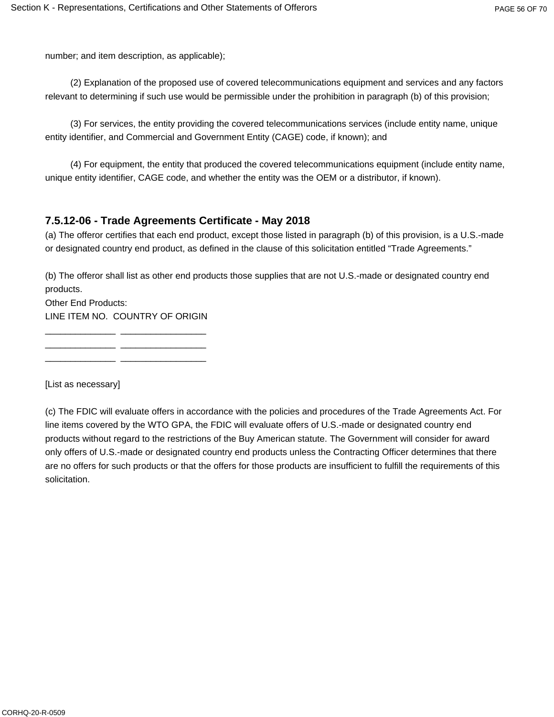number; and item description, as applicable);

(2) Explanation of the proposed use of covered telecommunications equipment and services and any factors relevant to determining if such use would be permissible under the prohibition in paragraph (b) of this provision;

(3) For services, the entity providing the covered telecommunications services (include entity name, unique entity identifier, and Commercial and Government Entity (CAGE) code, if known); and

(4) For equipment, the entity that produced the covered telecommunications equipment (include entity name, unique entity identifier, CAGE code, and whether the entity was the OEM or a distributor, if known).

## **7.5.12-06 - Trade Agreements Certificate - May 2018**

(a) The offeror certifies that each end product, except those listed in paragraph (b) of this provision, is a U.S.-made or designated country end product, as defined in the clause of this solicitation entitled "Trade Agreements."

(b) The offeror shall list as other end products those supplies that are not U.S.-made or designated country end products.

Other End Products: LINE ITEM NO. COUNTRY OF ORIGIN

\_\_\_\_\_\_\_\_\_\_\_\_\_\_ \_\_\_\_\_\_\_\_\_\_\_\_\_\_\_\_\_ \_\_\_\_\_\_\_\_\_\_\_\_\_\_ \_\_\_\_\_\_\_\_\_\_\_\_\_\_\_\_\_ \_\_\_\_\_\_\_\_\_\_\_\_\_\_ \_\_\_\_\_\_\_\_\_\_\_\_\_\_\_\_\_

[List as necessary]

(c) The FDIC will evaluate offers in accordance with the policies and procedures of the Trade Agreements Act. For line items covered by the WTO GPA, the FDIC will evaluate offers of U.S.-made or designated country end products without regard to the restrictions of the Buy American statute. The Government will consider for award only offers of U.S.-made or designated country end products unless the Contracting Officer determines that there are no offers for such products or that the offers for those products are insufficient to fulfill the requirements of this solicitation.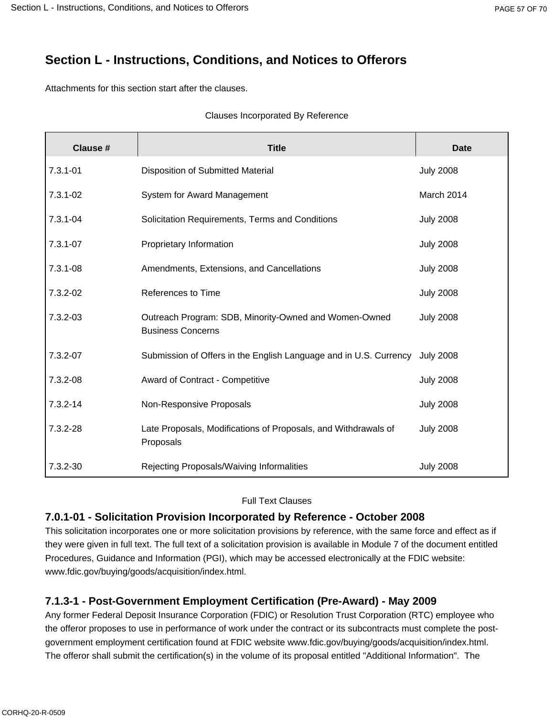# **Section L - Instructions, Conditions, and Notices to Offerors**

Attachments for this section start after the clauses.

#### Clauses Incorporated By Reference

| Clause #     | <b>Title</b>                                                                      | <b>Date</b>      |
|--------------|-----------------------------------------------------------------------------------|------------------|
| $7.3.1 - 01$ | Disposition of Submitted Material                                                 | <b>July 2008</b> |
| 7.3.1-02     | System for Award Management                                                       | March 2014       |
| $7.3.1 - 04$ | Solicitation Requirements, Terms and Conditions                                   | <b>July 2008</b> |
| 7.3.1-07     | Proprietary Information                                                           | <b>July 2008</b> |
| 7.3.1-08     | Amendments, Extensions, and Cancellations                                         | <b>July 2008</b> |
| 7.3.2-02     | References to Time                                                                | <b>July 2008</b> |
| $7.3.2 - 03$ | Outreach Program: SDB, Minority-Owned and Women-Owned<br><b>Business Concerns</b> | <b>July 2008</b> |
| 7.3.2-07     | Submission of Offers in the English Language and in U.S. Currency                 | <b>July 2008</b> |
| 7.3.2-08     | Award of Contract - Competitive                                                   | <b>July 2008</b> |
| $7.3.2 - 14$ | Non-Responsive Proposals                                                          | <b>July 2008</b> |
| 7.3.2-28     | Late Proposals, Modifications of Proposals, and Withdrawals of<br>Proposals       | <b>July 2008</b> |
| 7.3.2-30     | Rejecting Proposals/Waiving Informalities                                         | <b>July 2008</b> |

### Full Text Clauses

## **7.0.1-01 - Solicitation Provision Incorporated by Reference - October 2008**

This solicitation incorporates one or more solicitation provisions by reference, with the same force and effect as if they were given in full text. The full text of a solicitation provision is available in Module 7 of the document entitled Procedures, Guidance and Information (PGI), which may be accessed electronically at the FDIC website: www.fdic.gov/buying/goods/acquisition/index.html.

# **7.1.3-1 - Post-Government Employment Certification (Pre-Award) - May 2009**

Any former Federal Deposit Insurance Corporation (FDIC) or Resolution Trust Corporation (RTC) employee who the offeror proposes to use in performance of work under the contract or its subcontracts must complete the postgovernment employment certification found at FDIC website www.fdic.gov/buying/goods/acquisition/index.html. The offeror shall submit the certification(s) in the volume of its proposal entitled "Additional Information". The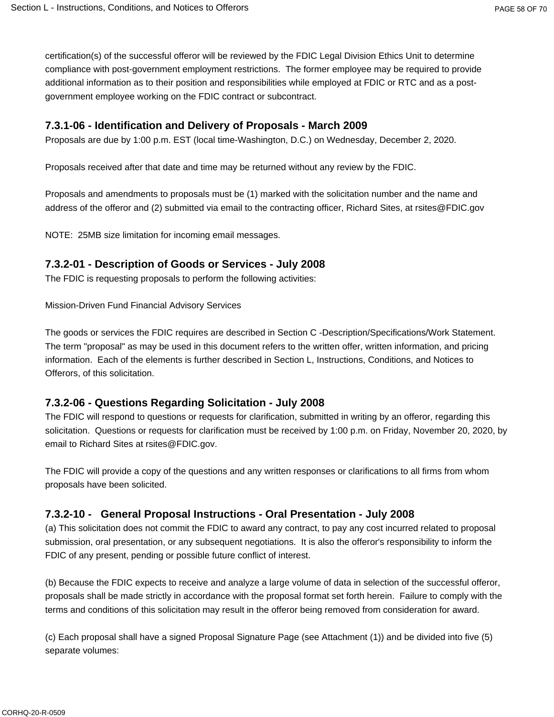certification(s) of the successful offeror will be reviewed by the FDIC Legal Division Ethics Unit to determine compliance with post-government employment restrictions. The former employee may be required to provide additional information as to their position and responsibilities while employed at FDIC or RTC and as a postgovernment employee working on the FDIC contract or subcontract.

#### **7.3.1-06 - Identification and Delivery of Proposals - March 2009**

Proposals are due by 1:00 p.m. EST (local time-Washington, D.C.) on Wednesday, December 2, 2020.

Proposals received after that date and time may be returned without any review by the FDIC.

Proposals and amendments to proposals must be (1) marked with the solicitation number and the name and address of the offeror and (2) submitted via email to the contracting officer, Richard Sites, at rsites@FDIC.gov

NOTE: 25MB size limitation for incoming email messages.

#### **7.3.2-01 - Description of Goods or Services - July 2008**

The FDIC is requesting proposals to perform the following activities:

Mission-Driven Fund Financial Advisory Services

The goods or services the FDIC requires are described in Section C -Description/Specifications/Work Statement. The term "proposal" as may be used in this document refers to the written offer, written information, and pricing information. Each of the elements is further described in Section L, Instructions, Conditions, and Notices to Offerors, of this solicitation.

#### **7.3.2-06 - Questions Regarding Solicitation - July 2008**

The FDIC will respond to questions or requests for clarification, submitted in writing by an offeror, regarding this solicitation. Questions or requests for clarification must be received by 1:00 p.m. on Friday, November 20, 2020, by email to Richard Sites at rsites@FDIC.gov.

The FDIC will provide a copy of the questions and any written responses or clarifications to all firms from whom proposals have been solicited.

#### **7.3.2-10 - General Proposal Instructions - Oral Presentation - July 2008**

(a) This solicitation does not commit the FDIC to award any contract, to pay any cost incurred related to proposal submission, oral presentation, or any subsequent negotiations. It is also the offeror's responsibility to inform the FDIC of any present, pending or possible future conflict of interest.

(b) Because the FDIC expects to receive and analyze a large volume of data in selection of the successful offeror, proposals shall be made strictly in accordance with the proposal format set forth herein. Failure to comply with the terms and conditions of this solicitation may result in the offeror being removed from consideration for award.

(c) Each proposal shall have a signed Proposal Signature Page (see Attachment (1)) and be divided into five (5) separate volumes: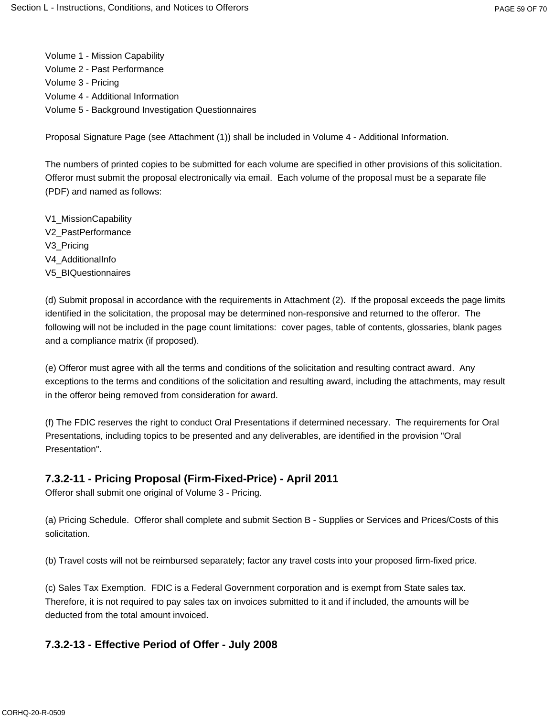Volume 1 - Mission Capability Volume 2 - Past Performance Volume 3 - Pricing Volume 4 - Additional Information Volume 5 - Background Investigation Questionnaires

Proposal Signature Page (see Attachment (1)) shall be included in Volume 4 - Additional Information.

The numbers of printed copies to be submitted for each volume are specified in other provisions of this solicitation. Offeror must submit the proposal electronically via email. Each volume of the proposal must be a separate file (PDF) and named as follows:

V1\_MissionCapability V2\_PastPerformance V3\_Pricing V4\_AdditionalInfo V5\_BIQuestionnaires

(d) Submit proposal in accordance with the requirements in Attachment (2). If the proposal exceeds the page limits identified in the solicitation, the proposal may be determined non-responsive and returned to the offeror. The following will not be included in the page count limitations: cover pages, table of contents, glossaries, blank pages and a compliance matrix (if proposed).

(e) Offeror must agree with all the terms and conditions of the solicitation and resulting contract award. Any exceptions to the terms and conditions of the solicitation and resulting award, including the attachments, may result in the offeror being removed from consideration for award.

(f) The FDIC reserves the right to conduct Oral Presentations if determined necessary. The requirements for Oral Presentations, including topics to be presented and any deliverables, are identified in the provision "Oral Presentation".

#### **7.3.2-11 - Pricing Proposal (Firm-Fixed-Price) - April 2011**

Offeror shall submit one original of Volume 3 - Pricing.

(a) Pricing Schedule. Offeror shall complete and submit Section B - Supplies or Services and Prices/Costs of this solicitation.

(b) Travel costs will not be reimbursed separately; factor any travel costs into your proposed firm-fixed price.

(c) Sales Tax Exemption. FDIC is a Federal Government corporation and is exempt from State sales tax. Therefore, it is not required to pay sales tax on invoices submitted to it and if included, the amounts will be deducted from the total amount invoiced.

#### **7.3.2-13 - Effective Period of Offer - July 2008**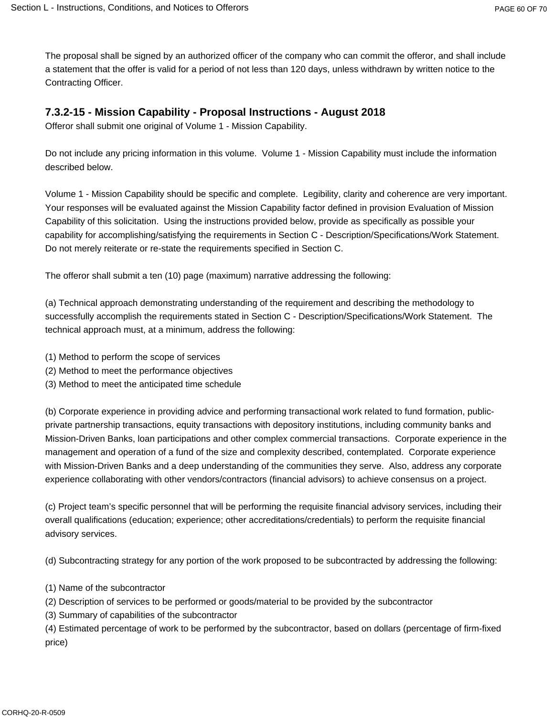The proposal shall be signed by an authorized officer of the company who can commit the offeror, and shall include a statement that the offer is valid for a period of not less than 120 days, unless withdrawn by written notice to the Contracting Officer.

#### **7.3.2-15 - Mission Capability - Proposal Instructions - August 2018**

Offeror shall submit one original of Volume 1 - Mission Capability.

Do not include any pricing information in this volume. Volume 1 - Mission Capability must include the information described below.

Volume 1 - Mission Capability should be specific and complete. Legibility, clarity and coherence are very important. Your responses will be evaluated against the Mission Capability factor defined in provision Evaluation of Mission Capability of this solicitation. Using the instructions provided below, provide as specifically as possible your capability for accomplishing/satisfying the requirements in Section C - Description/Specifications/Work Statement. Do not merely reiterate or re-state the requirements specified in Section C.

The offeror shall submit a ten (10) page (maximum) narrative addressing the following:

(a) Technical approach demonstrating understanding of the requirement and describing the methodology to successfully accomplish the requirements stated in Section C - Description/Specifications/Work Statement. The technical approach must, at a minimum, address the following:

- (1) Method to perform the scope of services
- (2) Method to meet the performance objectives
- (3) Method to meet the anticipated time schedule

(b) Corporate experience in providing advice and performing transactional work related to fund formation, publicprivate partnership transactions, equity transactions with depository institutions, including community banks and Mission-Driven Banks, loan participations and other complex commercial transactions. Corporate experience in the management and operation of a fund of the size and complexity described, contemplated. Corporate experience with Mission-Driven Banks and a deep understanding of the communities they serve. Also, address any corporate experience collaborating with other vendors/contractors (financial advisors) to achieve consensus on a project.

(c) Project team's specific personnel that will be performing the requisite financial advisory services, including their overall qualifications (education; experience; other accreditations/credentials) to perform the requisite financial advisory services.

(d) Subcontracting strategy for any portion of the work proposed to be subcontracted by addressing the following:

- (1) Name of the subcontractor
- (2) Description of services to be performed or goods/material to be provided by the subcontractor
- (3) Summary of capabilities of the subcontractor

(4) Estimated percentage of work to be performed by the subcontractor, based on dollars (percentage of firm-fixed price)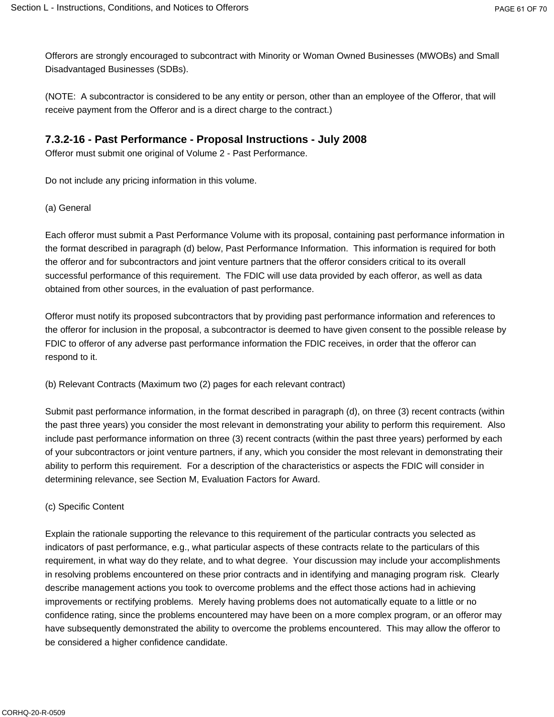Offerors are strongly encouraged to subcontract with Minority or Woman Owned Businesses (MWOBs) and Small Disadvantaged Businesses (SDBs).

(NOTE: A subcontractor is considered to be any entity or person, other than an employee of the Offeror, that will receive payment from the Offeror and is a direct charge to the contract.)

### **7.3.2-16 - Past Performance - Proposal Instructions - July 2008**

Offeror must submit one original of Volume 2 - Past Performance.

Do not include any pricing information in this volume.

(a) General

Each offeror must submit a Past Performance Volume with its proposal, containing past performance information in the format described in paragraph (d) below, Past Performance Information. This information is required for both the offeror and for subcontractors and joint venture partners that the offeror considers critical to its overall successful performance of this requirement. The FDIC will use data provided by each offeror, as well as data obtained from other sources, in the evaluation of past performance.

Offeror must notify its proposed subcontractors that by providing past performance information and references to the offeror for inclusion in the proposal, a subcontractor is deemed to have given consent to the possible release by FDIC to offeror of any adverse past performance information the FDIC receives, in order that the offeror can respond to it.

(b) Relevant Contracts (Maximum two (2) pages for each relevant contract)

Submit past performance information, in the format described in paragraph (d), on three (3) recent contracts (within the past three years) you consider the most relevant in demonstrating your ability to perform this requirement. Also include past performance information on three (3) recent contracts (within the past three years) performed by each of your subcontractors or joint venture partners, if any, which you consider the most relevant in demonstrating their ability to perform this requirement. For a description of the characteristics or aspects the FDIC will consider in determining relevance, see Section M, Evaluation Factors for Award.

(c) Specific Content

Explain the rationale supporting the relevance to this requirement of the particular contracts you selected as indicators of past performance, e.g., what particular aspects of these contracts relate to the particulars of this requirement, in what way do they relate, and to what degree. Your discussion may include your accomplishments in resolving problems encountered on these prior contracts and in identifying and managing program risk. Clearly describe management actions you took to overcome problems and the effect those actions had in achieving improvements or rectifying problems. Merely having problems does not automatically equate to a little or no confidence rating, since the problems encountered may have been on a more complex program, or an offeror may have subsequently demonstrated the ability to overcome the problems encountered. This may allow the offeror to be considered a higher confidence candidate.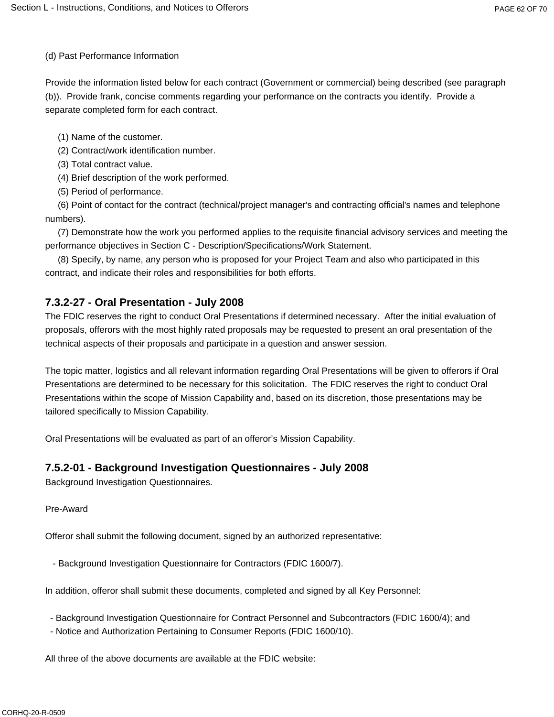(d) Past Performance Information

Provide the information listed below for each contract (Government or commercial) being described (see paragraph (b)). Provide frank, concise comments regarding your performance on the contracts you identify. Provide a separate completed form for each contract.

- (1) Name of the customer.
- (2) Contract/work identification number.
- (3) Total contract value.
- (4) Brief description of the work performed.
- (5) Period of performance.

(6) Point of contact for the contract (technical/project manager's and contracting official's names and telephone numbers).

(7) Demonstrate how the work you performed applies to the requisite financial advisory services and meeting the performance objectives in Section C - Description/Specifications/Work Statement.

(8) Specify, by name, any person who is proposed for your Project Team and also who participated in this contract, and indicate their roles and responsibilities for both efforts.

## **7.3.2-27 - Oral Presentation - July 2008**

The FDIC reserves the right to conduct Oral Presentations if determined necessary. After the initial evaluation of proposals, offerors with the most highly rated proposals may be requested to present an oral presentation of the technical aspects of their proposals and participate in a question and answer session.

The topic matter, logistics and all relevant information regarding Oral Presentations will be given to offerors if Oral Presentations are determined to be necessary for this solicitation. The FDIC reserves the right to conduct Oral Presentations within the scope of Mission Capability and, based on its discretion, those presentations may be tailored specifically to Mission Capability.

Oral Presentations will be evaluated as part of an offeror's Mission Capability.

## **7.5.2-01 - Background Investigation Questionnaires - July 2008**

Background Investigation Questionnaires.

Pre-Award

Offeror shall submit the following document, signed by an authorized representative:

- Background Investigation Questionnaire for Contractors (FDIC 1600/7).

In addition, offeror shall submit these documents, completed and signed by all Key Personnel:

- Background Investigation Questionnaire for Contract Personnel and Subcontractors (FDIC 1600/4); and
- Notice and Authorization Pertaining to Consumer Reports (FDIC 1600/10).

All three of the above documents are available at the FDIC website: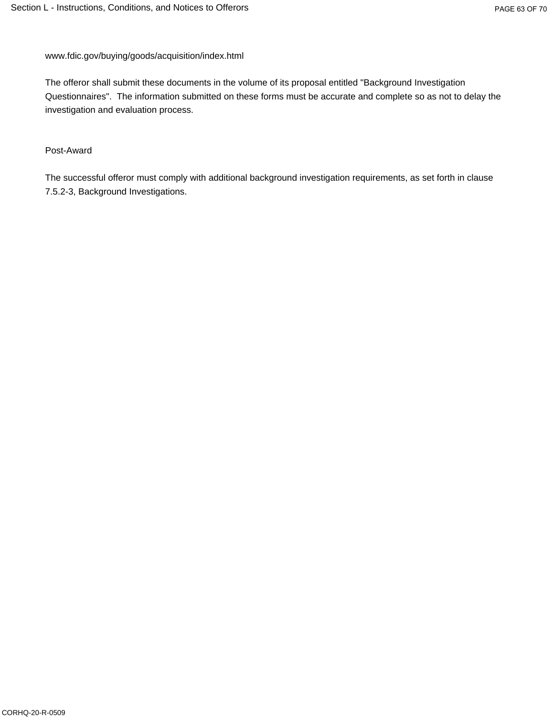www.fdic.gov/buying/goods/acquisition/index.html

The offeror shall submit these documents in the volume of its proposal entitled "Background Investigation Questionnaires". The information submitted on these forms must be accurate and complete so as not to delay the investigation and evaluation process.

#### Post-Award

The successful offeror must comply with additional background investigation requirements, as set forth in clause 7.5.2-3, Background Investigations.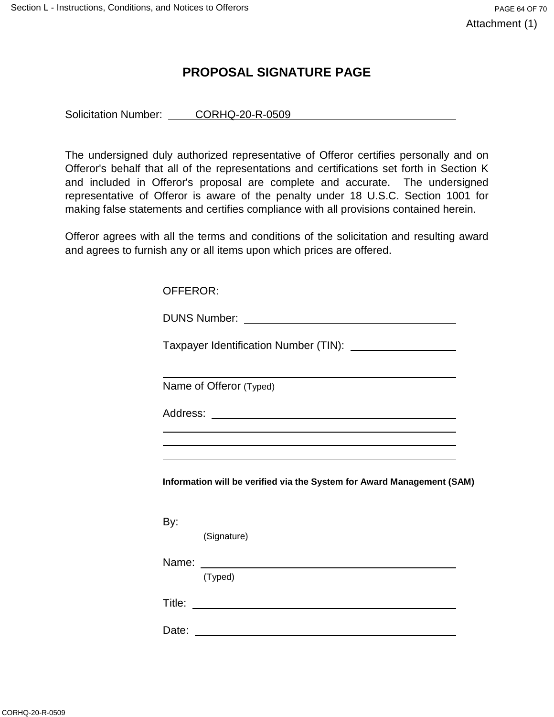## **PROPOSAL SIGNATURE PAGE**

Solicitation Number: CORHQ-20-R-0509

The undersigned duly authorized representative of Offeror certifies personally and on Offeror's behalf that all of the representations and certifications set forth in Section K and included in Offeror's proposal are complete and accurate. The undersigned representative of Offeror is aware of the penalty under 18 U.S.C. Section 1001 for making false statements and certifies compliance with all provisions contained herein.

Offeror agrees with all the terms and conditions of the solicitation and resulting award and agrees to furnish any or all items upon which prices are offered.

| OFFEROR:                                                                                                                                                                                                                             |
|--------------------------------------------------------------------------------------------------------------------------------------------------------------------------------------------------------------------------------------|
|                                                                                                                                                                                                                                      |
| Taxpayer Identification Number (TIN): _____________________                                                                                                                                                                          |
|                                                                                                                                                                                                                                      |
| Name of Offeror (Typed)                                                                                                                                                                                                              |
|                                                                                                                                                                                                                                      |
|                                                                                                                                                                                                                                      |
| ,我们也不会有什么。""我们的人,我们也不会有什么?""我们的人,我们也不会有什么?""我们的人,我们也不会有什么?""我们的人,我们也不会有什么?""我们的人                                                                                                                                                     |
| Information will be verified via the System for Award Management (SAM)                                                                                                                                                               |
|                                                                                                                                                                                                                                      |
| (Signature)                                                                                                                                                                                                                          |
| Name: <u>with the contract of the contract of the contract of the contract of the contract of the contract of the contract of the contract of the contract of the contract of the contract of the contract of the contract of th</u> |
| (Typed)                                                                                                                                                                                                                              |
|                                                                                                                                                                                                                                      |
|                                                                                                                                                                                                                                      |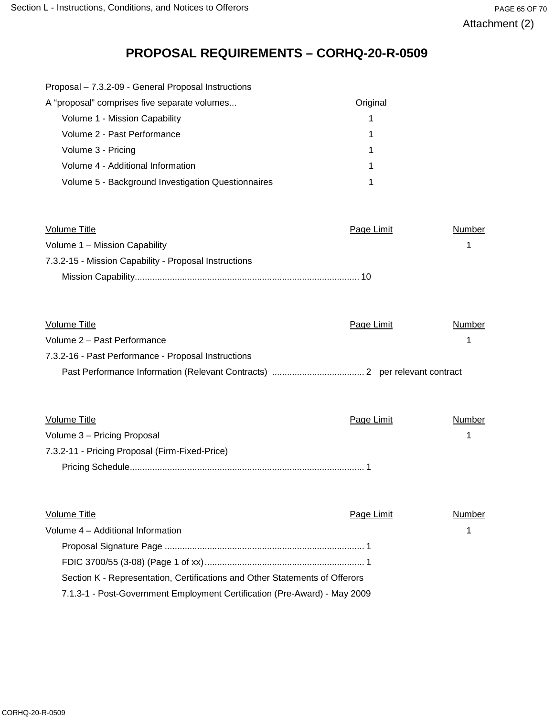# **PROPOSAL REQUIREMENTS – CORHQ-20-R-0509**

| A "proposal" comprises five separate volumes       | Original |
|----------------------------------------------------|----------|
| Volume 1 - Mission Capability                      |          |
| Volume 2 - Past Performance                        |          |
| Volume 3 - Pricing                                 |          |
| Volume 4 - Additional Information                  |          |
| Volume 5 - Background Investigation Questionnaires |          |
|                                                    |          |

| Volume Title                                          | Page Limit | Number |
|-------------------------------------------------------|------------|--------|
| Volume 1 - Mission Capability                         |            |        |
| 7.3.2-15 - Mission Capability - Proposal Instructions |            |        |
|                                                       |            |        |

| Volume Title                                        | Page Limit | Number |  |
|-----------------------------------------------------|------------|--------|--|
| Volume 2 - Past Performance                         |            |        |  |
| 7.3.2-16 - Past Performance - Proposal Instructions |            |        |  |
|                                                     |            |        |  |

| Volume Title                                   | Page Limit | Number |
|------------------------------------------------|------------|--------|
| Volume 3 - Pricing Proposal                    |            |        |
| 7.3.2-11 - Pricing Proposal (Firm-Fixed-Price) |            |        |
|                                                |            |        |

| Volume Title                                                                | Page Limit | Number |
|-----------------------------------------------------------------------------|------------|--------|
| Volume 4 - Additional Information                                           |            |        |
|                                                                             |            |        |
|                                                                             |            |        |
| Section K - Representation, Certifications and Other Statements of Offerors |            |        |
| 7.1.3-1 - Post-Government Employment Certification (Pre-Award) - May 2009   |            |        |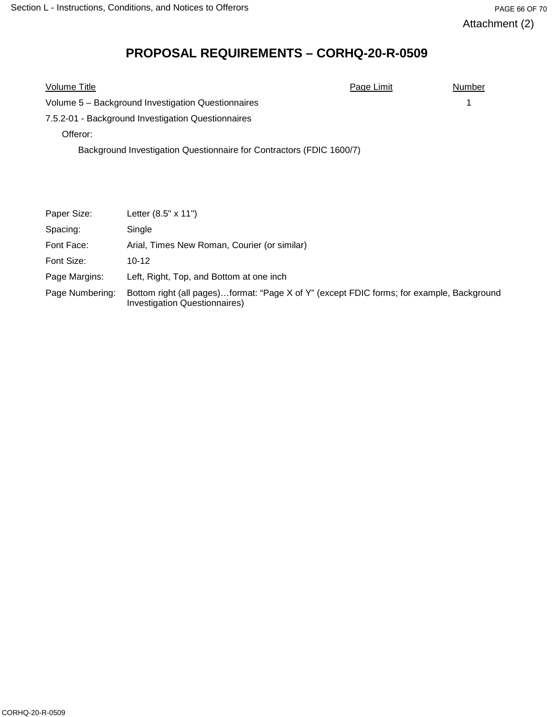# **PROPOSAL REQUIREMENTS – CORHQ-20-R-0509**

| Volume Title                                                         | Page Limit | Number |
|----------------------------------------------------------------------|------------|--------|
| Volume 5 - Background Investigation Questionnaires                   |            |        |
| 7.5.2-01 - Background Investigation Questionnaires                   |            |        |
| Offeror:                                                             |            |        |
| Background Investigation Questionnaire for Contractors (FDIC 1600/7) |            |        |

| Paper Size:     | Letter $(8.5" \times 11")$                                                                                                        |
|-----------------|-----------------------------------------------------------------------------------------------------------------------------------|
| Spacing:        | Single                                                                                                                            |
| Font Face:      | Arial, Times New Roman, Courier (or similar)                                                                                      |
| Font Size:      | $10 - 12$                                                                                                                         |
| Page Margins:   | Left, Right, Top, and Bottom at one inch                                                                                          |
| Page Numbering: | Bottom right (all pages)format: "Page X of Y" (except FDIC forms; for example, Background<br><b>Investigation Questionnaires)</b> |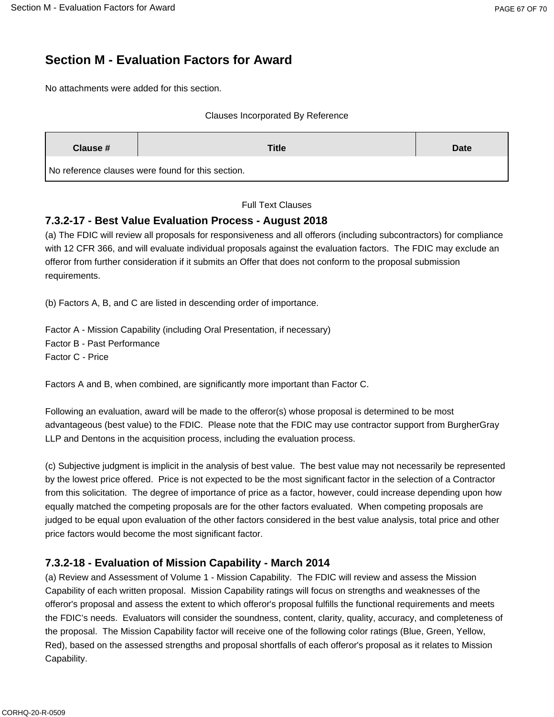# **Section M - Evaluation Factors for Award**

No attachments were added for this section.

#### Clauses Incorporated By Reference

| Clause #                                          | <b>Title</b> | <b>Date</b> |
|---------------------------------------------------|--------------|-------------|
| No reference clauses were found for this section. |              |             |

Full Text Clauses

## **7.3.2-17 - Best Value Evaluation Process - August 2018**

(a) The FDIC will review all proposals for responsiveness and all offerors (including subcontractors) for compliance with 12 CFR 366, and will evaluate individual proposals against the evaluation factors. The FDIC may exclude an offeror from further consideration if it submits an Offer that does not conform to the proposal submission requirements.

(b) Factors A, B, and C are listed in descending order of importance.

Factor A - Mission Capability (including Oral Presentation, if necessary) Factor B - Past Performance Factor C - Price

Factors A and B, when combined, are significantly more important than Factor C.

Following an evaluation, award will be made to the offeror(s) whose proposal is determined to be most advantageous (best value) to the FDIC. Please note that the FDIC may use contractor support from BurgherGray LLP and Dentons in the acquisition process, including the evaluation process.

(c) Subjective judgment is implicit in the analysis of best value. The best value may not necessarily be represented by the lowest price offered. Price is not expected to be the most significant factor in the selection of a Contractor from this solicitation. The degree of importance of price as a factor, however, could increase depending upon how equally matched the competing proposals are for the other factors evaluated. When competing proposals are judged to be equal upon evaluation of the other factors considered in the best value analysis, total price and other price factors would become the most significant factor.

## **7.3.2-18 - Evaluation of Mission Capability - March 2014**

(a) Review and Assessment of Volume 1 - Mission Capability. The FDIC will review and assess the Mission Capability of each written proposal. Mission Capability ratings will focus on strengths and weaknesses of the offeror's proposal and assess the extent to which offeror's proposal fulfills the functional requirements and meets the FDIC's needs. Evaluators will consider the soundness, content, clarity, quality, accuracy, and completeness of the proposal. The Mission Capability factor will receive one of the following color ratings (Blue, Green, Yellow, Red), based on the assessed strengths and proposal shortfalls of each offeror's proposal as it relates to Mission Capability.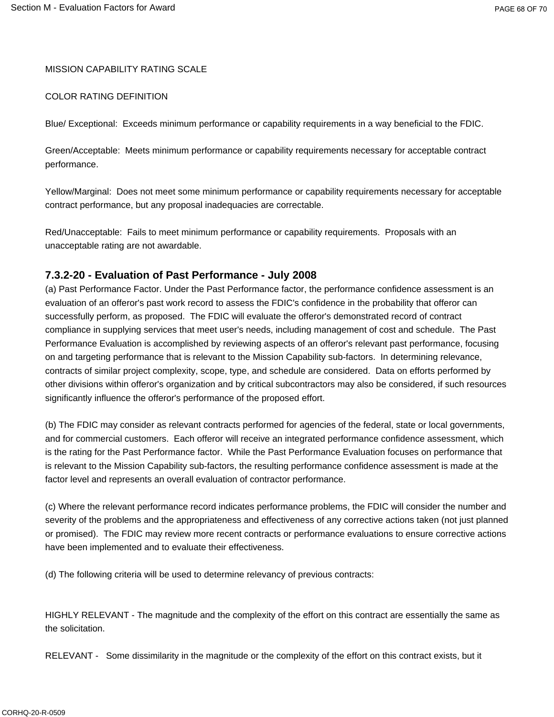#### MISSION CAPABILITY RATING SCALE

#### COLOR RATING DEFINITION

Blue/ Exceptional: Exceeds minimum performance or capability requirements in a way beneficial to the FDIC.

Green/Acceptable: Meets minimum performance or capability requirements necessary for acceptable contract performance.

Yellow/Marginal: Does not meet some minimum performance or capability requirements necessary for acceptable contract performance, but any proposal inadequacies are correctable.

Red/Unacceptable: Fails to meet minimum performance or capability requirements. Proposals with an unacceptable rating are not awardable.

#### **7.3.2-20 - Evaluation of Past Performance - July 2008**

(a) Past Performance Factor. Under the Past Performance factor, the performance confidence assessment is an evaluation of an offeror's past work record to assess the FDIC's confidence in the probability that offeror can successfully perform, as proposed. The FDIC will evaluate the offeror's demonstrated record of contract compliance in supplying services that meet user's needs, including management of cost and schedule. The Past Performance Evaluation is accomplished by reviewing aspects of an offeror's relevant past performance, focusing on and targeting performance that is relevant to the Mission Capability sub-factors. In determining relevance, contracts of similar project complexity, scope, type, and schedule are considered. Data on efforts performed by other divisions within offeror's organization and by critical subcontractors may also be considered, if such resources significantly influence the offeror's performance of the proposed effort.

(b) The FDIC may consider as relevant contracts performed for agencies of the federal, state or local governments, and for commercial customers. Each offeror will receive an integrated performance confidence assessment, which is the rating for the Past Performance factor. While the Past Performance Evaluation focuses on performance that is relevant to the Mission Capability sub-factors, the resulting performance confidence assessment is made at the factor level and represents an overall evaluation of contractor performance.

(c) Where the relevant performance record indicates performance problems, the FDIC will consider the number and severity of the problems and the appropriateness and effectiveness of any corrective actions taken (not just planned or promised). The FDIC may review more recent contracts or performance evaluations to ensure corrective actions have been implemented and to evaluate their effectiveness.

(d) The following criteria will be used to determine relevancy of previous contracts:

HIGHLY RELEVANT - The magnitude and the complexity of the effort on this contract are essentially the same as the solicitation.

RELEVANT - Some dissimilarity in the magnitude or the complexity of the effort on this contract exists, but it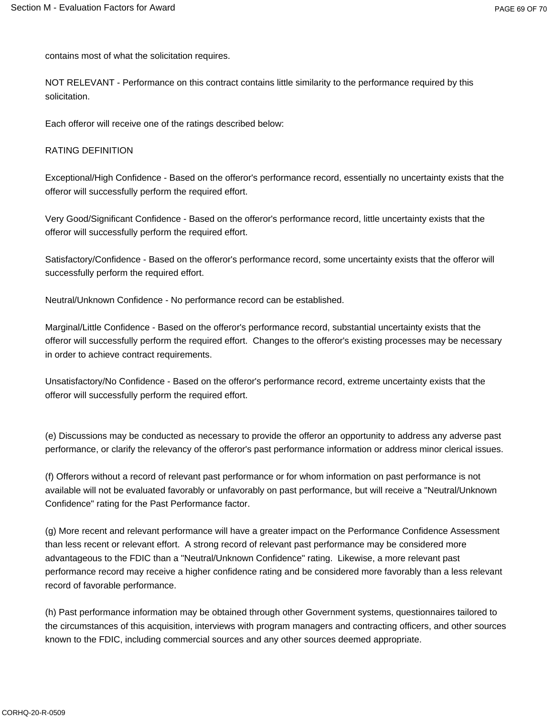contains most of what the solicitation requires.

NOT RELEVANT - Performance on this contract contains little similarity to the performance required by this solicitation.

Each offeror will receive one of the ratings described below:

#### RATING DEFINITION

Exceptional/High Confidence - Based on the offeror's performance record, essentially no uncertainty exists that the offeror will successfully perform the required effort.

Very Good/Significant Confidence - Based on the offeror's performance record, little uncertainty exists that the offeror will successfully perform the required effort.

Satisfactory/Confidence - Based on the offeror's performance record, some uncertainty exists that the offeror will successfully perform the required effort.

Neutral/Unknown Confidence - No performance record can be established.

Marginal/Little Confidence - Based on the offeror's performance record, substantial uncertainty exists that the offeror will successfully perform the required effort. Changes to the offeror's existing processes may be necessary in order to achieve contract requirements.

Unsatisfactory/No Confidence - Based on the offeror's performance record, extreme uncertainty exists that the offeror will successfully perform the required effort.

(e) Discussions may be conducted as necessary to provide the offeror an opportunity to address any adverse past performance, or clarify the relevancy of the offeror's past performance information or address minor clerical issues.

(f) Offerors without a record of relevant past performance or for whom information on past performance is not available will not be evaluated favorably or unfavorably on past performance, but will receive a "Neutral/Unknown Confidence" rating for the Past Performance factor.

(g) More recent and relevant performance will have a greater impact on the Performance Confidence Assessment than less recent or relevant effort. A strong record of relevant past performance may be considered more advantageous to the FDIC than a "Neutral/Unknown Confidence" rating. Likewise, a more relevant past performance record may receive a higher confidence rating and be considered more favorably than a less relevant record of favorable performance.

(h) Past performance information may be obtained through other Government systems, questionnaires tailored to the circumstances of this acquisition, interviews with program managers and contracting officers, and other sources known to the FDIC, including commercial sources and any other sources deemed appropriate.